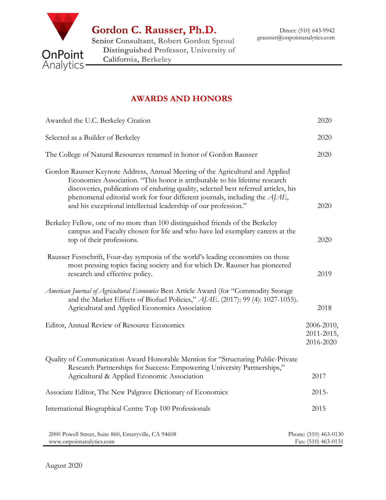

Gordon C. Rausser, Ph.D.

Senior Consultant, Robert Gordon Sproul Distinguished Professor, University of California, Berkeley

## AWARDS AND HONORS

| Awarded the U.C. Berkeley Citation                                                                                                                                                                                                                                                                                                                                                                    | 2020                                         |
|-------------------------------------------------------------------------------------------------------------------------------------------------------------------------------------------------------------------------------------------------------------------------------------------------------------------------------------------------------------------------------------------------------|----------------------------------------------|
| Selected as a Builder of Berkeley                                                                                                                                                                                                                                                                                                                                                                     | 2020                                         |
| The College of Natural Resources renamed in honor of Gordon Rausser                                                                                                                                                                                                                                                                                                                                   | 2020                                         |
| Gordon Rausser Keynote Address, Annual Meeting of the Agricultural and Applied<br>Economics Association. "This honor is attributable to his lifetime research<br>discoveries, publications of enduring quality, selected best referred articles, his<br>phenomenal editorial work for four different journals, including the AJAE,<br>and his exceptional intellectual leadership of our profession." | 2020                                         |
| Berkeley Fellow, one of no more than 100 distinguished friends of the Berkeley<br>campus and Faculty chosen for life and who have led exemplary careers at the<br>top of their professions.                                                                                                                                                                                                           | 2020                                         |
| Rausser Festschrift, Four-day symposia of the world's leading economists on those<br>most pressing topics facing society and for which Dr. Rausser has pioneered<br>research and effective policy.                                                                                                                                                                                                    | 2019                                         |
| American Journal of Agricultural Economics Best Article Award (for "Commodity Storage<br>and the Market Effects of Biofuel Policies," AJAE. (2017): 99 (4): 1027-1055).<br>Agricultural and Applied Economics Association                                                                                                                                                                             | 2018                                         |
| Editor, Annual Review of Resource Economics                                                                                                                                                                                                                                                                                                                                                           | 2006-2010,<br>2011-2015,<br>2016-2020        |
| Quality of Communication Award Honorable Mention for "Structuring Public-Private<br>Research Partnerships for Success: Empowering University Partnerships,"<br>Agricultural & Applied Economic Association                                                                                                                                                                                            | 2017                                         |
| Associate Editor, The New Palgrave Dictionary of Economics                                                                                                                                                                                                                                                                                                                                            | $2015 -$                                     |
| International Biographical Centre Top 100 Professionals                                                                                                                                                                                                                                                                                                                                               | 2015                                         |
| 2000 Powell Street, Suite 860, Emeryville, CA 94608<br>www.onpointanalytics.com                                                                                                                                                                                                                                                                                                                       | Phone: (510) 463-0130<br>Fax: (510) 463-0131 |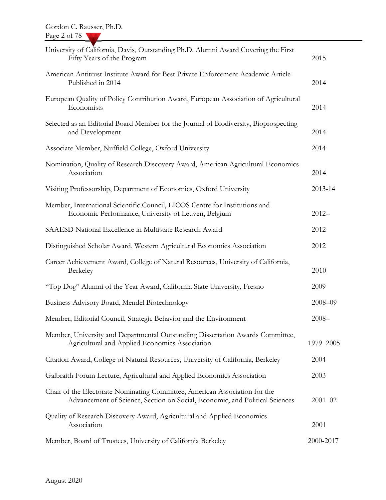| University of California, Davis, Outstanding Ph.D. Alumni Award Covering the First<br>Fifty Years of the Program                                          | 2015        |
|-----------------------------------------------------------------------------------------------------------------------------------------------------------|-------------|
| American Antitrust Institute Award for Best Private Enforcement Academic Article<br>Published in 2014                                                     | 2014        |
| European Quality of Policy Contribution Award, European Association of Agricultural<br>Economists                                                         | 2014        |
| Selected as an Editorial Board Member for the Journal of Biodiversity, Bioprospecting<br>and Development                                                  | 2014        |
| Associate Member, Nuffield College, Oxford University                                                                                                     | 2014        |
| Nomination, Quality of Research Discovery Award, American Agricultural Economics<br>Association                                                           | 2014        |
| Visiting Professorship, Department of Economics, Oxford University                                                                                        | 2013-14     |
| Member, International Scientific Council, LICOS Centre for Institutions and<br>Economic Performance, University of Leuven, Belgium                        | $2012 -$    |
| SAAESD National Excellence in Multistate Research Award                                                                                                   | 2012        |
| Distinguished Scholar Award, Western Agricultural Economics Association                                                                                   | 2012        |
| Career Achievement Award, College of Natural Resources, University of California,<br>Berkeley                                                             | 2010        |
| "Top Dog" Alumni of the Year Award, California State University, Fresno                                                                                   | 2009        |
| Business Advisory Board, Mendel Biotechnology                                                                                                             | $2008 - 09$ |
| Member, Editorial Council, Strategic Behavior and the Environment                                                                                         | $2008 -$    |
| Member, University and Departmental Outstanding Dissertation Awards Committee,<br>Agricultural and Applied Economics Association                          | 1979-2005   |
| Citation Award, College of Natural Resources, University of California, Berkeley                                                                          | 2004        |
| Galbraith Forum Lecture, Agricultural and Applied Economics Association                                                                                   | 2003        |
| Chair of the Electorate Nominating Committee, American Association for the<br>Advancement of Science, Section on Social, Economic, and Political Sciences | $2001 - 02$ |
| Quality of Research Discovery Award, Agricultural and Applied Economics<br>Association                                                                    | 2001        |
| Member, Board of Trustees, University of California Berkeley                                                                                              | 2000-2017   |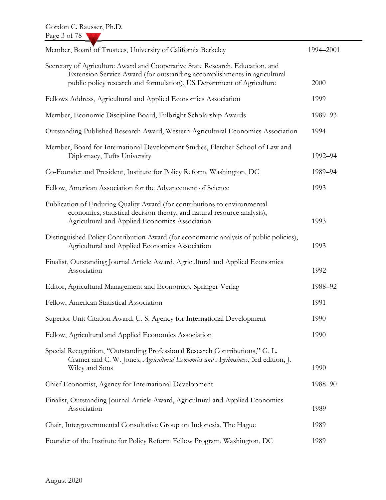| Member, Board of Trustees, University of California Berkeley                                                                                                                                                                       | 1994-2001 |
|------------------------------------------------------------------------------------------------------------------------------------------------------------------------------------------------------------------------------------|-----------|
| Secretary of Agriculture Award and Cooperative State Research, Education, and<br>Extension Service Award (for outstanding accomplishments in agricultural<br>public policy research and formulation), US Department of Agriculture | 2000      |
| Fellows Address, Agricultural and Applied Economics Association                                                                                                                                                                    | 1999      |
| Member, Economic Discipline Board, Fulbright Scholarship Awards                                                                                                                                                                    | 1989-93   |
| Outstanding Published Research Award, Western Agricultural Economics Association                                                                                                                                                   | 1994      |
| Member, Board for International Development Studies, Fletcher School of Law and<br>Diplomacy, Tufts University                                                                                                                     | 1992-94   |
| Co-Founder and President, Institute for Policy Reform, Washington, DC                                                                                                                                                              | 1989-94   |
| Fellow, American Association for the Advancement of Science                                                                                                                                                                        | 1993      |
| Publication of Enduring Quality Award (for contributions to environmental<br>economics, statistical decision theory, and natural resource analysis),<br>Agricultural and Applied Economics Association                             | 1993      |
| Distinguished Policy Contribution Award (for econometric analysis of public policies),<br>Agricultural and Applied Economics Association                                                                                           | 1993      |
| Finalist, Outstanding Journal Article Award, Agricultural and Applied Economics<br>Association                                                                                                                                     | 1992      |
| Editor, Agricultural Management and Economics, Springer-Verlag                                                                                                                                                                     | 1988-92   |
| Fellow, American Statistical Association                                                                                                                                                                                           | 1991      |
| Superior Unit Citation Award, U.S. Agency for International Development                                                                                                                                                            | 1990      |
| Fellow, Agricultural and Applied Economics Association                                                                                                                                                                             | 1990      |
| Special Recognition, "Outstanding Professional Research Contributions," G. L.<br>Cramer and C. W. Jones, Agricultural Economics and Agribusiness, 3rd edition, J.<br>Wiley and Sons                                                | 1990      |
| Chief Economist, Agency for International Development                                                                                                                                                                              | 1988-90   |
| Finalist, Outstanding Journal Article Award, Agricultural and Applied Economics<br>Association                                                                                                                                     | 1989      |
| Chair, Intergovernmental Consultative Group on Indonesia, The Hague                                                                                                                                                                | 1989      |
| Founder of the Institute for Policy Reform Fellow Program, Washington, DC                                                                                                                                                          | 1989      |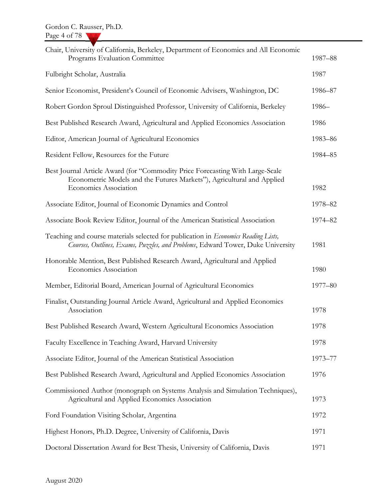| Chair, University of California, Berkeley, Department of Economics and All Economic<br>Programs Evaluation Committee                                                                    | 1987-88 |
|-----------------------------------------------------------------------------------------------------------------------------------------------------------------------------------------|---------|
| Fulbright Scholar, Australia                                                                                                                                                            | 1987    |
| Senior Economist, President's Council of Economic Advisers, Washington, DC                                                                                                              | 1986-87 |
| Robert Gordon Sproul Distinguished Professor, University of California, Berkeley                                                                                                        | 1986-   |
| Best Published Research Award, Agricultural and Applied Economics Association                                                                                                           | 1986    |
| Editor, American Journal of Agricultural Economics                                                                                                                                      | 1983-86 |
| Resident Fellow, Resources for the Future                                                                                                                                               | 1984-85 |
| Best Journal Article Award (for "Commodity Price Forecasting With Large-Scale<br>Econometric Models and the Futures Markets"), Agricultural and Applied<br><b>Economics Association</b> | 1982    |
| Associate Editor, Journal of Economic Dynamics and Control                                                                                                                              | 1978-82 |
| Associate Book Review Editor, Journal of the American Statistical Association                                                                                                           | 1974-82 |
| Teaching and course materials selected for publication in <i>Economics Reading Lists</i> ,<br>Courses, Outlines, Exams, Puzzles, and Problems, Edward Tower, Duke University            | 1981    |
| Honorable Mention, Best Published Research Award, Agricultural and Applied<br><b>Economics Association</b>                                                                              | 1980    |
| Member, Editorial Board, American Journal of Agricultural Economics                                                                                                                     | 1977-80 |
| Finalist, Outstanding Journal Article Award, Agricultural and Applied Economics<br>Association                                                                                          | 1978    |
| Best Published Research Award, Western Agricultural Economics Association                                                                                                               | 1978    |
| Faculty Excellence in Teaching Award, Harvard University                                                                                                                                | 1978    |
| Associate Editor, Journal of the American Statistical Association                                                                                                                       | 1973-77 |
| Best Published Research Award, Agricultural and Applied Economics Association                                                                                                           | 1976    |
| Commissioned Author (monograph on Systems Analysis and Simulation Techniques),<br>Agricultural and Applied Economics Association                                                        | 1973    |
| Ford Foundation Visiting Scholar, Argentina                                                                                                                                             | 1972    |
| Highest Honors, Ph.D. Degree, University of California, Davis                                                                                                                           | 1971    |
| Doctoral Dissertation Award for Best Thesis, University of California, Davis                                                                                                            | 1971    |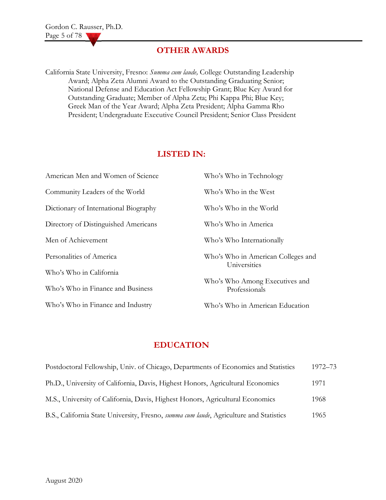## OTHER AWARDS

California State University, Fresno: Summa cum laude, College Outstanding Leadership Award; Alpha Zeta Alumni Award to the Outstanding Graduating Senior; National Defense and Education Act Fellowship Grant; Blue Key Award for Outstanding Graduate; Member of Alpha Zeta; Phi Kappa Phi; Blue Key; Greek Man of the Year Award; Alpha Zeta President; Alpha Gamma Rho President; Undergraduate Executive Council President; Senior Class President

## LISTED IN:

| American Men and Women of Science     | Who's Who in Technology                            |
|---------------------------------------|----------------------------------------------------|
| Community Leaders of the World        | Who's Who in the West                              |
| Dictionary of International Biography | Who's Who in the World                             |
| Directory of Distinguished Americans  | Who's Who in America                               |
| Men of Achievement                    | Who's Who Internationally                          |
| Personalities of America              | Who's Who in American Colleges and<br>Universities |
| Who's Who in California               |                                                    |
| Who's Who in Finance and Business     | Who's Who Among Executives and<br>Professionals    |
| Who's Who in Finance and Industry     | Who's Who in American Education                    |

## EDUCATION

| Postdoctoral Fellowship, Univ. of Chicago, Departments of Economics and Statistics     | 1972–73 |
|----------------------------------------------------------------------------------------|---------|
| Ph.D., University of California, Davis, Highest Honors, Agricultural Economics         | 1971    |
| M.S., University of California, Davis, Highest Honors, Agricultural Economics          | 1968    |
| B.S., California State University, Fresno, summa cum laude, Agriculture and Statistics | 1965    |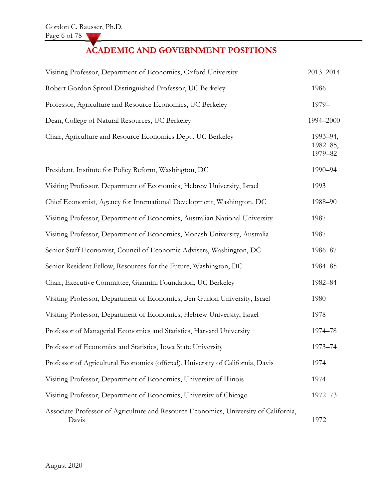# ACADEMIC AND GOVERNMENT POSITIONS

| Visiting Professor, Department of Economics, Oxford University                                | 2013-2014                       |
|-----------------------------------------------------------------------------------------------|---------------------------------|
| Robert Gordon Sproul Distinguished Professor, UC Berkeley                                     | 1986-                           |
| Professor, Agriculture and Resource Economics, UC Berkeley                                    | 1979-                           |
| Dean, College of Natural Resources, UC Berkeley                                               | 1994-2000                       |
| Chair, Agriculture and Resource Economics Dept., UC Berkeley                                  | 1993-94,<br>1982-85,<br>1979-82 |
| President, Institute for Policy Reform, Washington, DC                                        | 1990-94                         |
| Visiting Professor, Department of Economics, Hebrew University, Israel                        | 1993                            |
| Chief Economist, Agency for International Development, Washington, DC                         | 1988-90                         |
| Visiting Professor, Department of Economics, Australian National University                   | 1987                            |
| Visiting Professor, Department of Economics, Monash University, Australia                     | 1987                            |
| Senior Staff Economist, Council of Economic Advisers, Washington, DC                          | 1986-87                         |
| Senior Resident Fellow, Resources for the Future, Washington, DC                              | 1984-85                         |
| Chair, Executive Committee, Giannini Foundation, UC Berkeley                                  | 1982-84                         |
| Visiting Professor, Department of Economics, Ben Gurion University, Israel                    | 1980                            |
| Visiting Professor, Department of Economics, Hebrew University, Israel                        | 1978                            |
| Professor of Managerial Economics and Statistics, Harvard University                          | 1974-78                         |
| Professor of Economics and Statistics, Iowa State University                                  | 1973-74                         |
| Professor of Agricultural Economics (offered), University of California, Davis                | 1974                            |
| Visiting Professor, Department of Economics, University of Illinois                           | 1974                            |
| Visiting Professor, Department of Economics, University of Chicago                            | 1972-73                         |
| Associate Professor of Agriculture and Resource Economics, University of California,<br>Davis | 1972                            |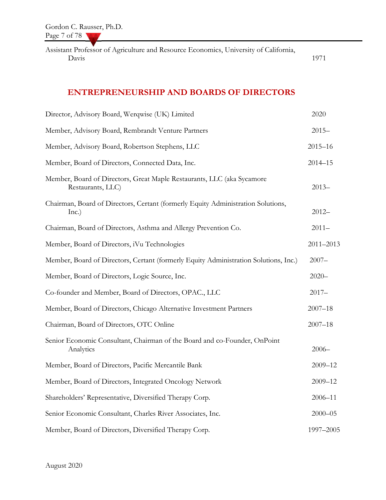Assistant Professor of Agriculture and Resource Economics, University of California, Davis 1971

## ENTREPRENEURSHIP AND BOARDS OF DIRECTORS

| Director, Advisory Board, Werqwise (UK) Limited                                             | 2020          |
|---------------------------------------------------------------------------------------------|---------------|
| Member, Advisory Board, Rembrandt Venture Partners                                          | $2015 -$      |
| Member, Advisory Board, Robertson Stephens, LLC                                             | $2015 - 16$   |
| Member, Board of Directors, Connected Data, Inc.                                            | $2014 - 15$   |
| Member, Board of Directors, Great Maple Restaurants, LLC (aka Sycamore<br>Restaurants, LLC) | $2013 -$      |
| Chairman, Board of Directors, Certant (formerly Equity Administration Solutions,<br>Inc.)   | $2012 -$      |
| Chairman, Board of Directors, Asthma and Allergy Prevention Co.                             | $2011 -$      |
| Member, Board of Directors, iVu Technologies                                                | $2011 - 2013$ |
| Member, Board of Directors, Certant (formerly Equity Administration Solutions, Inc.)        | $2007 -$      |
| Member, Board of Directors, Logic Source, Inc.                                              | $2020 -$      |
| Co-founder and Member, Board of Directors, OPAC., LLC                                       | $2017 -$      |
| Member, Board of Directors, Chicago Alternative Investment Partners                         | $2007 - 18$   |
| Chairman, Board of Directors, OTC Online                                                    | $2007 - 18$   |
| Senior Economic Consultant, Chairman of the Board and co-Founder, OnPoint<br>Analytics      | $2006 -$      |
| Member, Board of Directors, Pacific Mercantile Bank                                         | $2009 - 12$   |
| Member, Board of Directors, Integrated Oncology Network                                     | $2009 - 12$   |
| Shareholders' Representative, Diversified Therapy Corp.                                     | $2006 - 11$   |
| Senior Economic Consultant, Charles River Associates, Inc.                                  | $2000 - 05$   |
| Member, Board of Directors, Diversified Therapy Corp.                                       | 1997-2005     |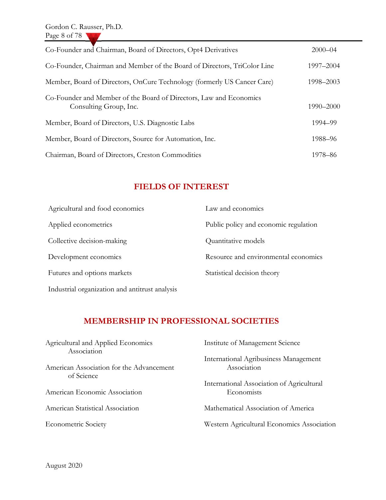| Co-Founder and Chairman, Board of Directors, Opt4 Derivatives                                | $2000 - 04$ |
|----------------------------------------------------------------------------------------------|-------------|
| Co-Founder, Chairman and Member of the Board of Directors, TriColor Line                     | 1997-2004   |
| Member, Board of Directors, OnCure Technology (formerly US Cancer Care)                      | 1998–2003   |
| Co-Founder and Member of the Board of Directors, Law and Economics<br>Consulting Group, Inc. | 1990–2000   |
| Member, Board of Directors, U.S. Diagnostic Labs                                             | 1994–99     |
| Member, Board of Directors, Source for Automation, Inc.                                      | 1988–96     |
| Chairman, Board of Directors, Creston Commodities                                            | 1978–86     |

## FIELDS OF INTEREST

| Agricultural and food economics                | Law and economics                     |
|------------------------------------------------|---------------------------------------|
| Applied econometrics                           | Public policy and economic regulation |
| Collective decision-making                     | Quantitative models                   |
| Development economics                          | Resource and environmental economics  |
| Futures and options markets                    | Statistical decision theory           |
| Industrial organization and antitrust analysis |                                       |

## MEMBERSHIP IN PROFESSIONAL SOCIETIES

| Agricultural and Applied Economics<br>Association | Institute of Management Science                         |
|---------------------------------------------------|---------------------------------------------------------|
| American Association for the Advancement          | International Agribusiness Management<br>Association    |
| of Science<br>American Economic Association       | International Association of Agricultural<br>Economists |
| American Statistical Association                  | Mathematical Association of America                     |
| <b>Econometric Society</b>                        | Western Agricultural Economics Association              |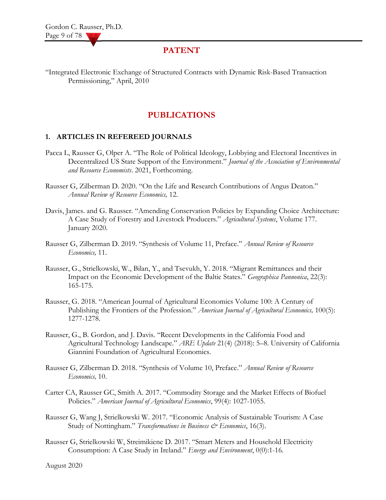### PATENT

"Integrated Electronic Exchange of Structured Contracts with Dynamic Risk-Based Transaction Permissioning," April, 2010

## PUBLICATIONS

#### 1. ARTICLES IN REFEREED JOURNALS

- Pacca L, Rausser G, Olper A. "The Role of Political Ideology, Lobbying and Electoral Incentives in Decentralized US State Support of the Environment." Journal of the Association of Environmental and Resource Economists. 2021, Forthcoming.
- Rausser G, Zilberman D. 2020. "On the Life and Research Contributions of Angus Deaton." Annual Review of Resource Economics, 12.
- Davis, James. and G. Rausser. "Amending Conservation Policies by Expanding Choice Architecture: A Case Study of Forestry and Livestock Producers." Agricultural Systems, Volume 177. January 2020.
- Rausser G, Zilberman D. 2019. "Synthesis of Volume 11, Preface." Annual Review of Resource Economics, 11.
- Rausser, G., Strielkowski, W., Bilan, Y., and Tsevukh, Y. 2018. "Migrant Remittances and their Impact on the Economic Development of the Baltic States." Geographica Pannonica, 22(3): 165-175.
- Rausser, G. 2018. "American Journal of Agricultural Economics Volume 100: A Century of Publishing the Frontiers of the Profession." American Journal of Agricultural Economics, 100(5): 1277-1278.
- Rausser, G., B. Gordon, and J. Davis. "Recent Developments in the California Food and Agricultural Technology Landscape." ARE Update 21(4) (2018): 5-8. University of California Giannini Foundation of Agricultural Economics.
- Rausser G, Zilberman D. 2018. "Synthesis of Volume 10, Preface." Annual Review of Resource Economics, 10.
- Carter CA, Rausser GC, Smith A. 2017. "Commodity Storage and the Market Effects of Biofuel Policies." American Journal of Agricultural Economics, 99(4): 1027-1055.
- Rausser G, Wang J, Strielkowski W. 2017. "Economic Analysis of Sustainable Tourism: A Case Study of Nottingham." Transformations in Business & Economics, 16(3).
- Rausser G, Strielkowski W, Streimikiene D. 2017. "Smart Meters and Household Electricity Consumption: A Case Study in Ireland." Energy and Environment, 0(0):1-16.

August 2020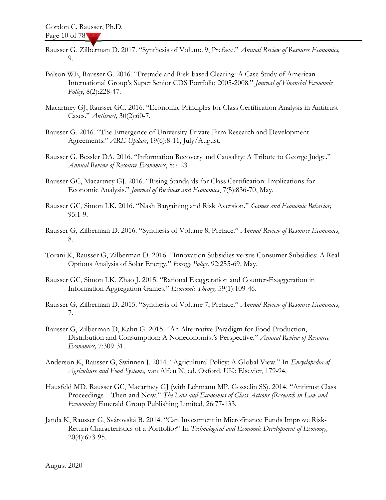- Rausser G, Zilberman D. 2017. "Synthesis of Volume 9, Preface." Annual Review of Resource Economics, 9.
- Balson WE, Rausser G. 2016. "Pretrade and Risk-based Clearing: A Case Study of American International Group's Super Senior CDS Portfolio 2005-2008." Journal of Financial Economic Policy, 8(2):228-47.
- Macartney GJ, Rausser GC. 2016. "Economic Principles for Class Certification Analysis in Antitrust Cases." Antitrust, 30(2):60-7.
- Rausser G. 2016. "The Emergence of University-Private Firm Research and Development Agreements." ARE Update, 19(6):8-11, July/August.
- Rausser G, Bessler DA. 2016. "Information Recovery and Causality: A Tribute to George Judge." Annual Review of Resource Economics, 8:7-23.
- Rausser GC, Macartney GJ. 2016. "Rising Standards for Class Certification: Implications for Economic Analysis." Journal of Business and Economics, 7(5):836-70, May.
- Rausser GC, Simon LK. 2016. "Nash Bargaining and Risk Aversion." Games and Economic Behavior, 95:1-9.
- Rausser G, Zilberman D. 2016. "Synthesis of Volume 8, Preface." Annual Review of Resource Economics, 8.
- Torani K, Rausser G, Zilberman D. 2016. "Innovation Subsidies versus Consumer Subsidies: A Real Options Analysis of Solar Energy." Energy Policy, 92:255-69, May.
- Rausser GC, Simon LK, Zhao J. 2015. "Rational Exaggeration and Counter-Exaggeration in Information Aggregation Games." Economic Theory, 59(1):109-46.
- Rausser G, Zilberman D. 2015. "Synthesis of Volume 7, Preface." Annual Review of Resource Economics, 7.
- Rausser G, Zilberman D, Kahn G. 2015. "An Alternative Paradigm for Food Production, Distribution and Consumption: A Noneconomist's Perspective." Annual Review of Resource Economics, 7:309-31.
- Anderson K, Rausser G, Swinnen J. 2014. "Agricultural Policy: A Global View." In Encyclopedia of Agriculture and Food Systems, van Alfen N, ed. Oxford, UK: Elsevier, 179-94.
- Hausfeld MD, Rausser GC, Macartney GJ (with Lehmann MP, Gosselin SS). 2014. "Antitrust Class Proceedings – Then and Now." The Law and Economics of Class Actions (Research in Law and Economics) Emerald Group Publishing Limited, 26:77-133.
- Janda K, Rausser G, Svárovská B. 2014. "Can Investment in Microfinance Funds Improve Risk-Return Characteristics of a Portfolio?" In Technological and Economic Development of Economy, 20(4):673-95.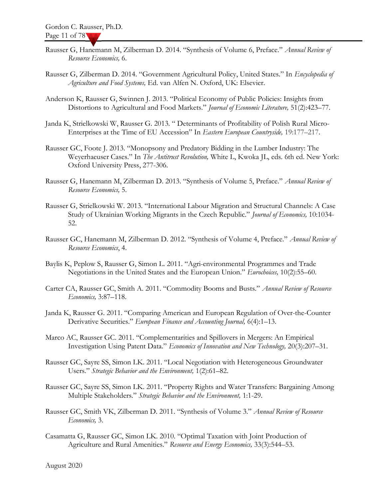- Rausser G, Hanemann M, Zilberman D. 2014. "Synthesis of Volume 6, Preface." Annual Review of Resource Economics, 6.
- Rausser G, Zilberman D. 2014. "Government Agricultural Policy, United States." In *Encyclopedia of* Agriculture and Food Systems, Ed. van Alfen N. Oxford, UK: Elsevier.
- Anderson K, Rausser G, Swinnen J. 2013. "Political Economy of Public Policies: Insights from Distortions to Agricultural and Food Markets." Journal of Economic Literature, 51(2):423-77.
- Janda K, Strielkowski W, Rausser G. 2013. " Determinants of Profitability of Polish Rural Micro-Enterprises at the Time of EU Accession" In Eastern European Countryside, 19:177–217.
- Rausser GC, Foote J. 2013. "Monopsony and Predatory Bidding in the Lumber Industry: The Weyerhaeuser Cases." In The Antitrust Revolution, White L, Kwoka JL, eds. 6th ed. New York: Oxford University Press, 277-306.
- Rausser G, Hanemann M, Zilberman D. 2013. "Synthesis of Volume 5, Preface." Annual Review of Resource Economics, 5.
- Rausser G, Strielkowski W. 2013. "International Labour Migration and Structural Channels: A Case Study of Ukrainian Working Migrants in the Czech Republic." Journal of Economics, 10:1034-52.
- Rausser GC, Hanemann M, Zilberman D. 2012. "Synthesis of Volume 4, Preface." Annual Review of Resource Economics, 4.
- Baylis K, Peplow S, Rausser G, Simon L. 2011. "Agri-environmental Programmes and Trade Negotiations in the United States and the European Union." Eurochoices, 10(2):55–60.
- Carter CA, Rausser GC, Smith A. 2011. "Commodity Booms and Busts." Annual Review of Resource Economics, 3:87–118.
- Janda K, Rausser G. 2011. "Comparing American and European Regulation of Over-the-Counter Derivative Securities." European Finance and Accounting Journal, 6(4):1-13.
- Marco AC, Rausser GC. 2011. "Complementarities and Spillovers in Mergers: An Empirical Investigation Using Patent Data." Economics of Innovation and New Technology, 20(3):207–31.
- Rausser GC, Sayre SS, Simon LK. 2011. "Local Negotiation with Heterogeneous Groundwater Users." Strategic Behavior and the Environment, 1(2):61–82.
- Rausser GC, Sayre SS, Simon LK. 2011. "Property Rights and Water Transfers: Bargaining Among Multiple Stakeholders." Strategic Behavior and the Environment, 1:1-29.
- Rausser GC, Smith VK, Zilberman D. 2011. "Synthesis of Volume 3." Annual Review of Resource Economics, 3.
- Casamatta G, Rausser GC, Simon LK. 2010. "Optimal Taxation with Joint Production of Agriculture and Rural Amenities." Resource and Energy Economics, 33(3):544-53.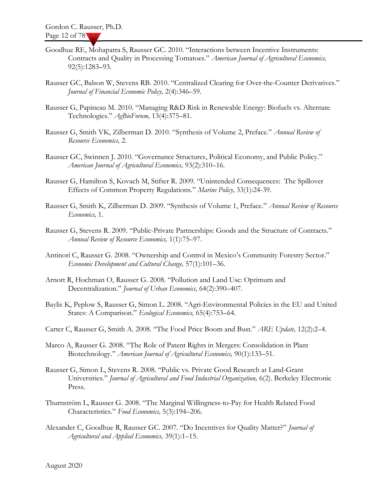- Goodhue RE, Mohapatra S, Rausser GC. 2010. "Interactions between Incentive Instruments: Contracts and Quality in Processing Tomatoes." American Journal of Agricultural Economics, 92(5):1283–93.
- Rausser GC, Balson W, Stevens RB. 2010. "Centralized Clearing for Over-the-Counter Derivatives." Journal of Financial Economic Policy, 2(4):346–59.
- Rausser G, Papineau M. 2010. "Managing R&D Risk in Renewable Energy: Biofuels vs. Alternate Technologies." AgBioForum, 13(4):375–81.
- Rausser G, Smith VK, Zilberman D. 2010. "Synthesis of Volume 2, Preface." Annual Review of Resource Economics, 2.
- Rausser GC, Swinnen J. 2010. "Governance Structures, Political Economy, and Public Policy." American Journal of Agricultural Economics, 93(2):310–16.
- Rausser G, Hamilton S, Kovach M, Stifter R. 2009. "Unintended Consequences: The Spillover Effects of Common Property Regulations." Marine Policy, 33(1):24-39.
- Rausser G, Smith K, Zilberman D. 2009. "Synthesis of Volume 1, Preface." Annual Review of Resource Economics, 1.
- Rausser G, Stevens R. 2009. "Public-Private Partnerships: Goods and the Structure of Contracts." Annual Review of Resource Economics, 1(1):75–97.
- Antinori C, Rausser G. 2008. "Ownership and Control in Mexico's Community Forestry Sector." Economic Development and Cultural Change, 57(1):101–36.
- Arnott R, Hochman O, Rausser G. 2008. "Pollution and Land Use: Optimum and Decentralization." Journal of Urban Economics, 64(2):390-407.
- Baylis K, Peplow S, Rausser G, Simon L. 2008. "Agri-Environmental Policies in the EU and United States: A Comparison." Ecological Economics, 65(4):753-64.
- Carter C, Rausser G, Smith A. 2008. "The Food Price Boom and Bust." ARE Update, 12(2):2–4.
- Marco A, Rausser G. 2008. "The Role of Patent Rights in Mergers: Consolidation in Plant Biotechnology." American Journal of Agricultural Economics, 90(1):133-51.
- Rausser G, Simon L, Stevens R. 2008. "Public vs. Private Good Research at Land-Grant Universities." Journal of Agricultural and Food Industrial Organization, 6(2). Berkeley Electronic Press.
- Thurnström L, Rausser G. 2008. "The Marginal Willingness-to-Pay for Health Related Food Characteristics." Food Economics, 5(3):194–206.
- Alexander C, Goodhue R, Rausser GC. 2007. "Do Incentives for Quality Matter?" Journal of Agricultural and Applied Economics, 39(1):1–15.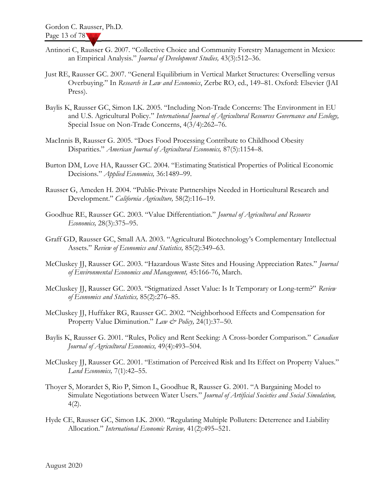- Antinori C, Rausser G. 2007. "Collective Choice and Community Forestry Management in Mexico: an Empirical Analysis." Journal of Development Studies, 43(3):512–36.
- Just RE, Rausser GC. 2007. "General Equilibrium in Vertical Market Structures: Overselling versus Overbuying." In Research in Law and Economics, Zerbe RO, ed., 149-81. Oxford: Elsevier (JAI Press).
- Baylis K, Rausser GC, Simon LK. 2005. "Including Non-Trade Concerns: The Environment in EU and U.S. Agricultural Policy." International Journal of Agricultural Resources Governance and Ecology, Special Issue on Non-Trade Concerns, 4(3/4):262–76.
- MacInnis B, Rausser G. 2005. "Does Food Processing Contribute to Childhood Obesity Disparities." American Journal of Agricultural Economics, 87(5):1154-8.
- Burton DM, Love HA, Rausser GC. 2004. "Estimating Statistical Properties of Political Economic Decisions." Applied Economics, 36:1489-99.
- Rausser G, Ameden H. 2004. "Public-Private Partnerships Needed in Horticultural Research and Development." California Agriculture, 58(2):116–19.
- Goodhue RE, Rausser GC. 2003. "Value Differentiation." Journal of Agricultural and Resource Economics, 28(3):375–95.
- Graff GD, Rausser GC, Small AA. 2003. "Agricultural Biotechnology's Complementary Intellectual Assets." Review of Economics and Statistics, 85(2):349–63.
- McCluskey JJ, Rausser GC. 2003. "Hazardous Waste Sites and Housing Appreciation Rates." Journal of Environmental Economics and Management, 45:166-76, March.
- McCluskey JJ, Rausser GC. 2003. "Stigmatized Asset Value: Is It Temporary or Long-term?" Review of Economics and Statistics, 85(2):276–85.
- McCluskey JJ, Huffaker RG, Rausser GC. 2002. "Neighborhood Effects and Compensation for Property Value Diminution." Law  $\mathcal{Q}$  Policy, 24(1):37–50.
- Baylis K, Rausser G. 2001. "Rules, Policy and Rent Seeking: A Cross-border Comparison." Canadian Journal of Agricultural Economics, 49(4):493–504.
- McCluskey JJ, Rausser GC. 2001. "Estimation of Perceived Risk and Its Effect on Property Values." Land Economics, 7(1):42–55.
- Thoyer S, Morardet S, Rio P, Simon L, Goodhue R, Rausser G. 2001. "A Bargaining Model to Simulate Negotiations between Water Users." Journal of Artificial Societies and Social Simulation, 4(2).
- Hyde CE, Rausser GC, Simon LK. 2000. "Regulating Multiple Polluters: Deterrence and Liability Allocation." International Economic Review, 41(2):495–521.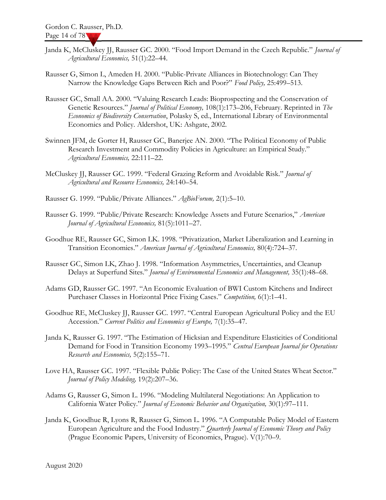- Janda K, McCluskey JJ, Rausser GC. 2000. "Food Import Demand in the Czech Republic." Journal of Agricultural Economics, 51(1):22–44.
- Rausser G, Simon L, Ameden H. 2000. "Public-Private Alliances in Biotechnology: Can They Narrow the Knowledge Gaps Between Rich and Poor?" Food Policy, 25:499-513.
- Rausser GC, Small AA. 2000. "Valuing Research Leads: Bioprospecting and the Conservation of Genetic Resources." Journal of Political Economy, 108(1):173-206, February. Reprinted in The Economics of Biodiversity Conservation, Polasky S, ed., International Library of Environmental Economics and Policy. Aldershot, UK: Ashgate, 2002.
- Swinnen JFM, de Gorter H, Rausser GC, Banerjee AN. 2000. "The Political Economy of Public Research Investment and Commodity Policies in Agriculture: an Empirical Study." Agricultural Economics, 22:111–22.
- McCluskey JJ, Rausser GC. 1999. "Federal Grazing Reform and Avoidable Risk." Journal of Agricultural and Resource Economics, 24:140–54.
- Rausser G. 1999. "Public/Private Alliances." AgBioForum, 2(1):5–10.
- Rausser G. 1999. "Public/Private Research: Knowledge Assets and Future Scenarios," American Journal of Agricultural Economics, 81(5):1011–27.
- Goodhue RE, Rausser GC, Simon LK. 1998. "Privatization, Market Liberalization and Learning in Transition Economies." American Journal of Agricultural Economics, 80(4):724–37.
- Rausser GC, Simon LK, Zhao J. 1998. "Information Asymmetries, Uncertainties, and Cleanup Delays at Superfund Sites." Journal of Environmental Economics and Management, 35(1):48–68.
- Adams GD, Rausser GC. 1997. "An Economic Evaluation of BWI Custom Kitchens and Indirect Purchaser Classes in Horizontal Price Fixing Cases." Competition, 6(1):1-41.
- Goodhue RE, McCluskey JJ, Rausser GC. 1997. "Central European Agricultural Policy and the EU Accession." Current Politics and Economics of Europe, 7(1):35–47.
- Janda K, Rausser G. 1997. "The Estimation of Hicksian and Expenditure Elasticities of Conditional Demand for Food in Transition Economy 1993-1995." Central European Journal for Operations Research and Economics, 5(2):155–71.
- Love HA, Rausser GC. 1997. "Flexible Public Policy: The Case of the United States Wheat Sector." Journal of Policy Modeling, 19(2):207–36.
- Adams G, Rausser G, Simon L. 1996. "Modeling Multilateral Negotiations: An Application to California Water Policy." Journal of Economic Behavior and Organization, 30(1):97–111.
- Janda K, Goodhue R, Lyons R, Rausser G, Simon L. 1996. "A Computable Policy Model of Eastern European Agriculture and the Food Industry." Quarterly Journal of Economic Theory and Policy (Prague Economic Papers, University of Economics, Prague). V(1):70–9.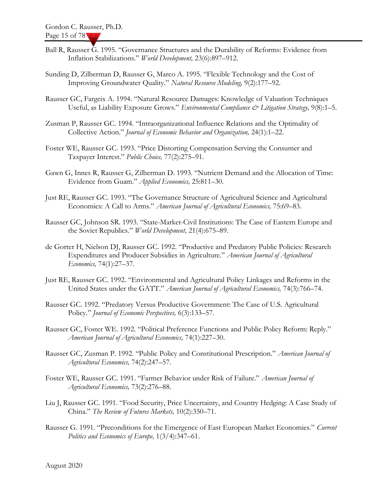- Ball R, Rausser G. 1995. "Governance Structures and the Durability of Reforms: Evidence from Inflation Stabilizations." World Development, 23(6):897–912.
- Sunding D, Zilberman D, Rausser G, Marco A. 1995. "Flexible Technology and the Cost of Improving Groundwater Quality." Natural Resource Modeling, 9(2):177–92.
- Rausser GC, Fargeix A. 1994. "Natural Resource Damages: Knowledge of Valuation Techniques Useful, as Liability Exposure Grows." Environmental Compliance & Litigation Strategy, 9(8):1-5.
- Zusman P, Rausser GC. 1994. "Intraorganizational Influence Relations and the Optimality of Collective Action." Journal of Economic Behavior and Organization, 24(1):1–22.
- Foster WE, Rausser GC. 1993. "Price Distorting Compensation Serving the Consumer and Taxpayer Interest." Public Choice, 77(2):275-91.
- Gawn G, Innes R, Rausser G, Zilberman D. 1993. "Nutrient Demand and the Allocation of Time: Evidence from Guam." Applied Economics, 25:811–30.
- Just RE, Rausser GC. 1993. "The Governance Structure of Agricultural Science and Agricultural Economics: A Call to Arms." American Journal of Agricultural Economics, 75:69-83.
- Rausser GC, Johnson SR. 1993. "State-Market-Civil Institutions: The Case of Eastern Europe and the Soviet Republics." World Development, 21(4):675–89.
- de Gorter H, Nielson DJ, Rausser GC. 1992. "Productive and Predatory Public Policies: Research Expenditures and Producer Subsidies in Agriculture." American Journal of Agricultural Economics, 74(1):27–37.
- Just RE, Rausser GC. 1992. "Environmental and Agricultural Policy Linkages and Reforms in the United States under the GATT." American Journal of Agricultural Economics, 74(3):766–74.
- Rausser GC. 1992. "Predatory Versus Productive Government: The Case of U.S. Agricultural Policy." Journal of Economic Perspectives, 6(3):133-57.
- Rausser GC, Foster WE. 1992. "Political Preference Functions and Public Policy Reform: Reply." American Journal of Agricultural Economics, 74(1):227–30.
- Rausser GC, Zusman P. 1992. "Public Policy and Constitutional Prescription." American Journal of Agricultural Economics, 74(2):247–57.
- Foster WE, Rausser GC. 1991. "Farmer Behavior under Risk of Failure." American Journal of Agricultural Economics, 73(2):276–88.
- Liu J, Rausser GC. 1991. "Food Security, Price Uncertainty, and Country Hedging: A Case Study of China." The Review of Futures Markets, 10(2):350–71.
- Rausser G. 1991. "Preconditions for the Emergence of East European Market Economies." Current Politics and Economics of Europe, 1(3/4):347–61.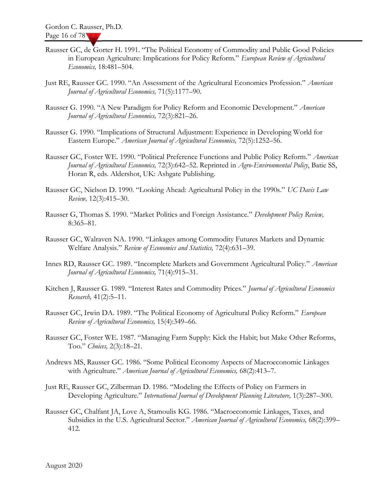- Rausser GC, de Gorter H. 1991. "The Political Economy of Commodity and Public Good Policies in European Agriculture: Implications for Policy Reform." European Review of Agricultural Economics, 18:481–504.
- Just RE, Rausser GC. 1990. "An Assessment of the Agricultural Economics Profession." American Journal of Agricultural Economics, 71(5):1177–90.
- Rausser G. 1990. "A New Paradigm for Policy Reform and Economic Development." American Journal of Agricultural Economics, 72(3):821–26.
- Rausser G. 1990. "Implications of Structural Adjustment: Experience in Developing World for Eastern Europe." American Journal of Agricultural Economics, 72(5):1252–56.
- Rausser GC, Foster WE. 1990. "Political Preference Functions and Public Policy Reform." American Journal of Agricultural Economics, 72(3):642–52. Reprinted in Agro-Environmental Policy, Batie SS, Horan R, eds. Aldershot, UK: Ashgate Publishing.
- Rausser GC, Nielson D. 1990. "Looking Ahead: Agricultural Policy in the 1990s." UC Davis Law Review, 12(3):415–30.
- Rausser G, Thomas S. 1990. "Market Politics and Foreign Assistance." Development Policy Review, 8:365–81.
- Rausser GC, Walraven NA. 1990. "Linkages among Commodity Futures Markets and Dynamic Welfare Analysis." Review of Economics and Statistics, 72(4):631–39.
- Innes RD, Rausser GC. 1989. "Incomplete Markets and Government Agricultural Policy." American Journal of Agricultural Economics, 71(4):915–31.
- Kitchen J, Rausser G. 1989. "Interest Rates and Commodity Prices." Journal of Agricultural Economics Research, 41(2):5–11.
- Rausser GC, Irwin DA. 1989. "The Political Economy of Agricultural Policy Reform." European Review of Agricultural Economics, 15(4):349–66.
- Rausser GC, Foster WE. 1987. "Managing Farm Supply: Kick the Habit; but Make Other Reforms, Too." Choices, 2(3):18–21.
- Andrews MS, Rausser GC. 1986. "Some Political Economy Aspects of Macroeconomic Linkages with Agriculture." American Journal of Agricultural Economics, 68(2):413-7.
- Just RE, Rausser GC, Zilberman D. 1986. "Modeling the Effects of Policy on Farmers in Developing Agriculture." International Journal of Development Planning Literature, 1(3):287-300.
- Rausser GC, Chalfant JA, Love A, Stamoulis KG. 1986. "Macroeconomic Linkages, Taxes, and Subsidies in the U.S. Agricultural Sector." American Journal of Agricultural Economics, 68(2):399-412.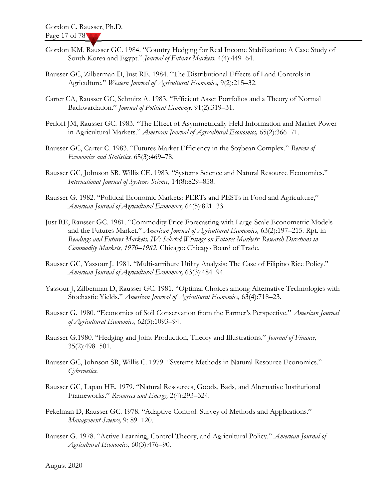- Gordon KM, Rausser GC. 1984. "Country Hedging for Real Income Stabilization: A Case Study of South Korea and Egypt." Journal of Futures Markets, 4(4):449–64.
- Rausser GC, Zilberman D, Just RE. 1984. "The Distributional Effects of Land Controls in Agriculture." Western Journal of Agricultural Economics, 9(2):215-32.
- Carter CA, Rausser GC, Schmitz A. 1983. "Efficient Asset Portfolios and a Theory of Normal Backwardation." Journal of Political Economy, 91(2):319-31.
- Perloff JM, Rausser GC. 1983. "The Effect of Asymmetrically Held Information and Market Power in Agricultural Markets." American Journal of Agricultural Economics, 65(2):366–71.
- Rausser GC, Carter C. 1983. "Futures Market Efficiency in the Soybean Complex." Review of Economics and Statistics, 65(3):469–78.
- Rausser GC, Johnson SR, Willis CE. 1983. "Systems Science and Natural Resource Economics." International Journal of Systems Science, 14(8):829–858.
- Rausser G. 1982. "Political Economic Markets: PERTs and PESTs in Food and Agriculture," American Journal of Agricultural Economics, 64(5):821–33.
- Just RE, Rausser GC. 1981. "Commodity Price Forecasting with Large-Scale Econometric Models and the Futures Market." American Journal of Agricultural Economics, 63(2):197-215. Rpt. in Readings and Futures Markets, IV: Selected Writings on Futures Markets: Research Directions in Commodity Markets, 1970–1982. Chicago: Chicago Board of Trade.
- Rausser GC, Yassour J. 1981. "Multi-attribute Utility Analysis: The Case of Filipino Rice Policy." American Journal of Agricultural Economics, 63(3):484–94.
- Yassour J, Zilberman D, Rausser GC. 1981. "Optimal Choices among Alternative Technologies with Stochastic Yields." American Journal of Agricultural Economics, 63(4):718–23.
- Rausser G. 1980. "Economics of Soil Conservation from the Farmer's Perspective." American Journal of Agricultural Economics, 62(5):1093–94.
- Rausser G.1980. "Hedging and Joint Production, Theory and Illustrations." Journal of Finance, 35(2):498–501.
- Rausser GC, Johnson SR, Willis C. 1979. "Systems Methods in Natural Resource Economics." Cybernetics.
- Rausser GC, Lapan HE. 1979. "Natural Resources, Goods, Bads, and Alternative Institutional Frameworks." Resources and Energy, 2(4):293-324.
- Pekelman D, Rausser GC. 1978. "Adaptive Control: Survey of Methods and Applications." Management Science, 9: 89–120.
- Rausser G. 1978. "Active Learning, Control Theory, and Agricultural Policy." American Journal of Agricultural Economics, 60(3):476–90.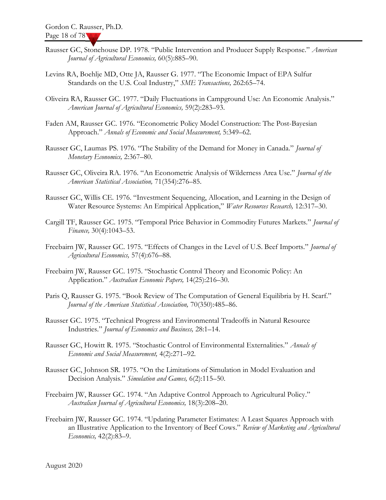- Rausser GC, Stonehouse DP. 1978. "Public Intervention and Producer Supply Response." American Journal of Agricultural Economics, 60(5):885–90.
- Levins RA, Boehlje MD, Otte JA, Rausser G. 1977. "The Economic Impact of EPA Sulfur Standards on the U.S. Coal Industry," SME Transactions, 262:65-74.
- Oliveira RA, Rausser GC. 1977. "Daily Fluctuations in Campground Use: An Economic Analysis." American Journal of Agricultural Economics, 59(2):283–93.
- Faden AM, Rausser GC. 1976. "Econometric Policy Model Construction: The Post-Bayesian Approach." Annals of Economic and Social Measurement, 5:349–62.
- Rausser GC, Laumas PS. 1976. "The Stability of the Demand for Money in Canada." Journal of Monetary Economics, 2:367–80.
- Rausser GC, Oliveira RA. 1976. "An Econometric Analysis of Wilderness Area Use." Journal of the American Statistical Association, 71(354):276–85.
- Rausser GC, Willis CE. 1976. "Investment Sequencing, Allocation, and Learning in the Design of Water Resource Systems: An Empirical Application," Water Resources Research, 12:317-30.
- Cargill TF, Rausser GC. 1975. "Temporal Price Behavior in Commodity Futures Markets." Journal of Finance, 30(4):1043–53.
- Freebairn JW, Rausser GC. 1975. "Effects of Changes in the Level of U.S. Beef Imports." Journal of Agricultural Economics, 57(4):676–88.
- Freebairn JW, Rausser GC. 1975. "Stochastic Control Theory and Economic Policy: An Application." Australian Economic Papers, 14(25):216-30.
- Paris Q, Rausser G. 1975. "Book Review of The Computation of General Equilibria by H. Scarf." Journal of the American Statistical Association, 70(350):485–86.
- Rausser GC. 1975. "Technical Progress and Environmental Tradeoffs in Natural Resource Industries." Journal of Economics and Business, 28:1–14.
- Rausser GC, Howitt R. 1975. "Stochastic Control of Environmental Externalities." Annals of Economic and Social Measurement, 4(2):271–92.
- Rausser GC, Johnson SR. 1975. "On the Limitations of Simulation in Model Evaluation and Decision Analysis." Simulation and Games, 6(2):115-50.
- Freebairn JW, Rausser GC. 1974. "An Adaptive Control Approach to Agricultural Policy." Australian Journal of Agricultural Economics, 18(3):208–20.
- Freebairn JW, Rausser GC. 1974. "Updating Parameter Estimates: A Least Squares Approach with an Illustrative Application to the Inventory of Beef Cows." Review of Marketing and Agricultural Economics, 42(2):83–9.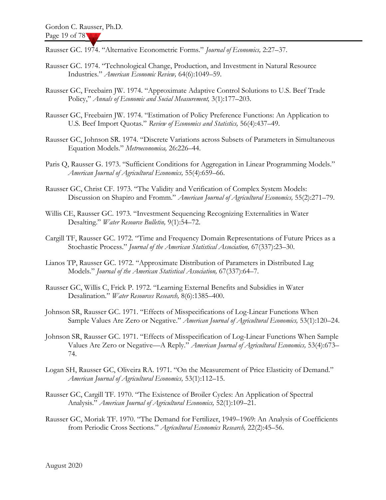Rausser GC. 1974. "Alternative Econometric Forms." Journal of Economics, 2:27-37.

- Rausser GC. 1974. "Technological Change, Production, and Investment in Natural Resource Industries." American Economic Review, 64(6):1049–59.
- Rausser GC, Freebairn JW. 1974. "Approximate Adaptive Control Solutions to U.S. Beef Trade Policy," Annals of Economic and Social Measurement, 3(1):177–203.
- Rausser GC, Freebairn JW. 1974. "Estimation of Policy Preference Functions: An Application to U.S. Beef Import Quotas." Review of Economics and Statistics, 56(4):437–49.
- Rausser GC, Johnson SR. 1974. "Discrete Variations across Subsets of Parameters in Simultaneous Equation Models." Metroeconomica, 26:226–44.
- Paris Q, Rausser G. 1973. "Sufficient Conditions for Aggregation in Linear Programming Models." American Journal of Agricultural Economics, 55(4):659–66.
- Rausser GC, Christ CF. 1973. "The Validity and Verification of Complex System Models: Discussion on Shapiro and Fromm." American Journal of Agricultural Economics, 55(2):271–79.
- Willis CE, Rausser GC. 1973. "Investment Sequencing Recognizing Externalities in Water Desalting." Water Resource Bulletin, 9(1):54-72.
- Cargill TF, Rausser GC. 1972. "Time and Frequency Domain Representations of Future Prices as a Stochastic Process." Journal of the American Statistical Association, 67(337):23-30.
- Lianos TP, Rausser GC. 1972. "Approximate Distribution of Parameters in Distributed Lag Models." Journal of the American Statistical Association, 67(337):64-7.
- Rausser GC, Willis C, Frick P. 1972. "Learning External Benefits and Subsidies in Water Desalination." Water Resources Research, 8(6):1385-400.
- Johnson SR, Rausser GC. 1971. "Effects of Misspecifications of Log-Linear Functions When Sample Values Are Zero or Negative." American Journal of Agricultural Economics, 53(1):120-24.
- Johnson SR, Rausser GC. 1971. "Effects of Misspecification of Log-Linear Functions When Sample Values Are Zero or Negative—A Reply." American Journal of Agricultural Economics, 53(4):673– 74.
- Logan SH, Rausser GC, Oliveira RA. 1971. "On the Measurement of Price Elasticity of Demand." American Journal of Agricultural Economics, 53(1):112–15.
- Rausser GC, Cargill TF. 1970. "The Existence of Broiler Cycles: An Application of Spectral Analysis." American Journal of Agricultural Economics, 52(1):109-21.
- Rausser GC, Moriak TF. 1970. "The Demand for Fertilizer, 1949–1969: An Analysis of Coefficients from Periodic Cross Sections." Agricultural Economics Research, 22(2):45-56.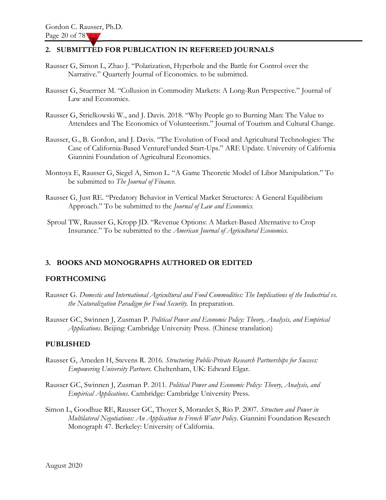#### 2. SUBMITTED FOR PUBLICATION IN REFEREED JOURNALS

- Rausser G, Simon L, Zhao J. "Polarization, Hyperbole and the Battle for Control over the Narrative." Quarterly Journal of Economics. to be submitted.
- Rausser G, Stuermer M. "Collusion in Commodity Markets: A Long-Run Perspective." Journal of Law and Economics.
- Rausser G, Strielkowski W., and J. Davis. 2018. "Why People go to Burning Man: The Value to Attendees and The Economics of Volunteerism." Journal of Tourism and Cultural Change.
- Rausser, G., B. Gordon, and J. Davis. "The Evolution of Food and Agricultural Technologies: The Case of California-Based VentureFunded Start-Ups." ARE Update. University of California Giannini Foundation of Agricultural Economics.
- Montoya E, Rausser G, Siegel A, Simon L. "A Game Theoretic Model of Libor Manipulation." To be submitted to The Journal of Finance.
- Rausser G, Just RE. "Predatory Behavior in Vertical Market Structures: A General Equilibrium Approach." To be submitted to the *Journal of Law and Economics*.
- Sproul TW, Rausser G, Kropp JD. "Revenue Options: A Market-Based Alternative to Crop Insurance." To be submitted to the American Journal of Agricultural Economics.

#### 3. BOOKS AND MONOGRAPHS AUTHORED OR EDITED

#### FORTHCOMING

- Rausser G. Domestic and International Agricultural and Food Commodities: The Implications of the Industrial vs. the Naturalization Paradigm for Food Security. In preparation.
- Rausser GC, Swinnen J, Zusman P. Political Power and Economic Policy: Theory, Analysis, and Empirical Applications. Beijing: Cambridge University Press. (Chinese translation)

#### PUBLISHED

- Rausser G, Ameden H, Stevens R. 2016. Structuring Public-Private Research Partnerships for Success: Empowering University Partners. Cheltenham, UK: Edward Elgar.
- Rausser GC, Swinnen J, Zusman P. 2011. Political Power and Economic Policy: Theory, Analysis, and Empirical Applications. Cambridge: Cambridge University Press.
- Simon L, Goodhue RE, Rausser GC, Thoyer S, Morardet S, Rio P. 2007. Structure and Power in Multilateral Negotiations: An Application to French Water Policy. Giannini Foundation Research Monograph 47. Berkeley: University of California.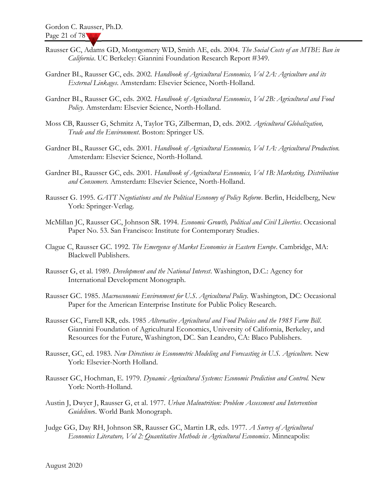- Rausser GC, Adams GD, Montgomery WD, Smith AE, eds. 2004. The Social Costs of an MTBE Ban in California. UC Berkeley: Giannini Foundation Research Report #349.
- Gardner BL, Rausser GC, eds. 2002. Handbook of Agricultural Economics, Vol 2A: Agriculture and its External Linkages. Amsterdam: Elsevier Science, North-Holland.
- Gardner BL, Rausser GC, eds. 2002. Handbook of Agricultural Economics, Vol 2B: Agricultural and Food Policy. Amsterdam: Elsevier Science, North-Holland.
- Moss CB, Rausser G, Schmitz A, Taylor TG, Zilberman, D, eds. 2002. Agricultural Globalization, Trade and the Environment. Boston: Springer US.
- Gardner BL, Rausser GC, eds. 2001. Handbook of Agricultural Economics, Vol 1A: Agricultural Production. Amsterdam: Elsevier Science, North-Holland.
- Gardner BL, Rausser GC, eds. 2001. Handbook of Agricultural Economics, Vol 1B: Marketing, Distribution and Consumers. Amsterdam: Elsevier Science, North-Holland.
- Rausser G. 1995. GATT Negotiations and the Political Economy of Policy Reform. Berlin, Heidelberg, New York: Springer-Verlag.
- McMillan JC, Rausser GC, Johnson SR. 1994. Economic Growth, Political and Civil Liberties. Occasional Paper No. 53. San Francisco: Institute for Contemporary Studies.
- Clague C, Rausser GC. 1992. The Emergence of Market Economies in Eastern Europe. Cambridge, MA: Blackwell Publishers.
- Rausser G, et al. 1989. Development and the National Interest. Washington, D.C.: Agency for International Development Monograph.
- Rausser GC. 1985. Macroeconomic Environment for U.S. Agricultural Policy. Washington, DC: Occasional Paper for the American Enterprise Institute for Public Policy Research.
- Rausser GC, Farrell KR, eds. 1985 Alternative Agricultural and Food Policies and the 1985 Farm Bill. Giannini Foundation of Agricultural Economics, University of California, Berkeley, and Resources for the Future, Washington, DC. San Leandro, CA: Blaco Publishers.
- Rausser, GC, ed. 1983. New Directions in Econometric Modeling and Forecasting in U.S. Agriculture. New York: Elsevier-North Holland.
- Rausser GC, Hochman, E. 1979. Dynamic Agricultural Systems: Economic Prediction and Control. New York: North-Holland.
- Austin J, Dwyer J, Rausser G, et al. 1977. Urban Malnutrition: Problem Assessment and Intervention Guidelines. World Bank Monograph.
- Judge GG, Day RH, Johnson SR, Rausser GC, Martin LR, eds. 1977. A Survey of Agricultural Economics Literature, Vol 2: Quantitative Methods in Agricultural Economics. Minneapolis: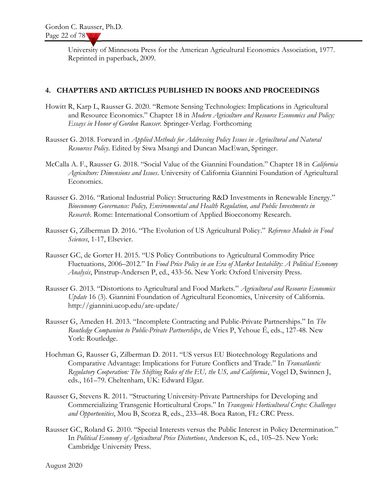University of Minnesota Press for the American Agricultural Economics Association, 1977. Reprinted in paperback, 2009.

#### 4. CHAPTERS AND ARTICLES PUBLISHED IN BOOKS AND PROCEEDINGS

- Howitt R, Karp L, Rausser G. 2020. "Remote Sensing Technologies: Implications in Agricultural and Resource Economics." Chapter 18 in Modern Agriculture and Resource Economics and Policy: Essays in Honor of Gordon Rausser. Springer-Verlag. Forthcoming
- Rausser G. 2018. Forward in Applied Methods for Addressing Policy Issues in Agriucltural and Natural Resources Policy. Edited by Siwa Msangi and Duncan MacEwan, Springer.
- McCalla A. F., Rausser G. 2018. "Social Value of the Giannini Foundation." Chapter 18 in California Agriculture: Dimensions and Issues. University of California Giannini Foundation of Agricultural Economics.
- Rausser G. 2016. "Rational Industrial Policy: Structuring R&D Investments in Renewable Energy." Bioeconomy Governance: Policy, Environmental and Health Regulation, and Public Investments in Research. Rome: International Consortium of Applied Bioeconomy Research.
- Rausser G, Zilberman D. 2016. "The Evolution of US Agricultural Policy." Reference Module in Food Sciences, 1-17, Elsevier.
- Rausser GC, de Gorter H. 2015. "US Policy Contributions to Agricultural Commodity Price Fluctuations, 2006–2012." In Food Price Policy in an Era of Market Instability: A Political Economy Analysis, Pinstrup-Andersen P, ed., 433-56. New York: Oxford University Press.
- Rausser G. 2013. "Distortions to Agricultural and Food Markets." Agricultural and Resource Economics Update 16 (3). Giannini Foundation of Agricultural Economics, University of California. http://giannini.ucop.edu/are-update/
- Rausser G, Ameden H. 2013. "Incomplete Contracting and Public-Private Partnerships." In The Routledge Companion to Public-Private Partnerships, de Vries P, Yehoue É, eds., 127-48. New York: Routledge.
- Hochman G, Rausser G, Zilberman D. 2011. "US versus EU Biotechnology Regulations and Comparative Advantage: Implications for Future Conflicts and Trade." In Transatlantic Regulatory Cooperation: The Shifting Roles of the EU, the US, and California, Vogel D, Swinnen J, eds., 161–79. Cheltenham, UK: Edward Elgar.
- Rausser G, Stevens R. 2011. "Structuring University-Private Partnerships for Developing and Commercializing Transgenic Horticultural Crops." In Transgenic Horticultural Crops: Challenges and Opportunities, Mou B, Scorza R, eds., 233–48. Boca Raton, FL: CRC Press.
- Rausser GC, Roland G. 2010. "Special Interests versus the Public Interest in Policy Determination." In Political Economy of Agricultural Price Distortions, Anderson K, ed., 105–25. New York: Cambridge University Press.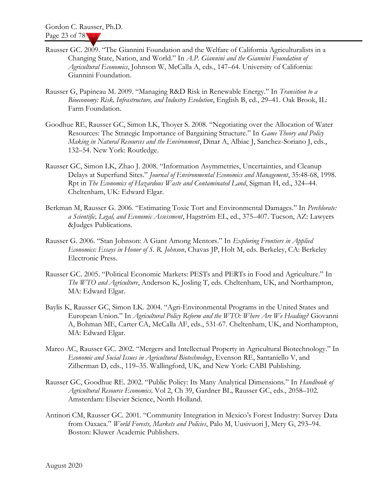- Rausser GC. 2009. "The Giannini Foundation and the Welfare of California Agriculturalists in a Changing State, Nation, and World." In A.P. Giannini and the Giannini Foundation of Agricultural Economics, Johnson W, McCalla A, eds., 147–64. University of California: Giannini Foundation.
- Rausser G, Papineau M. 2009. "Managing R&D Risk in Renewable Energy." In Transition to a Bioeconomy: Risk, Infrastructure, and Industry Evolution, English B, ed., 29–41. Oak Brook, IL: Farm Foundation.
- Goodhue RE, Rausser GC, Simon LK, Thoyer S. 2008. "Negotiating over the Allocation of Water Resources: The Strategic Importance of Bargaining Structure." In Game Theory and Policy Making in Natural Resources and the Environment, Dinar A, Albiac J, Sanchez-Soriano J, eds., 132–54. New York: Routledge.
- Rausser GC, Simon LK, Zhao J. 2008. "Information Asymmetries, Uncertainties, and Cleanup Delays at Superfund Sites." Journal of Environmental Economics and Management, 35:48-68, 1998. Rpt in The Economics of Hazardous Waste and Contaminated Land, Sigman H, ed., 324–44. Cheltenham, UK: Edward Elgar.
- Berkman M, Rausser G. 2006. "Estimating Toxic Tort and Environmental Damages." In Perchlorate: a Scientific, Legal, and Economic Assessment, Hagström EL, ed., 375–407. Tucson, AZ: Lawyers &Judges Publications.
- Rausser G. 2006. "Stan Johnson: A Giant Among Mentors." In Exploring Frontiers in Applied Economics: Essays in Honor of S. R. Johnson, Chavas JP, Holt M, eds. Berkeley, CA: Berkeley Electronic Press.
- Rausser GC. 2005. "Political Economic Markets: PESTs and PERTs in Food and Agriculture." In The WTO and Agriculture, Anderson K, Josling T, eds. Cheltenham, UK, and Northampton, MA: Edward Elgar.
- Baylis K, Rausser GC, Simon LK. 2004. "Agri-Environmental Programs in the United States and European Union." In Agricultural Policy Reform and the WTO: Where Are We Heading? Giovanni A, Bohman ME, Carter CA, McCalla AF, eds., 531-67. Cheltenham, UK, and Northampton, MA: Edward Elgar.
- Marco AC, Rausser GC. 2002. "Mergers and Intellectual Property in Agricultural Biotechnology." In Economic and Social Issues in Agricultural Biotechnology, Evenson RE, Santaniello V, and Zilberman D, eds., 119–35. Wallingford, UK, and New York: CABI Publishing.
- Rausser GC, Goodhue RE. 2002. "Public Policy: Its Many Analytical Dimensions." In Handbook of Agricultural Resource Economics, Vol 2, Ch 39, Gardner BL, Rausser GC, eds., 2058–102. Amsterdam: Elsevier Science, North Holland.
- Antinori CM, Rausser GC. 2001. "Community Integration in Mexico's Forest Industry: Survey Data from Oaxaca." World Forests, Markets and Policies, Palo M, Uusivuori J, Mery G, 293-94. Boston: Kluwer Academic Publishers.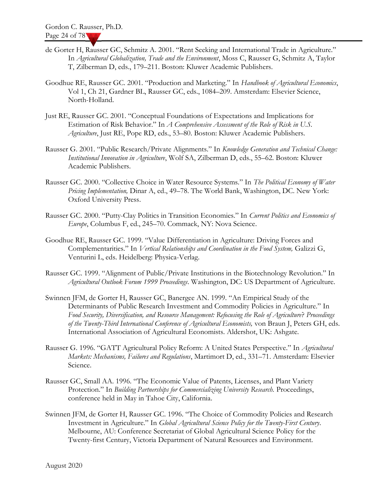- de Gorter H, Rausser GC, Schmitz A. 2001. "Rent Seeking and International Trade in Agriculture." In Agricultural Globalization, Trade and the Environment, Moss C, Rausser G, Schmitz A, Taylor T, Zilberman D, eds., 179–211. Boston: Kluwer Academic Publishers.
- Goodhue RE, Rausser GC. 2001. "Production and Marketing." In Handbook of Agricultural Economics, Vol 1, Ch 21, Gardner BL, Rausser GC, eds., 1084–209. Amsterdam: Elsevier Science, North-Holland.
- Just RE, Rausser GC. 2001. "Conceptual Foundations of Expectations and Implications for Estimation of Risk Behavior." In A Comprehensive Assessment of the Role of Risk in U.S. Agriculture, Just RE, Pope RD, eds., 53–80. Boston: Kluwer Academic Publishers.
- Rausser G. 2001. "Public Research/Private Alignments." In Knowledge Generation and Technical Change: Institutional Innovation in Agriculture, Wolf SA, Zilberman D, eds., 55–62. Boston: Kluwer Academic Publishers.
- Rausser GC. 2000. "Collective Choice in Water Resource Systems." In The Political Economy of Water Pricing Implementation, Dinar A, ed., 49–78. The World Bank, Washington, DC. New York: Oxford University Press.
- Rausser GC. 2000. "Putty-Clay Politics in Transition Economies." In Current Politics and Economics of Europe, Columbus F, ed., 245–70. Commack, NY: Nova Science.
- Goodhue RE, Rausser GC. 1999. "Value Differentiation in Agriculture: Driving Forces and Complementarities." In Vertical Relationships and Coordination in the Food System, Galizzi G, Venturini L, eds. Heidelberg: Physica-Verlag.
- Rausser GC. 1999. "Alignment of Public/Private Institutions in the Biotechnology Revolution." In Agricultural Outlook Forum 1999 Proceedings. Washington, DC: US Department of Agriculture.
- Swinnen JFM, de Gorter H, Rausser GC, Banergee AN. 1999. "An Empirical Study of the Determinants of Public Research Investment and Commodity Policies in Agriculture." In Food Security, Diversification, and Resource Management: Refocusing the Role of Agriculture? Proceedings of the Twenty-Third International Conference of Agricultural Economists, von Braun J, Peters GH, eds. International Association of Agricultural Economists. Aldershot, UK: Ashgate.
- Rausser G. 1996. "GATT Agricultural Policy Reform: A United States Perspective." In Agricultural Markets: Mechanisms, Failures and Regulations, Martimort D, ed., 331-71. Amsterdam: Elsevier Science.
- Rausser GC, Small AA. 1996. "The Economic Value of Patents, Licenses, and Plant Variety Protection." In Building Partnerships for Commercializing University Research. Proceedings, conference held in May in Tahoe City, California.
- Swinnen JFM, de Gorter H, Rausser GC. 1996. "The Choice of Commodity Policies and Research Investment in Agriculture." In Global Agricultural Science Policy for the Twenty-First Century. Melbourne, AU: Conference Secretariat of Global Agricultural Science Policy for the Twenty-first Century, Victoria Department of Natural Resources and Environment.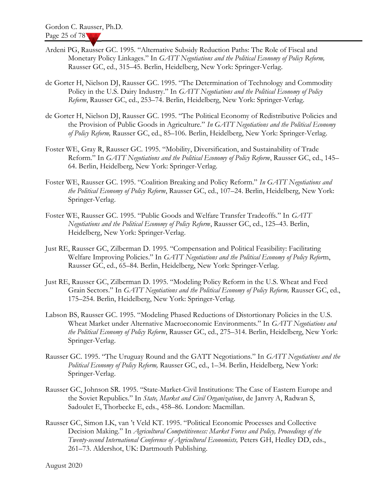- Ardeni PG, Rausser GC. 1995. "Alternative Subsidy Reduction Paths: The Role of Fiscal and Monetary Policy Linkages." In GATT Negotiations and the Political Economy of Policy Reform, Rausser GC, ed., 315–45. Berlin, Heidelberg, New York: Springer-Verlag.
- de Gorter H, Nielson DJ, Rausser GC. 1995. "The Determination of Technology and Commodity Policy in the U.S. Dairy Industry." In GATT Negotiations and the Political Economy of Policy Reform, Rausser GC, ed., 253–74. Berlin, Heidelberg, New York: Springer-Verlag.
- de Gorter H, Nielson DJ, Rausser GC. 1995. "The Political Economy of Redistributive Policies and the Provision of Public Goods in Agriculture." In GATT Negotiations and the Political Economy of Policy Reform, Rausser GC, ed., 85–106. Berlin, Heidelberg, New York: Springer-Verlag.
- Foster WE, Gray R, Rausser GC. 1995. "Mobility, Diversification, and Sustainability of Trade Reform." In GATT Negotiations and the Political Economy of Policy Reform, Rausser GC, ed., 145– 64. Berlin, Heidelberg, New York: Springer-Verlag.
- Foster WE, Rausser GC. 1995. "Coalition Breaking and Policy Reform." In GATT Negotiations and the Political Economy of Policy Reform, Rausser GC, ed., 107-24. Berlin, Heidelberg, New York: Springer-Verlag.
- Foster WE, Rausser GC. 1995. "Public Goods and Welfare Transfer Tradeoffs." In GATT Negotiations and the Political Economy of Policy Reform, Rausser GC, ed., 125–43. Berlin, Heidelberg, New York: Springer-Verlag.
- Just RE, Rausser GC, Zilberman D. 1995. "Compensation and Political Feasibility: Facilitating Welfare Improving Policies." In GATT Negotiations and the Political Economy of Policy Reform, Rausser GC, ed., 65–84. Berlin, Heidelberg, New York: Springer-Verlag.
- Just RE, Rausser GC, Zilberman D. 1995. "Modeling Policy Reform in the U.S. Wheat and Feed Grain Sectors." In GATT Negotiations and the Political Economy of Policy Reform, Rausser GC, ed., 175–254. Berlin, Heidelberg, New York: Springer-Verlag.
- Labson BS, Rausser GC. 1995. "Modeling Phased Reductions of Distortionary Policies in the U.S. Wheat Market under Alternative Macroeconomic Environments." In GATT Negotiations and the Political Economy of Policy Reform, Rausser GC, ed., 275–314. Berlin, Heidelberg, New York: Springer-Verlag.
- Rausser GC. 1995. "The Uruguay Round and the GATT Negotiations." In GATT Negotiations and the Political Economy of Policy Reform, Rausser GC, ed., 1-34. Berlin, Heidelberg, New York: Springer-Verlag.
- Rausser GC, Johnson SR. 1995. "State-Market-Civil Institutions: The Case of Eastern Europe and the Soviet Republics." In *State, Market and Civil Organizations*, de Janvry A, Radwan S, Sadoulet E, Thorbecke E, eds., 458–86. London: Macmillan.
- Rausser GC, Simon LK, van 't Veld KT. 1995. "Political Economic Processes and Collective Decision Making." In Agricultural Competitiveness: Market Forces and Policy, Proceedings of the Twenty-second International Conference of Agricultural Economists, Peters GH, Hedley DD, eds., 261–73. Aldershot, UK: Dartmouth Publishing.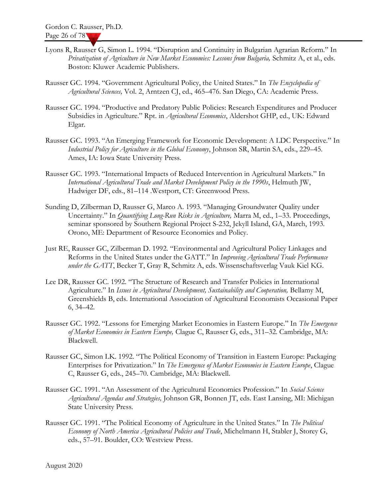- Lyons R, Rausser G, Simon L. 1994. "Disruption and Continuity in Bulgarian Agrarian Reform." In Privatization of Agriculture in New Market Economies: Lessons from Bulgaria, Schmitz A, et al., eds. Boston: Kluwer Academic Publishers.
- Rausser GC. 1994. "Government Agricultural Policy, the United States." In The Encyclopedia of Agricultural Sciences, Vol. 2, Arntzen CJ, ed., 465-476. San Diego, CA: Academic Press.
- Rausser GC. 1994. "Productive and Predatory Public Policies: Research Expenditures and Producer Subsidies in Agriculture." Rpt. in *Agricultural Economics*, Aldershot GHP, ed., UK: Edward Elgar.
- Rausser GC. 1993. "An Emerging Framework for Economic Development: A LDC Perspective." In Industrial Policy for Agriculture in the Global Economy, Johnson SR, Martin SA, eds., 229–45. Ames, IA: Iowa State University Press.
- Rausser GC. 1993. "International Impacts of Reduced Intervention in Agricultural Markets." In International Agricultural Trade and Market Development Policy in the 1990s, Helmuth JW, Hadwiger DF, eds., 81–114 .Westport, CT: Greenwood Press.
- Sunding D, Zilberman D, Rausser G, Marco A. 1993. "Managing Groundwater Quality under Uncertainty." In *Quantifying Long-Run Risks in Agriculture*, Marra M, ed., 1–33. Proceedings, seminar sponsored by Southern Regional Project S-232, Jekyll Island, GA, March, 1993. Orono, ME: Department of Resource Economics and Policy.
- Just RE, Rausser GC, Zilberman D. 1992. "Environmental and Agricultural Policy Linkages and Reforms in the United States under the GATT." In Improving Agricultural Trade Performance under the GATT, Becker T, Gray R, Schmitz A, eds. Wissenschaftsverlag Vauk Kiel KG.
- Lee DR, Rausser GC. 1992. "The Structure of Research and Transfer Policies in International Agriculture." In Issues in Agricultural Development, Sustainability and Cooperation, Bellamy M, Greenshields B, eds. International Association of Agricultural Economists Occasional Paper 6, 34–42.
- Rausser GC. 1992. "Lessons for Emerging Market Economies in Eastern Europe." In The Emergence of Market Economies in Eastern Europe, Clague C, Rausser G, eds., 311–32. Cambridge, MA: Blackwell.
- Rausser GC, Simon LK. 1992. "The Political Economy of Transition in Eastern Europe: Packaging Enterprises for Privatization." In The Emergence of Market Economies in Eastern Europe, Clague C, Rausser G, eds., 245–70. Cambridge, MA: Blackwell.
- Rausser GC. 1991. "An Assessment of the Agricultural Economics Profession." In Social Science Agricultural Agendas and Strategies, Johnson GR, Bonnen JT, eds. East Lansing, MI: Michigan State University Press.
- Rausser GC. 1991. "The Political Economy of Agriculture in the United States." In The Political Economy of North America Agricultural Policies and Trade, Michelmann H, Stabler J, Storey G, eds., 57–91. Boulder, CO: Westview Press.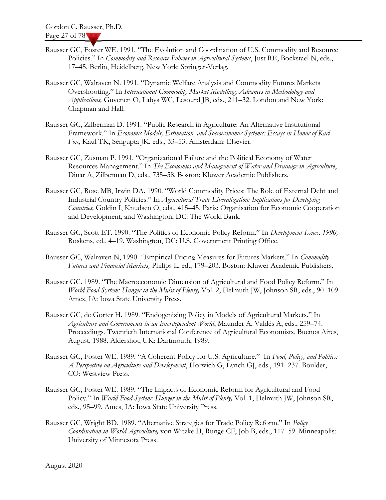- Rausser GC, Foster WE. 1991. "The Evolution and Coordination of U.S. Commodity and Resource Policies." In Commodity and Resource Policies in Agricultural Systems, Just RE, Bockstael N, eds., 17–45. Berlin, Heidelberg, New York: Springer-Verlag.
- Rausser GC, Walraven N. 1991. "Dynamic Welfare Analysis and Commodity Futures Markets Overshooting." In International Commodity Market Modelling: Advances in Methodology and Applications, Guvenen O, Labys WC, Lesourd JB, eds., 211–32. London and New York: Chapman and Hall.
- Rausser GC, Zilberman D. 1991. "Public Research in Agriculture: An Alternative Institutional Framework." In Economic Models, Estimation, and Socioeconomic Systems: Essays in Honor of Karl Fox, Kaul TK, Sengupta JK, eds., 33–53. Amsterdam: Elsevier.
- Rausser GC, Zusman P. 1991. "Organizational Failure and the Political Economy of Water Resources Management." In The Economics and Management of Water and Drainage in Agriculture, Dinar A, Zilberman D, eds., 735–58. Boston: Kluwer Academic Publishers.
- Rausser GC, Rose MB, Irwin DA. 1990. "World Commodity Prices: The Role of External Debt and Industrial Country Policies." In Agricultural Trade Liberalization: Implications for Developing Countries, Goldin I, Knudsen O, eds., 415–45. Paris: Organisation for Economic Cooperation and Development, and Washington, DC: The World Bank.
- Rausser GC, Scott ET. 1990. "The Politics of Economic Policy Reform." In Development Issues, 1990, Roskens, ed., 4–19. Washington, DC: U.S. Government Printing Office.
- Rausser GC, Walraven N, 1990. "Empirical Pricing Measures for Futures Markets." In Commodity Futures and Financial Markets, Philips L, ed., 179–203. Boston: Kluwer Academic Publishers.
- Rausser GC. 1989. "The Macroeconomic Dimension of Agricultural and Food Policy Reform." In World Food System: Hunger in the Midst of Plenty, Vol. 2, Helmuth JW, Johnson SR, eds., 90–109. Ames, IA: Iowa State University Press.
- Rausser GC, de Gorter H. 1989. "Endogenizing Policy in Models of Agricultural Markets." In Agriculture and Governments in an Interdependent World, Maunder A, Valdés A, eds., 259–74. Proceedings, Twentieth International Conference of Agricultural Economists, Buenos Aires, August, 1988. Aldershot, UK: Dartmouth, 1989.
- Rausser GC, Foster WE. 1989. "A Coherent Policy for U.S. Agriculture." In Food, Policy, and Politics: A Perspective on Agriculture and Development, Horwich G, Lynch GJ, eds., 191–237. Boulder, CO: Westview Press.
- Rausser GC, Foster WE. 1989. "The Impacts of Economic Reform for Agricultural and Food Policy." In World Food System: Hunger in the Midst of Plenty, Vol. 1, Helmuth JW, Johnson SR, eds., 95–99. Ames, IA: Iowa State University Press.
- Rausser GC, Wright BD. 1989. "Alternative Strategies for Trade Policy Reform." In Policy Coordination in World Agriculture, von Witzke H, Runge CF, Job B, eds., 117–59. Minneapolis: University of Minnesota Press.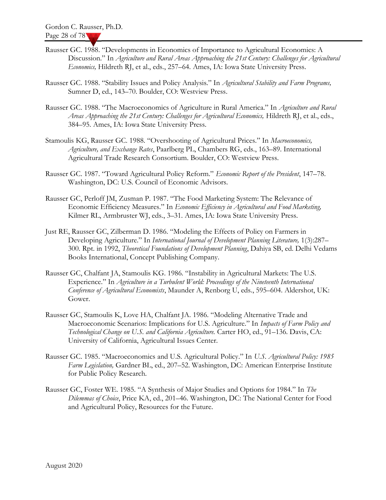- Rausser GC. 1988. "Developments in Economics of Importance to Agricultural Economics: A Discussion." In Agriculture and Rural Areas Approaching the 21st Century: Challenges for Agricultural Economics, Hildreth RJ, et al., eds., 257–64. Ames, IA: Iowa State University Press.
- Rausser GC. 1988. "Stability Issues and Policy Analysis." In Agricultural Stability and Farm Programs, Sumner D, ed., 143–70. Boulder, CO: Westview Press.
- Rausser GC. 1988. "The Macroeconomics of Agriculture in Rural America." In Agriculture and Rural Areas Approaching the 21st Century: Challenges for Agricultural Economics, Hildreth RJ, et al., eds., 384–95. Ames, IA: Iowa State University Press.
- Stamoulis KG, Rausser GC. 1988. "Overshooting of Agricultural Prices." In Macroeconomics, Agriculture, and Exchange Rates, Paarlberg PL, Chambers RG, eds., 163-89. International Agricultural Trade Research Consortium. Boulder, CO: Westview Press.
- Rausser GC. 1987. "Toward Agricultural Policy Reform." Economic Report of the President, 147–78. Washington, DC: U.S. Council of Economic Advisors.
- Rausser GC, Perloff JM, Zusman P. 1987. "The Food Marketing System: The Relevance of Economic Efficiency Measures." In Economic Efficiency in Agricultural and Food Marketing, Kilmer RL, Armbruster WJ, eds., 3–31. Ames, IA: Iowa State University Press.
- Just RE, Rausser GC, Zilberman D. 1986. "Modeling the Effects of Policy on Farmers in Developing Agriculture." In International Journal of Development Planning Literature, 1(3):287– 300. Rpt. in 1992, Theoretical Foundations of Development Planning, Dahiya SB, ed. Delhi Vedams Books International, Concept Publishing Company.
- Rausser GC, Chalfant JA, Stamoulis KG. 1986. "Instability in Agricultural Markets: The U.S. Experience." In Agriculture in a Turbulent World: Proceedings of the Nineteenth International Conference of Agricultural Economists, Maunder A, Renborg U, eds., 595–604. Aldershot, UK: Gower.
- Rausser GC, Stamoulis K, Love HA, Chalfant JA. 1986. "Modeling Alternative Trade and Macroeconomic Scenarios: Implications for U.S. Agriculture." In Impacts of Farm Policy and Technological Change on U.S. and California Agriculture. Carter HO, ed., 91–136. Davis, CA: University of California, Agricultural Issues Center.
- Rausser GC. 1985. "Macroeconomics and U.S. Agricultural Policy." In U.S. Agricultural Policy: 1985 Farm Legislation, Gardner BL, ed., 207–52. Washington, DC: American Enterprise Institute for Public Policy Research.
- Rausser GC, Foster WE. 1985. "A Synthesis of Major Studies and Options for 1984." In The Dilemmas of Choice, Price KA, ed., 201–46. Washington, DC: The National Center for Food and Agricultural Policy, Resources for the Future.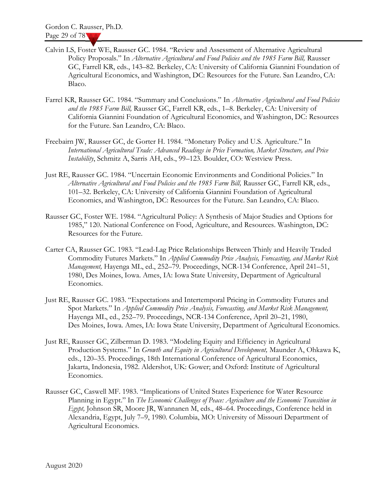- Calvin LS, Foster WE, Rausser GC. 1984. "Review and Assessment of Alternative Agricultural Policy Proposals." In Alternative Agricultural and Food Policies and the 1985 Farm Bill, Rausser GC, Farrell KR, eds., 143–82. Berkeley, CA: University of California Giannini Foundation of Agricultural Economics, and Washington, DC: Resources for the Future. San Leandro, CA: Blaco.
- Farrel KR, Rausser GC. 1984. "Summary and Conclusions." In Alternative Agricultural and Food Policies and the 1985 Farm Bill, Rausser GC, Farrell KR, eds., 1–8. Berkeley, CA: University of California Giannini Foundation of Agricultural Economics, and Washington, DC: Resources for the Future. San Leandro, CA: Blaco.
- Freebairn JW, Rausser GC, de Gorter H. 1984. "Monetary Policy and U.S. Agriculture." In International Agricultural Trade: Advanced Readings in Price Formation, Market Structure, and Price Instability, Schmitz A, Sarris AH, eds., 99–123. Boulder, CO: Westview Press.
- Just RE, Rausser GC. 1984. "Uncertain Economic Environments and Conditional Policies." In Alternative Agricultural and Food Policies and the 1985 Farm Bill, Rausser GC, Farrell KR, eds., 101–32. Berkeley, CA: University of California Giannini Foundation of Agricultural Economics, and Washington, DC: Resources for the Future. San Leandro, CA: Blaco.
- Rausser GC, Foster WE. 1984. "Agricultural Policy: A Synthesis of Major Studies and Options for 1985," 120. National Conference on Food, Agriculture, and Resources. Washington, DC: Resources for the Future.
- Carter CA, Rausser GC. 1983. "Lead-Lag Price Relationships Between Thinly and Heavily Traded Commodity Futures Markets." In Applied Commodity Price Analysis, Forecasting, and Market Risk Management, Hayenga ML, ed., 252-79. Proceedings, NCR-134 Conference, April 241-51, 1980, Des Moines, Iowa. Ames, IA: Iowa State University, Department of Agricultural Economics.
- Just RE, Rausser GC. 1983. "Expectations and Intertemporal Pricing in Commodity Futures and Spot Markets." In Applied Commodity Price Analysis, Forecasting, and Market Risk Management, Hayenga ML, ed., 252–79. Proceedings, NCR-134 Conference, April 20–21, 1980, Des Moines, Iowa. Ames, IA: Iowa State University, Department of Agricultural Economics.
- Just RE, Rausser GC, Zilberman D. 1983. "Modeling Equity and Efficiency in Agricultural Production Systems." In Growth and Equity in Agricultural Development, Maunder A, Ohkawa K, eds., 120–35. Proceedings, 18th International Conference of Agricultural Economics, Jakarta, Indonesia, 1982. Aldershot, UK: Gower; and Oxford: Institute of Agricultural Economics.
- Rausser GC, Caswell MF. 1983. "Implications of United States Experience for Water Resource Planning in Egypt." In The Economic Challenges of Peace: Agriculture and the Economic Transition in Egypt, Johnson SR, Moore JR, Wannanen M, eds., 48–64. Proceedings, Conference held in Alexandria, Egypt, July 7–9, 1980. Columbia, MO: University of Missouri Department of Agricultural Economics.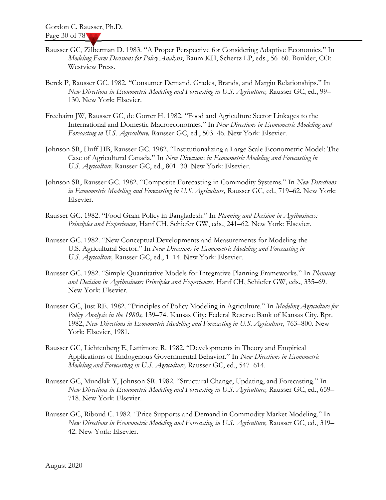- Rausser GC, Zilberman D. 1983. "A Proper Perspective for Considering Adaptive Economics." In Modeling Farm Decisions for Policy Analysis, Baum KH, Schertz LP, eds., 56–60. Boulder, CO: Westview Press.
- Berck P, Rausser GC. 1982. "Consumer Demand, Grades, Brands, and Margin Relationships." In New Directions in Econometric Modeling and Forecasting in U.S. Agriculture, Rausser GC, ed., 99– 130. New York: Elsevier.
- Freebairn JW, Rausser GC, de Gorter H. 1982. "Food and Agriculture Sector Linkages to the International and Domestic Macroeconomies." In New Directions in Econometric Modeling and Forecasting in U.S. Agriculture, Rausser GC, ed., 503–46. New York: Elsevier.
- Johnson SR, Huff HB, Rausser GC. 1982. "Institutionalizing a Large Scale Econometric Model: The Case of Agricultural Canada." In New Directions in Econometric Modeling and Forecasting in U.S. Agriculture, Rausser GC, ed., 801–30. New York: Elsevier.
- Johnson SR, Rausser GC. 1982. "Composite Forecasting in Commodity Systems." In New Directions in Econometric Modeling and Forecasting in U.S. Agriculture, Rausser GC, ed., 719–62. New York: Elsevier.
- Rausser GC. 1982. "Food Grain Policy in Bangladesh." In Planning and Decision in Agribusiness: Principles and Experiences, Hanf CH, Schiefer GW, eds., 241–62. New York: Elsevier.
- Rausser GC. 1982. "New Conceptual Developments and Measurements for Modeling the U.S. Agricultural Sector." In New Directions in Econometric Modeling and Forecasting in U.S. Agriculture, Rausser GC, ed., 1–14. New York: Elsevier.
- Rausser GC. 1982. "Simple Quantitative Models for Integrative Planning Frameworks." In Planning and Decision in Agribusiness: Principles and Experiences, Hanf CH, Schiefer GW, eds., 335–69. New York: Elsevier.
- Rausser GC, Just RE. 1982. "Principles of Policy Modeling in Agriculture." In Modeling Agriculture for Policy Analysis in the 1980s, 139–74. Kansas City: Federal Reserve Bank of Kansas City. Rpt. 1982, New Directions in Econometric Modeling and Forecasting in U.S. Agriculture, 763–800. New York: Elsevier, 1981.
- Rausser GC, Lichtenberg E, Lattimore R. 1982. "Developments in Theory and Empirical Applications of Endogenous Governmental Behavior." In New Directions in Econometric Modeling and Forecasting in U.S. Agriculture, Rausser GC, ed., 547–614.
- Rausser GC, Mundlak Y, Johnson SR. 1982. "Structural Change, Updating, and Forecasting." In New Directions in Econometric Modeling and Forecasting in U.S. Agriculture, Rausser GC, ed., 659– 718. New York: Elsevier.
- Rausser GC, Riboud C. 1982. "Price Supports and Demand in Commodity Market Modeling." In New Directions in Econometric Modeling and Forecasting in U.S. Agriculture, Rausser GC, ed., 319– 42. New York: Elsevier.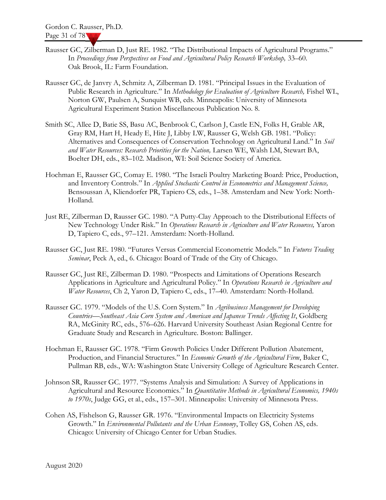- Rausser GC, Zilberman D, Just RE. 1982. "The Distributional Impacts of Agricultural Programs." In Proceedings from Perspectives on Food and Agricultural Policy Research Workshop, 33–60. Oak Brook, IL: Farm Foundation.
- Rausser GC, de Janvry A, Schmitz A, Zilberman D. 1981. "Principal Issues in the Evaluation of Public Research in Agriculture." In Methodology for Evaluation of Agriculture Research, Fishel WL, Norton GW, Paulsen A, Sunquist WB, eds. Minneapolis: University of Minnesota Agricultural Experiment Station Miscellaneous Publication No. 8.
- Smith SC, Allee D, Batie SS, Basu AC, Benbrook C, Carlson J, Castle EN, Folks H, Grable AR, Gray RM, Hart H, Heady E, Hite J, Libby LW, Rausser G, Welsh GB. 1981. "Policy: Alternatives and Consequences of Conservation Technology on Agricultural Land." In Soil and Water Resources: Research Priorities for the Nation, Larsen WE, Walsh LM, Stewart BA, Boelter DH, eds., 83–102. Madison, WI: Soil Science Society of America.
- Hochman E, Rausser GC, Comay E. 1980. "The Israeli Poultry Marketing Board: Price, Production, and Inventory Controls." In Applied Stochastic Control in Econometrics and Management Science, Bensoussan A, Kliendorfer PR, Tapiero CS, eds., 1–38. Amsterdam and New York: North-Holland.
- Just RE, Zilberman D, Rausser GC. 1980. "A Putty-Clay Approach to the Distributional Effects of New Technology Under Risk." In Operations Research in Agriculture and Water Resources, Yaron D, Tapiero C, eds., 97–121. Amsterdam: North-Holland.
- Rausser GC, Just RE. 1980. "Futures Versus Commercial Econometric Models." In Futures Trading Seminar, Peck A, ed., 6. Chicago: Board of Trade of the City of Chicago.
- Rausser GC, Just RE, Zilberman D. 1980. "Prospects and Limitations of Operations Research Applications in Agriculture and Agricultural Policy." In Operations Research in Agriculture and Water Resources, Ch 2, Yaron D, Tapiero C, eds., 17–40. Amsterdam: North-Holland.
- Rausser GC. 1979. "Models of the U.S. Corn System." In Agribusiness Management for Developing Countries—Southeast Asia Corn System and American and Japanese Trends Affecting It, Goldberg RA, McGinity RC, eds., 576–626. Harvard University Southeast Asian Regional Centre for Graduate Study and Research in Agriculture. Boston: Ballinger.
- Hochman E, Rausser GC. 1978. "Firm Growth Policies Under Different Pollution Abatement, Production, and Financial Structures." In Economic Growth of the Agricultural Firm, Baker C, Pullman RB, eds., WA: Washington State University College of Agriculture Research Center.
- Johnson SR, Rausser GC. 1977. "Systems Analysis and Simulation: A Survey of Applications in Agricultural and Resource Economics." In Quantitative Methods in Agricultural Economics, 1940s to 1970s, Judge GG, et al., eds., 157–301. Minneapolis: University of Minnesota Press.
- Cohen AS, Fishelson G, Rausser GR. 1976. "Environmental Impacts on Electricity Systems Growth." In Environmental Pollutants and the Urban Economy, Tolley GS, Cohen AS, eds. Chicago: University of Chicago Center for Urban Studies.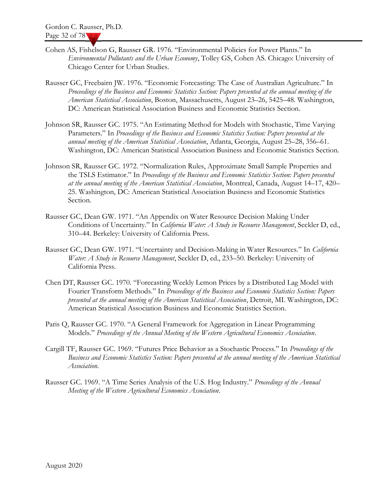- Cohen AS, Fishelson G, Rausser GR. 1976. "Environmental Policies for Power Plants." In Environmental Pollutants and the Urban Economy, Tolley GS, Cohen AS. Chicago: University of Chicago Center for Urban Studies.
- Rausser GC, Freebairn JW. 1976. "Economic Forecasting: The Case of Australian Agriculture." In Proceedings of the Business and Economic Statistics Section: Papers presented at the annual meeting of the American Statistical Association, Boston, Massachusetts, August 23–26, 5425–48. Washington, DC: American Statistical Association Business and Economic Statistics Section.
- Johnson SR, Rausser GC. 1975. "An Estimating Method for Models with Stochastic, Time Varying Parameters." In Proceedings of the Business and Economic Statistics Section: Papers presented at the annual meeting of the American Statistical Association, Atlanta, Georgia, August 25–28, 356–61. Washington, DC: American Statistical Association Business and Economic Statistics Section.
- Johnson SR, Rausser GC. 1972. "Normalization Rules, Approximate Small Sample Properties and the TSLS Estimator." In Proceedings of the Business and Economic Statistics Section: Papers presented at the annual meeting of the American Statistical Association, Montreal, Canada, August 14–17, 420– 25. Washington, DC: American Statistical Association Business and Economic Statistics Section.
- Rausser GC, Dean GW. 1971. "An Appendix on Water Resource Decision Making Under Conditions of Uncertainty." In *California Water: A Study in Resource Management*, Seckler D, ed., 310–44. Berkeley: University of California Press.
- Rausser GC, Dean GW. 1971. "Uncertainty and Decision-Making in Water Resources." In California Water: A Study in Resource Management, Seckler D, ed., 233-50. Berkeley: University of California Press.
- Chen DT, Rausser GC. 1970. "Forecasting Weekly Lemon Prices by a Distributed Lag Model with Fourier Transform Methods." In Proceedings of the Business and Economic Statistics Section: Papers presented at the annual meeting of the American Statistical Association, Detroit, MI. Washington, DC: American Statistical Association Business and Economic Statistics Section.
- Paris Q, Rausser GC. 1970. "A General Framework for Aggregation in Linear Programming Models." Proceedings of the Annual Meeting of the Western Agricultural Economics Association.
- Cargill TF, Rausser GC. 1969. "Futures Price Behavior as a Stochastic Process." In Proceedings of the Business and Economic Statistics Section: Papers presented at the annual meeting of the American Statistical Association.
- Rausser GC. 1969. "A Time Series Analysis of the U.S. Hog Industry." Proceedings of the Annual Meeting of the Western Agricultural Economics Association.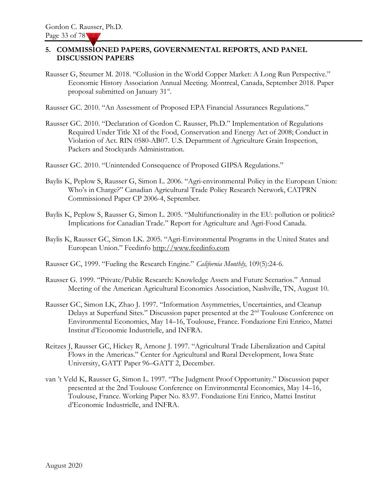#### 5. COMMISSIONED PAPERS, GOVERNMENTAL REPORTS, AND PANEL DISCUSSION PAPERS

Rausser G, Steumer M. 2018. "Collusion in the World Copper Market: A Long Run Perspective." Economic History Association Annual Meeting. Montreal, Canada, September 2018. Paper proposal submitted on January 31<sup>st</sup>.

Rausser GC. 2010. "An Assessment of Proposed EPA Financial Assurances Regulations."

Rausser GC. 2010. "Declaration of Gordon C. Rausser, Ph.D." Implementation of Regulations Required Under Title XI of the Food, Conservation and Energy Act of 2008; Conduct in Violation of Act. RIN 0580-AB07. U.S. Department of Agriculture Grain Inspection, Packers and Stockyards Administration.

Rausser GC. 2010. "Unintended Consequence of Proposed GIPSA Regulations."

- Baylis K, Peplow S, Rausser G, Simon L. 2006. "Agri-environmental Policy in the European Union: Who's in Charge?" Canadian Agricultural Trade Policy Research Network, CATPRN Commissioned Paper CP 2006-4, September.
- Baylis K, Peplow S, Rausser G, Simon L. 2005. "Multifunctionality in the EU: pollution or politics? Implications for Canadian Trade." Report for Agriculture and Agri-Food Canada.
- Baylis K, Rausser GC, Simon LK. 2005. "Agri-Environmental Programs in the United States and European Union." Feedinfo http://www.feedinfo.com

Rausser GC, 1999. "Fueling the Research Engine." California Monthly, 109(5):24-6.

- Rausser G. 1999. "Private/Public Research: Knowledge Assets and Future Scenarios." Annual Meeting of the American Agricultural Economics Association, Nashville, TN, August 10.
- Rausser GC, Simon LK, Zhao J. 1997. "Information Asymmetries, Uncertainties, and Cleanup Delays at Superfund Sites." Discussion paper presented at the 2<sup>nd</sup> Toulouse Conference on Environmental Economics, May 14–16, Toulouse, France. Fondazione Eni Enrico, Mattei Institut d'Economie Industrielle, and INFRA.
- Reitzes J, Rausser GC, Hickey R, Arnone J. 1997. "Agricultural Trade Liberalization and Capital Flows in the Americas." Center for Agricultural and Rural Development, Iowa State University, GATT Paper 96–GATT 2, December.
- van 't Veld K, Rausser G, Simon L. 1997. "The Judgment Proof Opportunity." Discussion paper presented at the 2nd Toulouse Conference on Environmental Economics, May 14–16, Toulouse, France. Working Paper No. 83.97. Fondazione Eni Enrico, Mattei Institut d'Economie Industrielle, and INFRA.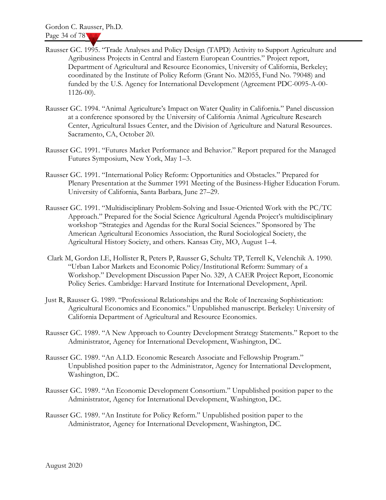- Rausser GC. 1995. "Trade Analyses and Policy Design (TAPD) Activity to Support Agriculture and Agribusiness Projects in Central and Eastern European Countries." Project report, Department of Agricultural and Resource Economics, University of California, Berkeley; coordinated by the Institute of Policy Reform (Grant No. M2055, Fund No. 79048) and funded by the U.S. Agency for International Development (Agreement PDC-0095-A-00- 1126-00).
- Rausser GC. 1994. "Animal Agriculture's Impact on Water Quality in California." Panel discussion at a conference sponsored by the University of California Animal Agriculture Research Center, Agricultural Issues Center, and the Division of Agriculture and Natural Resources. Sacramento, CA, October 20.
- Rausser GC. 1991. "Futures Market Performance and Behavior." Report prepared for the Managed Futures Symposium, New York, May 1–3.
- Rausser GC. 1991. "International Policy Reform: Opportunities and Obstacles." Prepared for Plenary Presentation at the Summer 1991 Meeting of the Business-Higher Education Forum. University of California, Santa Barbara, June 27–29.
- Rausser GC. 1991. "Multidisciplinary Problem-Solving and Issue-Oriented Work with the PC/TC Approach." Prepared for the Social Science Agricultural Agenda Project's multidisciplinary workshop "Strategies and Agendas for the Rural Social Sciences." Sponsored by The American Agricultural Economics Association, the Rural Sociological Society, the Agricultural History Society, and others. Kansas City, MO, August 1–4.
- Clark M, Gordon LE, Hollister R, Peters P, Rausser G, Schultz TP, Terrell K, Velenchik A. 1990. "Urban Labor Markets and Economic Policy/Institutional Reform: Summary of a Workshop." Development Discussion Paper No. 329, A CAER Project Report, Economic Policy Series. Cambridge: Harvard Institute for International Development, April.
- Just R, Rausser G. 1989. "Professional Relationships and the Role of Increasing Sophistication: Agricultural Economics and Economics." Unpublished manuscript. Berkeley: University of California Department of Agricultural and Resource Economics.
- Rausser GC. 1989. "A New Approach to Country Development Strategy Statements." Report to the Administrator, Agency for International Development, Washington, DC.
- Rausser GC. 1989. "An A.I.D. Economic Research Associate and Fellowship Program." Unpublished position paper to the Administrator, Agency for International Development, Washington, DC.
- Rausser GC. 1989. "An Economic Development Consortium." Unpublished position paper to the Administrator, Agency for International Development, Washington, DC.
- Rausser GC. 1989. "An Institute for Policy Reform." Unpublished position paper to the Administrator, Agency for International Development, Washington, DC.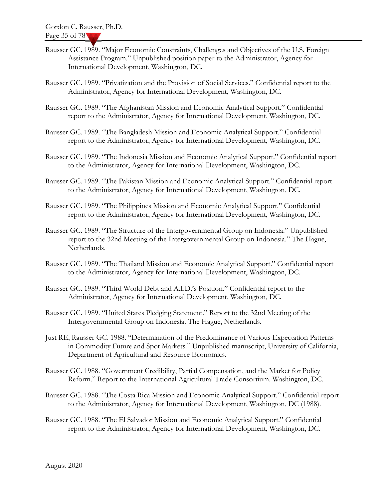- Rausser GC. 1989. "Major Economic Constraints, Challenges and Objectives of the U.S. Foreign Assistance Program." Unpublished position paper to the Administrator, Agency for International Development, Washington, DC.
- Rausser GC. 1989. "Privatization and the Provision of Social Services." Confidential report to the Administrator, Agency for International Development, Washington, DC.
- Rausser GC. 1989. "The Afghanistan Mission and Economic Analytical Support." Confidential report to the Administrator, Agency for International Development, Washington, DC.
- Rausser GC. 1989. "The Bangladesh Mission and Economic Analytical Support." Confidential report to the Administrator, Agency for International Development, Washington, DC.
- Rausser GC. 1989. "The Indonesia Mission and Economic Analytical Support." Confidential report to the Administrator, Agency for International Development, Washington, DC.
- Rausser GC. 1989. "The Pakistan Mission and Economic Analytical Support." Confidential report to the Administrator, Agency for International Development, Washington, DC.
- Rausser GC. 1989. "The Philippines Mission and Economic Analytical Support." Confidential report to the Administrator, Agency for International Development, Washington, DC.
- Rausser GC. 1989. "The Structure of the Intergovernmental Group on Indonesia." Unpublished report to the 32nd Meeting of the Intergovernmental Group on Indonesia." The Hague, Netherlands.
- Rausser GC. 1989. "The Thailand Mission and Economic Analytical Support." Confidential report to the Administrator, Agency for International Development, Washington, DC.
- Rausser GC. 1989. "Third World Debt and A.I.D.'s Position." Confidential report to the Administrator, Agency for International Development, Washington, DC.
- Rausser GC. 1989. "United States Pledging Statement." Report to the 32nd Meeting of the Intergovernmental Group on Indonesia. The Hague, Netherlands.
- Just RE, Rausser GC. 1988. "Determination of the Predominance of Various Expectation Patterns in Commodity Future and Spot Markets." Unpublished manuscript, University of California, Department of Agricultural and Resource Economics.
- Rausser GC. 1988. "Government Credibility, Partial Compensation, and the Market for Policy Reform." Report to the International Agricultural Trade Consortium. Washington, DC.
- Rausser GC. 1988. "The Costa Rica Mission and Economic Analytical Support." Confidential report to the Administrator, Agency for International Development, Washington, DC (1988).
- Rausser GC. 1988. "The El Salvador Mission and Economic Analytical Support." Confidential report to the Administrator, Agency for International Development, Washington, DC.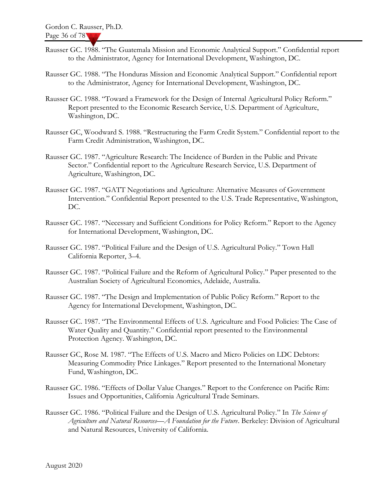- Rausser GC. 1988. "The Guatemala Mission and Economic Analytical Support." Confidential report to the Administrator, Agency for International Development, Washington, DC.
- Rausser GC. 1988. "The Honduras Mission and Economic Analytical Support." Confidential report to the Administrator, Agency for International Development, Washington, DC.
- Rausser GC. 1988. "Toward a Framework for the Design of Internal Agricultural Policy Reform." Report presented to the Economic Research Service, U.S. Department of Agriculture, Washington, DC.
- Rausser GC, Woodward S. 1988. "Restructuring the Farm Credit System." Confidential report to the Farm Credit Administration, Washington, DC.
- Rausser GC. 1987. "Agriculture Research: The Incidence of Burden in the Public and Private Sector." Confidential report to the Agriculture Research Service, U.S. Department of Agriculture, Washington, DC.
- Rausser GC. 1987. "GATT Negotiations and Agriculture: Alternative Measures of Government Intervention." Confidential Report presented to the U.S. Trade Representative, Washington, DC.
- Rausser GC. 1987. "Necessary and Sufficient Conditions for Policy Reform." Report to the Agency for International Development, Washington, DC.
- Rausser GC. 1987. "Political Failure and the Design of U.S. Agricultural Policy." Town Hall California Reporter, 3–4.
- Rausser GC. 1987. "Political Failure and the Reform of Agricultural Policy." Paper presented to the Australian Society of Agricultural Economics, Adelaide, Australia.
- Rausser GC. 1987. "The Design and Implementation of Public Policy Reform." Report to the Agency for International Development, Washington, DC.
- Rausser GC. 1987. "The Environmental Effects of U.S. Agriculture and Food Policies: The Case of Water Quality and Quantity." Confidential report presented to the Environmental Protection Agency. Washington, DC.
- Rausser GC, Rose M. 1987. "The Effects of U.S. Macro and Micro Policies on LDC Debtors: Measuring Commodity Price Linkages." Report presented to the International Monetary Fund, Washington, DC.
- Rausser GC. 1986. "Effects of Dollar Value Changes." Report to the Conference on Pacific Rim: Issues and Opportunities, California Agricultural Trade Seminars.
- Rausser GC. 1986. "Political Failure and the Design of U.S. Agricultural Policy." In The Science of Agriculture and Natural Resources—A Foundation for the Future. Berkeley: Division of Agricultural and Natural Resources, University of California.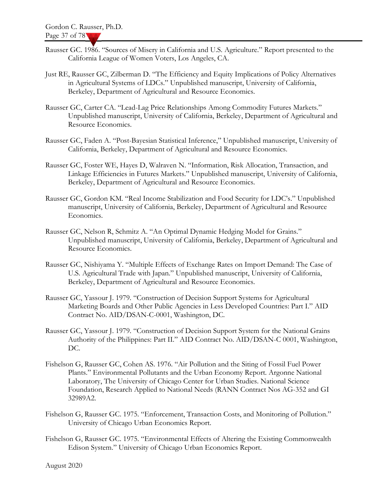- Rausser GC. 1986. "Sources of Misery in California and U.S. Agriculture." Report presented to the California League of Women Voters, Los Angeles, CA.
- Just RE, Rausser GC, Zilberman D. "The Efficiency and Equity Implications of Policy Alternatives in Agricultural Systems of LDCs." Unpublished manuscript, University of California, Berkeley, Department of Agricultural and Resource Economics.
- Rausser GC, Carter CA. "Lead-Lag Price Relationships Among Commodity Futures Markets." Unpublished manuscript, University of California, Berkeley, Department of Agricultural and Resource Economics.
- Rausser GC, Faden A. "Post-Bayesian Statistical Inference," Unpublished manuscript, University of California, Berkeley, Department of Agricultural and Resource Economics.
- Rausser GC, Foster WE, Hayes D, Walraven N. "Information, Risk Allocation, Transaction, and Linkage Efficiencies in Futures Markets." Unpublished manuscript, University of California, Berkeley, Department of Agricultural and Resource Economics.
- Rausser GC, Gordon KM. "Real Income Stabilization and Food Security for LDC's." Unpublished manuscript, University of California, Berkeley, Department of Agricultural and Resource Economics.
- Rausser GC, Nelson R, Schmitz A. "An Optimal Dynamic Hedging Model for Grains." Unpublished manuscript, University of California, Berkeley, Department of Agricultural and Resource Economics.
- Rausser GC, Nishiyama Y. "Multiple Effects of Exchange Rates on Import Demand: The Case of U.S. Agricultural Trade with Japan." Unpublished manuscript, University of California, Berkeley, Department of Agricultural and Resource Economics.
- Rausser GC, Yassour J. 1979. "Construction of Decision Support Systems for Agricultural Marketing Boards and Other Public Agencies in Less Developed Countries: Part I." AID Contract No. AID/DSAN-C-0001, Washington, DC.
- Rausser GC, Yassour J. 1979. "Construction of Decision Support System for the National Grains Authority of the Philippines: Part II." AID Contract No. AID/DSAN-C 0001, Washington, DC.
- Fishelson G, Rausser GC, Cohen AS. 1976. "Air Pollution and the Siting of Fossil Fuel Power Plants." Environmental Pollutants and the Urban Economy Report. Argonne National Laboratory, The University of Chicago Center for Urban Studies. National Science Foundation, Research Applied to National Needs (RANN Contract Nos AG-352 and GI 32989A2.
- Fishelson G, Rausser GC. 1975. "Enforcement, Transaction Costs, and Monitoring of Pollution." University of Chicago Urban Economics Report.
- Fishelson G, Rausser GC. 1975. "Environmental Effects of Altering the Existing Commonwealth Edison System." University of Chicago Urban Economics Report.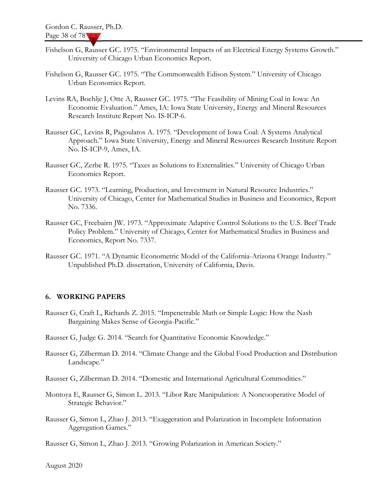- Fishelson G, Rausser GC. 1975. "Environmental Impacts of an Electrical Energy Systems Growth." University of Chicago Urban Economics Report.
- Fishelson G, Rausser GC. 1975. "The Commonwealth Edison System." University of Chicago Urban Economics Report.
- Levins RA, Boehlje J, Otte A, Rausser GC. 1975. "The Feasibility of Mining Coal in Iowa: An Economic Evaluation." Ames, IA: Iowa State University, Energy and Mineral Resources Research Institute Report No. IS-ICP-6.
- Rausser GC, Levins R, Pagoulatos A. 1975. "Development of Iowa Coal: A Systems Analytical Approach." Iowa State University, Energy and Mineral Resources Research Institute Report No. IS-ICP-9, Ames, IA.
- Rausser GC, Zerbe R. 1975. "Taxes as Solutions to Externalities." University of Chicago Urban Economics Report.
- Rausser GC. 1973. "Learning, Production, and Investment in Natural Resource Industries." University of Chicago, Center for Mathematical Studies in Business and Economics, Report No. 7336.
- Rausser GC, Freebairn JW. 1973. "Approximate Adaptive Control Solutions to the U.S. Beef Trade Policy Problem." University of Chicago, Center for Mathematical Studies in Business and Economics, Report No. 7337.
- Rausser GC. 1971. "A Dynamic Econometric Model of the California-Arizona Orange Industry." Unpublished Ph.D. dissertation, University of California, Davis.

#### 6. WORKING PAPERS

- Rausser G, Craft L, Richards Z. 2015. "Impenetrable Math or Simple Logic: How the Nash Bargaining Makes Sense of Georgia-Pacific."
- Rausser G, Judge G. 2014. "Search for Quantitative Economic Knowledge."
- Rausser G, Zilberman D. 2014. "Climate Change and the Global Food Production and Distribution Landscape."
- Rausser G, Zilberman D. 2014. "Domestic and International Agricultural Commodities."
- Montoya E, Rausser G, Simon L. 2013. "Libor Rate Manipulation: A Noncooperative Model of Strategic Behavior."
- Rausser G, Simon L, Zhao J. 2013. "Exaggeration and Polarization in Incomplete Information Aggregation Games."
- Rausser G, Simon L, Zhao J. 2013. "Growing Polarization in American Society."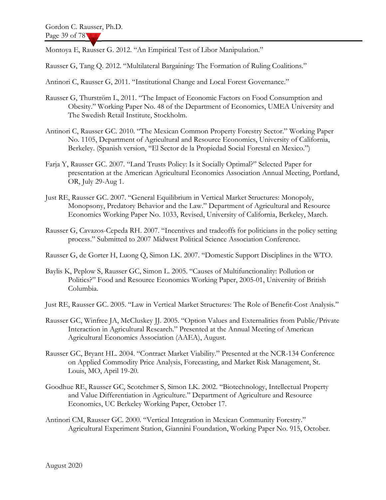Montoya E, Rausser G. 2012. "An Empirical Test of Libor Manipulation."

Rausser G, Tang Q. 2012. "Multilateral Bargaining: The Formation of Ruling Coalitions."

Antinori C, Rausser G, 2011. "Institutional Change and Local Forest Governance."

- Rausser G, Thurström L, 2011. "The Impact of Economic Factors on Food Consumption and Obesity." Working Paper No. 48 of the Department of Economics, UMEA University and The Swedish Retail Institute, Stockholm.
- Antinori C, Rausser GC. 2010. "The Mexican Common Property Forestry Sector." Working Paper No. 1105, Department of Agricultural and Resource Economics, University of California, Berkeley. (Spanish version, "El Sector de la Propiedad Social Forestal en Mexico.")
- Farja Y, Rausser GC. 2007. "Land Trusts Policy: Is it Socially Optimal?" Selected Paper for presentation at the American Agricultural Economics Association Annual Meeting, Portland, OR, July 29-Aug 1.
- Just RE, Rausser GC. 2007. "General Equilibrium in Vertical Market Structures: Monopoly, Monopsony, Predatory Behavior and the Law." Department of Agricultural and Resource Economics Working Paper No. 1033, Revised, University of California, Berkeley, March.
- Rausser G, Cavazos-Cepeda RH. 2007. "Incentives and tradeoffs for politicians in the policy setting process." Submitted to 2007 Midwest Political Science Association Conference.
- Rausser G, de Gorter H, Luong Q, Simon LK. 2007. "Domestic Support Disciplines in the WTO.
- Baylis K, Peplow S, Rausser GC, Simon L. 2005. "Causes of Multifunctionality: Pollution or Politics?" Food and Resource Economics Working Paper, 2005-01, University of British Columbia.
- Just RE, Rausser GC. 2005. "Law in Vertical Market Structures: The Role of Benefit-Cost Analysis."
- Rausser GC, Winfree JA, McCluskey JJ. 2005. "Option Values and Externalities from Public/Private Interaction in Agricultural Research." Presented at the Annual Meeting of American Agricultural Economics Association (AAEA), August.
- Rausser GC, Bryant HL. 2004. "Contract Market Viability." Presented at the NCR-134 Conference on Applied Commodity Price Analysis, Forecasting, and Market Risk Management, St. Louis, MO, April 19-20.
- Goodhue RE, Rausser GC, Scotchmer S, Simon LK. 2002. "Biotechnology, Intellectual Property and Value Differentiation in Agriculture." Department of Agriculture and Resource Economics, UC Berkeley Working Paper, October 17.
- Antinori CM, Rausser GC. 2000. "Vertical Integration in Mexican Community Forestry." Agricultural Experiment Station, Giannini Foundation, Working Paper No. 915, October.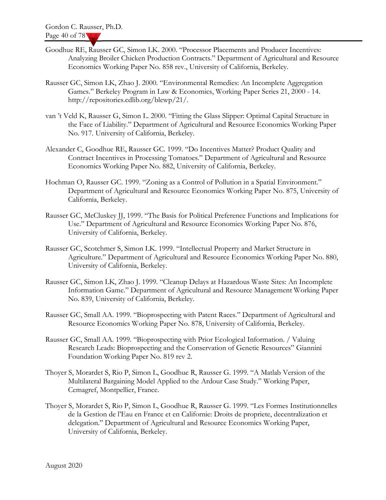- Goodhue RE, Rausser GC, Simon LK. 2000. "Processor Placements and Producer Incentives: Analyzing Broiler Chicken Production Contracts." Department of Agricultural and Resource Economics Working Paper No. 858 rev., University of California, Berkeley.
- Rausser GC, Simon LK, Zhao J. 2000. "Environmental Remedies: An Incomplete Aggregation Games." Berkeley Program in Law & Economics, Working Paper Series 21, 2000 - 14. http://repositories.cdlib.org/blewp/21/.
- van 't Veld K, Rausser G, Simon L. 2000. "Fitting the Glass Slipper: Optimal Capital Structure in the Face of Liability." Department of Agricultural and Resource Economics Working Paper No. 917. University of California, Berkeley.
- Alexander C, Goodhue RE, Rausser GC. 1999. "Do Incentives Matter? Product Quality and Contract Incentives in Processing Tomatoes." Department of Agricultural and Resource Economics Working Paper No. 882, University of California, Berkeley.
- Hochman O, Rausser GC. 1999. "Zoning as a Control of Pollution in a Spatial Environment." Department of Agricultural and Resource Economics Working Paper No. 875, University of California, Berkeley.
- Rausser GC, McCluskey JJ, 1999. "The Basis for Political Preference Functions and Implications for Use." Department of Agricultural and Resource Economics Working Paper No. 876, University of California, Berkeley.
- Rausser GC, Scotchmer S, Simon LK. 1999. "Intellectual Property and Market Structure in Agriculture." Department of Agricultural and Resource Economics Working Paper No. 880, University of California, Berkeley.
- Rausser GC, Simon LK, Zhao J. 1999. "Cleanup Delays at Hazardous Waste Sites: An Incomplete Information Game." Department of Agricultural and Resource Management Working Paper No. 839, University of California, Berkeley.
- Rausser GC, Small AA. 1999. "Bioprospecting with Patent Races." Department of Agricultural and Resource Economics Working Paper No. 878, University of California, Berkeley.
- Rausser GC, Small AA. 1999. "Bioprospecting with Prior Ecological Information. / Valuing Research Leads: Bioprospecting and the Conservation of Genetic Resources" Giannini Foundation Working Paper No. 819 rev 2.
- Thoyer S, Morardet S, Rio P, Simon L, Goodhue R, Rausser G. 1999. "A Matlab Version of the Multilateral Bargaining Model Applied to the Ardour Case Study." Working Paper, Cemagref, Montpellier, France.
- Thoyer S, Morardet S, Rio P, Simon L, Goodhue R, Rausser G. 1999. "Les Formes Institutionnelles de la Gestion de l'Eau en France et en Californie: Droits de propriete, decentralization et delegation." Department of Agricultural and Resource Economics Working Paper, University of California, Berkeley.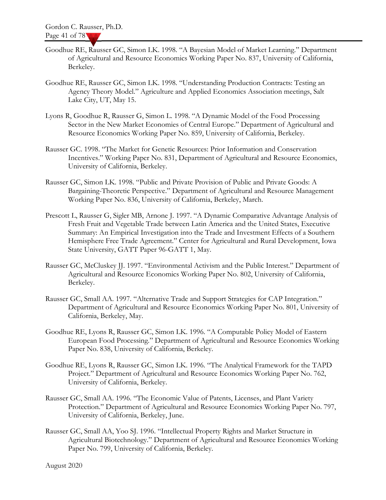- Goodhue RE, Rausser GC, Simon LK. 1998. "A Bayesian Model of Market Learning." Department of Agricultural and Resource Economics Working Paper No. 837, University of California, Berkeley.
- Goodhue RE, Rausser GC, Simon LK. 1998. "Understanding Production Contracts: Testing an Agency Theory Model." Agriculture and Applied Economics Association meetings, Salt Lake City, UT, May 15.
- Lyons R, Goodhue R, Rausser G, Simon L. 1998. "A Dynamic Model of the Food Processing Sector in the New Market Economies of Central Europe." Department of Agricultural and Resource Economics Working Paper No. 859, University of California, Berkeley.
- Rausser GC. 1998. "The Market for Genetic Resources: Prior Information and Conservation Incentives." Working Paper No. 831, Department of Agricultural and Resource Economics, University of California, Berkeley.
- Rausser GC, Simon LK. 1998. "Public and Private Provision of Public and Private Goods: A Bargaining-Theoretic Perspective." Department of Agricultural and Resource Management Working Paper No. 836, University of California, Berkeley, March.
- Prescott L, Rausser G, Sigler MB, Arnone J. 1997. "A Dynamic Comparative Advantage Analysis of Fresh Fruit and Vegetable Trade between Latin America and the United States, Executive Summary: An Empirical Investigation into the Trade and Investment Effects of a Southern Hemisphere Free Trade Agreement." Center for Agricultural and Rural Development, Iowa State University, GATT Paper 96-GATT 1, May.
- Rausser GC, McCluskey JJ. 1997. "Environmental Activism and the Public Interest." Department of Agricultural and Resource Economics Working Paper No. 802, University of California, Berkeley.
- Rausser GC, Small AA. 1997. "Alternative Trade and Support Strategies for CAP Integration." Department of Agricultural and Resource Economics Working Paper No. 801, University of California, Berkeley, May.
- Goodhue RE, Lyons R, Rausser GC, Simon LK. 1996. "A Computable Policy Model of Eastern European Food Processing." Department of Agricultural and Resource Economics Working Paper No. 838, University of California, Berkeley.
- Goodhue RE, Lyons R, Rausser GC, Simon LK. 1996. "The Analytical Framework for the TAPD Project." Department of Agricultural and Resource Economics Working Paper No. 762, University of California, Berkeley.
- Rausser GC, Small AA. 1996. "The Economic Value of Patents, Licenses, and Plant Variety Protection." Department of Agricultural and Resource Economics Working Paper No. 797, University of California, Berkeley, June.
- Rausser GC, Small AA, Yoo SJ. 1996. "Intellectual Property Rights and Market Structure in Agricultural Biotechnology." Department of Agricultural and Resource Economics Working Paper No. 799, University of California, Berkeley.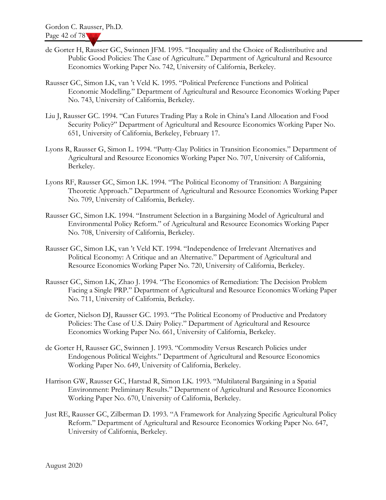- de Gorter H, Rausser GC, Swinnen JFM. 1995. "Inequality and the Choice of Redistributive and Public Good Policies: The Case of Agriculture." Department of Agricultural and Resource Economics Working Paper No. 742, University of California, Berkeley.
- Rausser GC, Simon LK, van 't Veld K. 1995. "Political Preference Functions and Political Economic Modelling." Department of Agricultural and Resource Economics Working Paper No. 743, University of California, Berkeley.
- Liu J, Rausser GC. 1994. "Can Futures Trading Play a Role in China's Land Allocation and Food Security Policy?" Department of Agricultural and Resource Economics Working Paper No. 651, University of California, Berkeley, February 17.
- Lyons R, Rausser G, Simon L. 1994. "Putty-Clay Politics in Transition Economies." Department of Agricultural and Resource Economics Working Paper No. 707, University of California, Berkeley.
- Lyons RF, Rausser GC, Simon LK. 1994. "The Political Economy of Transition: A Bargaining Theoretic Approach." Department of Agricultural and Resource Economics Working Paper No. 709, University of California, Berkeley.
- Rausser GC, Simon LK. 1994. "Instrument Selection in a Bargaining Model of Agricultural and Environmental Policy Reform." of Agricultural and Resource Economics Working Paper No. 708, University of California, Berkeley.
- Rausser GC, Simon LK, van 't Veld KT. 1994. "Independence of Irrelevant Alternatives and Political Economy: A Critique and an Alternative." Department of Agricultural and Resource Economics Working Paper No. 720, University of California, Berkeley.
- Rausser GC, Simon LK, Zhao J. 1994. "The Economics of Remediation: The Decision Problem Facing a Single PRP." Department of Agricultural and Resource Economics Working Paper No. 711, University of California, Berkeley.
- de Gorter, Nielson DJ, Rausser GC. 1993. "The Political Economy of Productive and Predatory Policies: The Case of U.S. Dairy Policy." Department of Agricultural and Resource Economics Working Paper No. 661, University of California, Berkeley.
- de Gorter H, Rausser GC, Swinnen J. 1993. "Commodity Versus Research Policies under Endogenous Political Weights." Department of Agricultural and Resource Economics Working Paper No. 649, University of California, Berkeley.
- Harrison GW, Rausser GC, Harstad R, Simon LK. 1993. "Multilateral Bargaining in a Spatial Environment: Preliminary Results." Department of Agricultural and Resource Economics Working Paper No. 670, University of California, Berkeley.
- Just RE, Rausser GC, Zilberman D. 1993. "A Framework for Analyzing Specific Agricultural Policy Reform." Department of Agricultural and Resource Economics Working Paper No. 647, University of California, Berkeley.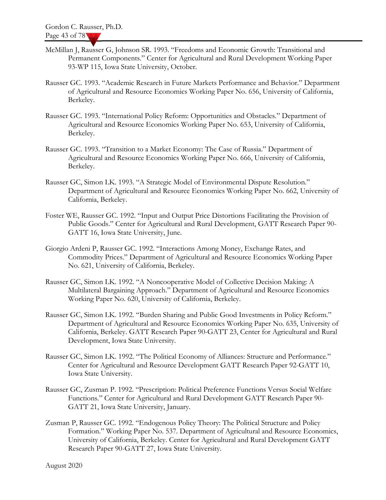- McMillan J, Rausser G, Johnson SR. 1993. "Freedoms and Economic Growth: Transitional and Permanent Components." Center for Agricultural and Rural Development Working Paper 93-WP 115, Iowa State University, October.
- Rausser GC. 1993. "Academic Research in Future Markets Performance and Behavior." Department of Agricultural and Resource Economics Working Paper No. 656, University of California, Berkeley.
- Rausser GC. 1993. "International Policy Reform: Opportunities and Obstacles." Department of Agricultural and Resource Economics Working Paper No. 653, University of California, Berkeley.
- Rausser GC. 1993. "Transition to a Market Economy: The Case of Russia." Department of Agricultural and Resource Economics Working Paper No. 666, University of California, Berkeley.
- Rausser GC, Simon LK. 1993. "A Strategic Model of Environmental Dispute Resolution." Department of Agricultural and Resource Economics Working Paper No. 662, University of California, Berkeley.
- Foster WE, Rausser GC. 1992. "Input and Output Price Distortions Facilitating the Provision of Public Goods." Center for Agricultural and Rural Development, GATT Research Paper 90- GATT 16, Iowa State University, June.
- Giorgio Ardeni P, Rausser GC. 1992. "Interactions Among Money, Exchange Rates, and Commodity Prices." Department of Agricultural and Resource Economics Working Paper No. 621, University of California, Berkeley.
- Rausser GC, Simon LK. 1992. "A Noncooperative Model of Collective Decision Making: A Multilateral Bargaining Approach." Department of Agricultural and Resource Economics Working Paper No. 620, University of California, Berkeley.
- Rausser GC, Simon LK. 1992. "Burden Sharing and Public Good Investments in Policy Reform." Department of Agricultural and Resource Economics Working Paper No. 635, University of California, Berkeley. GATT Research Paper 90-GATT 23, Center for Agricultural and Rural Development, Iowa State University.
- Rausser GC, Simon LK. 1992. "The Political Economy of Alliances: Structure and Performance." Center for Agricultural and Resource Development GATT Research Paper 92-GATT 10, Iowa State University.
- Rausser GC, Zusman P. 1992. "Prescription: Political Preference Functions Versus Social Welfare Functions." Center for Agricultural and Rural Development GATT Research Paper 90- GATT 21, Iowa State University, January.
- Zusman P, Rausser GC. 1992. "Endogenous Policy Theory: The Political Structure and Policy Formation." Working Paper No. 537. Department of Agricultural and Resource Economics, University of California, Berkeley. Center for Agricultural and Rural Development GATT Research Paper 90-GATT 27, Iowa State University.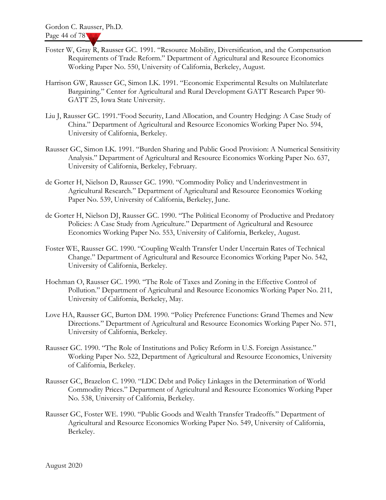- Foster W, Gray R, Rausser GC. 1991. "Resource Mobility, Diversification, and the Compensation Requirements of Trade Reform." Department of Agricultural and Resource Economics Working Paper No. 550, University of California, Berkeley, August.
- Harrison GW, Rausser GC, Simon LK. 1991. "Economic Experimental Results on Multilaterlate Bargaining." Center for Agricultural and Rural Development GATT Research Paper 90- GATT 25, Iowa State University.
- Liu J, Rausser GC. 1991."Food Security, Land Allocation, and Country Hedging: A Case Study of China." Department of Agricultural and Resource Economics Working Paper No. 594, University of California, Berkeley.
- Rausser GC, Simon LK. 1991. "Burden Sharing and Public Good Provision: A Numerical Sensitivity Analysis." Department of Agricultural and Resource Economics Working Paper No. 637, University of California, Berkeley, February.
- de Gorter H, Nielson D, Rausser GC. 1990. "Commodity Policy and Underinvestment in Agricultural Research." Department of Agricultural and Resource Economics Working Paper No. 539, University of California, Berkeley, June.
- de Gorter H, Nielson DJ, Rausser GC. 1990. "The Political Economy of Productive and Predatory Policies: A Case Study from Agriculture." Department of Agricultural and Resource Economics Working Paper No. 553, University of California, Berkeley, August.
- Foster WE, Rausser GC. 1990. "Coupling Wealth Transfer Under Uncertain Rates of Technical Change." Department of Agricultural and Resource Economics Working Paper No. 542, University of California, Berkeley.
- Hochman O, Rausser GC. 1990. "The Role of Taxes and Zoning in the Effective Control of Pollution." Department of Agricultural and Resource Economics Working Paper No. 211, University of California, Berkeley, May.
- Love HA, Rausser GC, Burton DM. 1990. "Policy Preference Functions: Grand Themes and New Directions." Department of Agricultural and Resource Economics Working Paper No. 571, University of California, Berkeley.
- Rausser GC. 1990. "The Role of Institutions and Policy Reform in U.S. Foreign Assistance." Working Paper No. 522, Department of Agricultural and Resource Economics, University of California, Berkeley.
- Rausser GC, Brazelon C. 1990. "LDC Debt and Policy Linkages in the Determination of World Commodity Prices." Department of Agricultural and Resource Economics Working Paper No. 538, University of California, Berkeley.
- Rausser GC, Foster WE. 1990. "Public Goods and Wealth Transfer Tradeoffs." Department of Agricultural and Resource Economics Working Paper No. 549, University of California, Berkeley.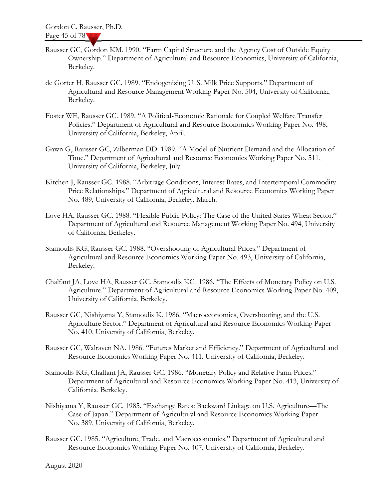- Rausser GC, Gordon KM. 1990. "Farm Capital Structure and the Agency Cost of Outside Equity Ownership." Department of Agricultural and Resource Economics, University of California, Berkeley.
- de Gorter H, Rausser GC. 1989. "Endogenizing U. S. Milk Price Supports." Department of Agricultural and Resource Management Working Paper No. 504, University of California, Berkeley.
- Foster WE, Rausser GC. 1989. "A Political-Economic Rationale for Coupled Welfare Transfer Policies." Department of Agricultural and Resource Economics Working Paper No. 498, University of California, Berkeley, April.
- Gawn G, Rausser GC, Zilberman DD. 1989. "A Model of Nutrient Demand and the Allocation of Time." Department of Agricultural and Resource Economics Working Paper No. 511, University of California, Berkeley, July.
- Kitchen J, Rausser GC. 1988. "Arbitrage Conditions, Interest Rates, and Intertemporal Commodity Price Relationships." Department of Agricultural and Resource Economics Working Paper No. 489, University of California, Berkeley, March.
- Love HA, Rausser GC. 1988. "Flexible Public Policy: The Case of the United States Wheat Sector." Department of Agricultural and Resource Management Working Paper No. 494, University of California, Berkeley.
- Stamoulis KG, Rausser GC. 1988. "Overshooting of Agricultural Prices." Department of Agricultural and Resource Economics Working Paper No. 493, University of California, Berkeley.
- Chalfant JA, Love HA, Rausser GC, Stamoulis KG. 1986. "The Effects of Monetary Policy on U.S. Agriculture." Department of Agricultural and Resource Economics Working Paper No. 409, University of California, Berkeley.
- Rausser GC, Nishiyama Y, Stamoulis K. 1986. "Macroeconomics, Overshooting, and the U.S. Agriculture Sector." Department of Agricultural and Resource Economics Working Paper No. 410, University of California, Berkeley.
- Rausser GC, Walraven NA. 1986. "Futures Market and Efficiency." Department of Agricultural and Resource Economics Working Paper No. 411, University of California, Berkeley.
- Stamoulis KG, Chalfant JA, Rausser GC. 1986. "Monetary Policy and Relative Farm Prices." Department of Agricultural and Resource Economics Working Paper No. 413, University of California, Berkeley.
- Nishiyama Y, Rausser GC. 1985. "Exchange Rates: Backward Linkage on U.S. Agriculture—The Case of Japan." Department of Agricultural and Resource Economics Working Paper No. 389, University of California, Berkeley.
- Rausser GC. 1985. "Agriculture, Trade, and Macroeconomics." Department of Agricultural and Resource Economics Working Paper No. 407, University of California, Berkeley.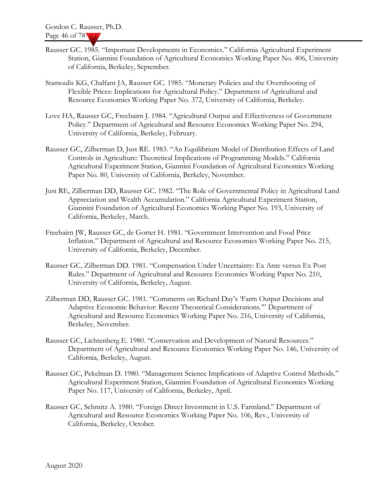- Rausser GC. 1985. "Important Developments in Economics." California Agricultural Experiment Station, Giannini Foundation of Agricultural Economics Working Paper No. 406, University of California, Berkeley, September.
- Stamoulis KG, Chalfant JA, Rausser GC. 1985. "Monetary Policies and the Overshooting of Flexible Prices: Implications for Agricultural Policy." Department of Agricultural and Resource Economics Working Paper No. 372, University of California, Berkeley.
- Love HA, Rausser GC, Freebairn J. 1984. "Agricultural Output and Effectiveness of Government Policy." Department of Agricultural and Resource Economics Working Paper No. 294, University of California, Berkeley, February.
- Rausser GC, Zilberman D, Just RE. 1983. "An Equilibrium Model of Distribution Effects of Land Controls in Agriculture: Theoretical Implications of Programming Models." California Agricultural Experiment Station, Giannini Foundation of Agricultural Economics Working Paper No. 80, University of California, Berkeley, November.
- Just RE, Zilberman DD, Rausser GC. 1982. "The Role of Governmental Policy in Agricultural Land Appreciation and Wealth Accumulation." California Agricultural Experiment Station, Giannini Foundation of Agricultural Economics Working Paper No. 193, University of California, Berkeley, March.
- Freebairn JW, Rausser GC, de Gorter H. 1981. "Government Intervention and Food Price Inflation." Department of Agricultural and Resource Economics Working Paper No. 215, University of California, Berkeley, December.
- Rausser GC, Zilberman DD. 1981. "Compensation Under Uncertainty: Ex Ante versus Ex Post Rules." Department of Agricultural and Resource Economics Working Paper No. 210, University of California, Berkeley, August.
- Zilberman DD, Rausser GC. 1981. "Comments on Richard Day's 'Farm Output Decisions and Adaptive Economic Behavior: Recent Theoretical Considerations.'" Department of Agricultural and Resource Economics Working Paper No. 216, University of California, Berkeley, November.
- Rausser GC, Lichtenberg E. 1980. "Conservation and Development of Natural Resources." Department of Agricultural and Resource Economics Working Paper No. 146, University of California, Berkeley, August.
- Rausser GC, Pekelman D. 1980. "Management Science Implications of Adaptive Control Methods." Agricultural Experiment Station, Giannini Foundation of Agricultural Economics Working Paper No. 117, University of California, Berkeley, April.
- Rausser GC, Schmitz A. 1980. "Foreign Direct Investment in U.S. Farmland." Department of Agricultural and Resource Economics Working Paper No. 106, Rev., University of California, Berkeley, October.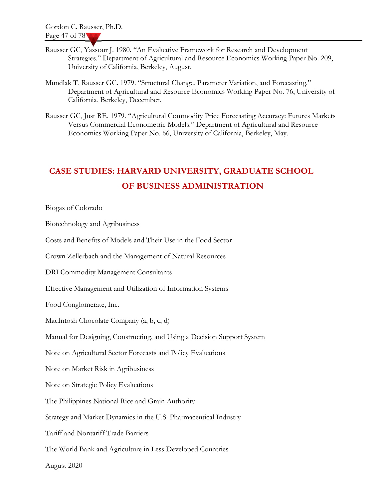- Rausser GC, Yassour J. 1980. "An Evaluative Framework for Research and Development Strategies." Department of Agricultural and Resource Economics Working Paper No. 209, University of California, Berkeley, August.
- Mundlak T, Rausser GC. 1979. "Structural Change, Parameter Variation, and Forecasting." Department of Agricultural and Resource Economics Working Paper No. 76, University of California, Berkeley, December.
- Rausser GC, Just RE. 1979. "Agricultural Commodity Price Forecasting Accuracy: Futures Markets Versus Commercial Econometric Models." Department of Agricultural and Resource Economics Working Paper No. 66, University of California, Berkeley, May.

# CASE STUDIES: HARVARD UNIVERSITY, GRADUATE SCHOOL OF BUSINESS ADMINISTRATION

Biogas of Colorado

Biotechnology and Agribusiness

Costs and Benefits of Models and Their Use in the Food Sector

Crown Zellerbach and the Management of Natural Resources

DRI Commodity Management Consultants

Effective Management and Utilization of Information Systems

Food Conglomerate, Inc.

MacIntosh Chocolate Company (a, b, c, d)

Manual for Designing, Constructing, and Using a Decision Support System

Note on Agricultural Sector Forecasts and Policy Evaluations

Note on Market Risk in Agribusiness

Note on Strategic Policy Evaluations

The Philippines National Rice and Grain Authority

Strategy and Market Dynamics in the U.S. Pharmaceutical Industry

Tariff and Nontariff Trade Barriers

The World Bank and Agriculture in Less Developed Countries

August 2020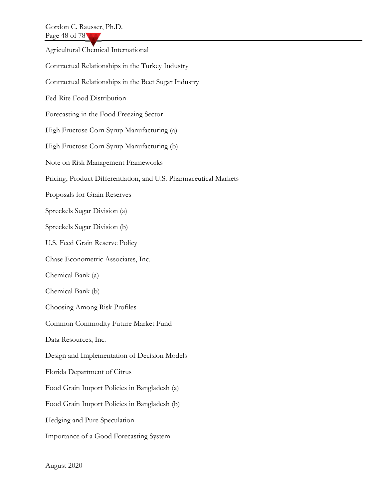Agricultural Chemical International Contractual Relationships in the Turkey Industry Contractual Relationships in the Beet Sugar Industry Fed-Rite Food Distribution Forecasting in the Food Freezing Sector High Fructose Corn Syrup Manufacturing (a) High Fructose Corn Syrup Manufacturing (b) Note on Risk Management Frameworks Pricing, Product Differentiation, and U.S. Pharmaceutical Markets Proposals for Grain Reserves Spreckels Sugar Division (a) Spreckels Sugar Division (b) U.S. Feed Grain Reserve Policy Chase Econometric Associates, Inc. Chemical Bank (a) Chemical Bank (b) Choosing Among Risk Profiles Common Commodity Future Market Fund Data Resources, Inc. Design and Implementation of Decision Models Florida Department of Citrus Food Grain Import Policies in Bangladesh (a) Food Grain Import Policies in Bangladesh (b) Hedging and Pure Speculation Importance of a Good Forecasting System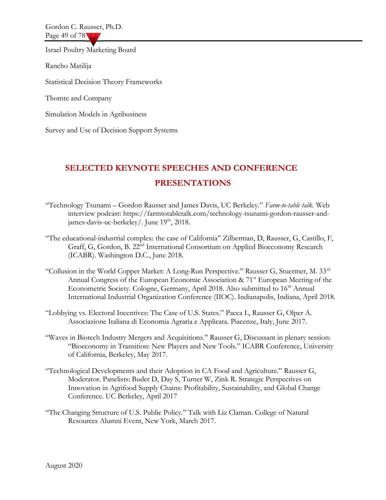Gordon C. Rausser, Ph.D. Page 49 of 78

Israel Poultry Marketing Board

Rancho Matilija

Statistical Decision Theory Frameworks

Thomte and Company

Simulation Models in Agribusiness

Survey and Use of Decision Support Systems

## SELECTED KEYNOTE SPEECHES AND CONFERENCE PRESENTATIONS

- "Technology Tsunami Gordon Rausser and James Davis, UC Berkeley." Farm-to-table talk. Web interview podcast: https://farmtotabletalk.com/technology-tsunami-gordon-rausser-andjames-davis-uc-berkeley/. June 19<sup>th</sup>, 2018.
- "The educational-industrial complex: the case of California" Zilberman, D, Rausser, G, Castillo, F, Graff, G, Gordon, B. 22nd International Consortium on Applied Bioeconomy Research (ICABR). Washington D.C., June 2018.
- "Collusion in the World Copper Market: A Long-Run Perspective." Rausser G, Stuermer, M.  $33<sup>rd</sup>$ Annual Congress of the European Economic Association & 71<sup>st</sup> European Meeting of the Econometric Society. Cologne, Germany, April 2018. Also submitted to 16<sup>th</sup> Annual International Industrial Organization Conference (IIOC). Indianapolis, Indiana, April 2018.
- "Lobbying vs. Electoral Incentives: The Case of U.S. States." Pacca L, Rausser G, Olper A. Associazione Italiana di Economia Agraria e Applicata. Piacenze, Italy, June 2017.
- "Waves in Biotech Industry Mergers and Acquisitions." Rausser G, Discussant in plenary session: "Bioeconomy in Transition: New Players and New Tools." ICABR Conference, University of California, Berkeley, May 2017.
- "Technological Developments and their Adoption in CA Food and Agriculture." Rausser G, Moderator. Panelists: Buder D, Day S, Turner W, Zink R. Strategic Perspectives on Innovation in Agrifood Supply Chains: Profitability, Sustainability, and Global Change Conference. UC Berkeley, April 2017
- "The Changing Structure of U.S. Public Policy." Talk with Liz Claman. College of Natural Resources Alumni Event, New York, March 2017.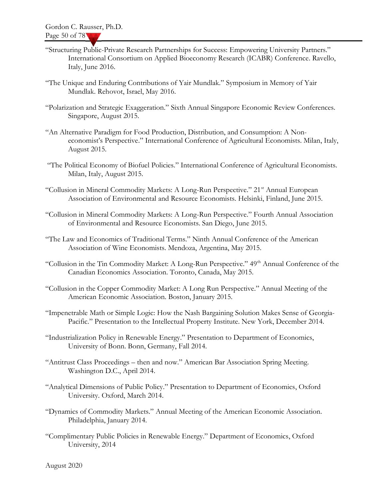- "Structuring Public-Private Research Partnerships for Success: Empowering University Partners." International Consortium on Applied Bioeconomy Research (ICABR) Conference. Ravello, Italy, June 2016.
- "The Unique and Enduring Contributions of Yair Mundlak." Symposium in Memory of Yair Mundlak. Rehovot, Israel, May 2016.
- "Polarization and Strategic Exaggeration." Sixth Annual Singapore Economic Review Conferences. Singapore, August 2015.
- "An Alternative Paradigm for Food Production, Distribution, and Consumption: A Noneconomist's Perspective." International Conference of Agricultural Economists. Milan, Italy, August 2015.
- "The Political Economy of Biofuel Policies." International Conference of Agricultural Economists. Milan, Italy, August 2015.
- "Collusion in Mineral Commodity Markets: A Long-Run Perspective." 21<sup>st</sup> Annual European Association of Environmental and Resource Economists. Helsinki, Finland, June 2015.
- "Collusion in Mineral Commodity Markets: A Long-Run Perspective." Fourth Annual Association of Environmental and Resource Economists. San Diego, June 2015.
- "The Law and Economics of Traditional Terms." Ninth Annual Conference of the American Association of Wine Economists. Mendoza, Argentina, May 2015.
- "Collusion in the Tin Commodity Market: A Long-Run Perspective." 49<sup>th</sup> Annual Conference of the Canadian Economics Association. Toronto, Canada, May 2015.
- "Collusion in the Copper Commodity Market: A Long Run Perspective." Annual Meeting of the American Economic Association. Boston, January 2015.
- "Impenetrable Math or Simple Logic: How the Nash Bargaining Solution Makes Sense of Georgia-Pacific." Presentation to the Intellectual Property Institute. New York, December 2014.
- "Industrialization Policy in Renewable Energy." Presentation to Department of Economics, University of Bonn. Bonn, Germany, Fall 2014.
- "Antitrust Class Proceedings then and now." American Bar Association Spring Meeting. Washington D.C., April 2014.
- "Analytical Dimensions of Public Policy." Presentation to Department of Economics, Oxford University. Oxford, March 2014.
- "Dynamics of Commodity Markets." Annual Meeting of the American Economic Association. Philadelphia, January 2014.
- "Complimentary Public Policies in Renewable Energy." Department of Economics, Oxford University, 2014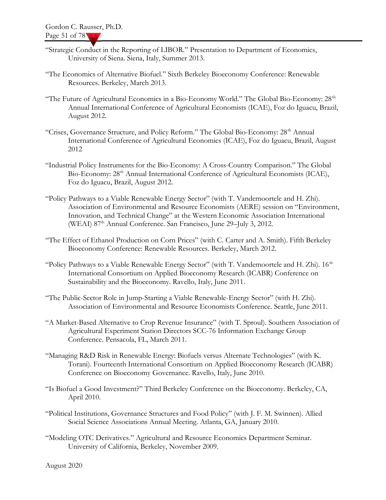- "Strategic Conduct in the Reporting of LIBOR." Presentation to Department of Economics, University of Siena. Siena, Italy, Summer 2013.
- "The Economics of Alternative Biofuel." Sixth Berkeley Bioeconomy Conference: Renewable Resources. Berkeley, March 2013.
- "The Future of Agricultural Economics in a Bio-Economy World." The Global Bio-Economy: 28<sup>th</sup> Annual International Conference of Agricultural Economists (ICAE), Foz do Iguacu, Brazil, August 2012.
- "Crises, Governance Structure, and Policy Reform." The Global Bio-Economy: 28<sup>th</sup> Annual International Conference of Agricultural Economics (ICAE), Foz do Iguacu, Brazil, August 2012
- "Industrial Policy Instruments for the Bio-Economy: A Cross-Country Comparison." The Global Bio-Economy: 28<sup>th</sup> Annual International Conference of Agricultural Economists (ICAE), Foz do Iguacu, Brazil, August 2012.
- "Policy Pathways to a Viable Renewable Energy Sector" (with T. Vandemoortele and H. Zhi). Association of Environmental and Resource Economists (AERE) session on "Environment, Innovation, and Technical Change" at the Western Economic Association International (WEAI) 87<sup>th</sup> Annual Conference. San Francisco, June 29–July 3, 2012.
- "The Effect of Ethanol Production on Corn Prices" (with C. Carter and A. Smith). Fifth Berkeley Bioeconomy Conference: Renewable Resources. Berkeley, March 2012.
- "Policy Pathways to a Viable Renewable Energy Sector" (with T. Vandemoortele and H. Zhi).  $16<sup>th</sup>$ International Consortium on Applied Bioeconomy Research (ICABR) Conference on Sustainability and the Bioeconomy. Ravello, Italy, June 2011.
- "The Public-Sector Role in Jump-Starting a Viable Renewable-Energy Sector" (with H. Zhi). Association of Environmental and Resource Economists Conference. Seattle, June 2011.
- "A Market-Based Alternative to Crop Revenue Insurance" (with T. Sproul). Southern Association of Agricultural Experiment Station Directors SCC-76 Information Exchange Group Conference. Pensacola, FL, March 2011.
- "Managing R&D Risk in Renewable Energy: Biofuels versus Alternate Technologies" (with K. Torani). Fourteenth International Consortium on Applied Bioeconomy Research (ICABR) Conference on Bioeconomy Governance. Ravello, Italy, June 2010.
- "Is Biofuel a Good Investment?" Third Berkeley Conference on the Bioeconomy. Berkeley, CA, April 2010.
- "Political Institutions, Governance Structures and Food Policy" (with J. F. M. Swinnen). Allied Social Science Associations Annual Meeting. Atlanta, GA, January 2010.
- "Modeling OTC Derivatives." Agricultural and Resource Economics Department Seminar. University of California, Berkeley, November 2009.

August 2020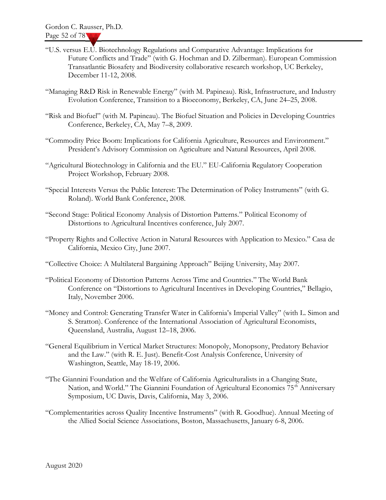- "U.S. versus E.U. Biotechnology Regulations and Comparative Advantage: Implications for Future Conflicts and Trade" (with G. Hochman and D. Zilberman). European Commission Transatlantic Biosafety and Biodiversity collaborative research workshop, UC Berkeley, December 11-12, 2008.
- "Managing R&D Risk in Renewable Energy" (with M. Papineau). Risk, Infrastructure, and Industry Evolution Conference, Transition to a Bioeconomy, Berkeley, CA, June 24–25, 2008.
- "Risk and Biofuel" (with M. Papineau). The Biofuel Situation and Policies in Developing Countries Conference, Berkeley, CA, May 7–8, 2009.
- "Commodity Price Boom: Implications for California Agriculture, Resources and Environment." President's Advisory Commission on Agriculture and Natural Resources, April 2008.
- "Agricultural Biotechnology in California and the EU." EU-California Regulatory Cooperation Project Workshop, February 2008.
- "Special Interests Versus the Public Interest: The Determination of Policy Instruments" (with G. Roland). World Bank Conference, 2008.
- "Second Stage: Political Economy Analysis of Distortion Patterns." Political Economy of Distortions to Agricultural Incentives conference, July 2007.
- "Property Rights and Collective Action in Natural Resources with Application to Mexico." Casa de California, Mexico City, June 2007.
- "Collective Choice: A Multilateral Bargaining Approach" Beijing University, May 2007.
- "Political Economy of Distortion Patterns Across Time and Countries." The World Bank Conference on "Distortions to Agricultural Incentives in Developing Countries," Bellagio, Italy, November 2006.
- "Money and Control: Generating Transfer Water in California's Imperial Valley" (with L. Simon and S. Stratton). Conference of the International Association of Agricultural Economists, Queensland, Australia, August 12–18, 2006.
- "General Equilibrium in Vertical Market Structures: Monopoly, Monopsony, Predatory Behavior and the Law." (with R. E. Just). Benefit-Cost Analysis Conference, University of Washington, Seattle, May 18-19, 2006.
- "The Giannini Foundation and the Welfare of California Agriculturalists in a Changing State, Nation, and World." The Giannini Foundation of Agricultural Economics 75<sup>th</sup> Anniversary Symposium, UC Davis, Davis, California, May 3, 2006.
- "Complementarities across Quality Incentive Instruments" (with R. Goodhue). Annual Meeting of the Allied Social Science Associations, Boston, Massachusetts, January 6-8, 2006.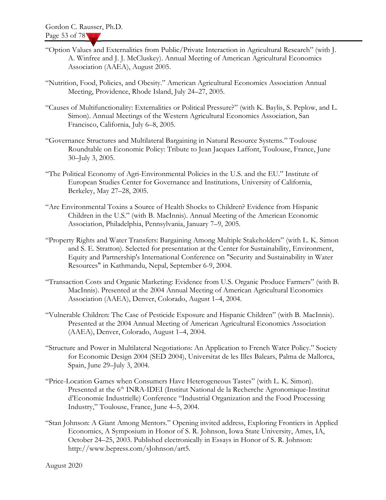- "Option Values and Externalities from Public/Private Interaction in Agricultural Research" (with J. A. Winfree and J. J. McCluskey). Annual Meeting of American Agricultural Economics Association (AAEA), August 2005.
- "Nutrition, Food, Policies, and Obesity." American Agricultural Economics Association Annual Meeting, Providence, Rhode Island, July 24–27, 2005.
- "Causes of Multifunctionality: Externalities or Political Pressure?" (with K. Baylis, S. Peplow, and L. Simon). Annual Meetings of the Western Agricultural Economics Association, San Francisco, California, July 6–8, 2005.
- "Governance Structures and Multilateral Bargaining in Natural Resource Systems." Toulouse Roundtable on Economic Policy: Tribute to Jean Jacques Laffont, Toulouse, France, June 30–July 3, 2005.
- "The Political Economy of Agri-Environmental Policies in the U.S. and the EU." Institute of European Studies Center for Governance and Institutions, University of California, Berkeley, May 27–28, 2005.
- "Are Environmental Toxins a Source of Health Shocks to Children? Evidence from Hispanic Children in the U.S." (with B. MacInnis). Annual Meeting of the American Economic Association, Philadelphia, Pennsylvania, January 7–9, 2005.
- "Property Rights and Water Transfers: Bargaining Among Multiple Stakeholders" (with L. K. Simon and S. E. Stratton). Selected for presentation at the Center for Sustainability, Environment, Equity and Partnership's International Conference on "Security and Sustainability in Water Resources" in Kathmandu, Nepal, September 6-9, 2004.
- "Transaction Costs and Organic Marketing: Evidence from U.S. Organic Produce Farmers" (with B. MacInnis). Presented at the 2004 Annual Meeting of American Agricultural Economics Association (AAEA), Denver, Colorado, August 1–4, 2004.
- "Vulnerable Children: The Case of Pesticide Exposure and Hispanic Children" (with B. MacInnis). Presented at the 2004 Annual Meeting of American Agricultural Economics Association (AAEA), Denver, Colorado, August 1–4, 2004.
- "Structure and Power in Multilateral Negotiations: An Application to French Water Policy." Society for Economic Design 2004 (SED 2004), Universitat de les Illes Balears, Palma de Mallorca, Spain, June 29–July 3, 2004.
- "Price-Location Games when Consumers Have Heterogeneous Tastes" (with L. K. Simon). Presented at the 6<sup>th</sup> INRA-IDEI (Institut National de la Recherche Agronomique-Institut d'Economie Industrielle) Conference "Industrial Organization and the Food Processing Industry," Toulouse, France, June 4–5, 2004.
- "Stan Johnson: A Giant Among Mentors." Opening invited address, Exploring Frontiers in Applied Economics, A Symposium in Honor of S. R. Johnson, Iowa State University, Ames, IA, October 24–25, 2003. Published electronically in Essays in Honor of S. R. Johnson: http://www.bepress.com/sJohnson/art5.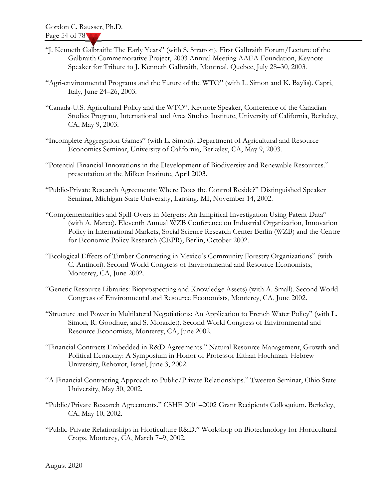- "J. Kenneth Galbraith: The Early Years" (with S. Stratton). First Galbraith Forum/Lecture of the Galbraith Commemorative Project, 2003 Annual Meeting AAEA Foundation, Keynote Speaker for Tribute to J. Kenneth Galbraith, Montreal, Quebec, July 28–30, 2003.
- "Agri-environmental Programs and the Future of the WTO" (with L. Simon and K. Baylis). Capri, Italy, June 24–26, 2003.
- "Canada-U.S. Agricultural Policy and the WTO". Keynote Speaker, Conference of the Canadian Studies Program, International and Area Studies Institute, University of California, Berkeley, CA, May 9, 2003.
- "Incomplete Aggregation Games" (with L. Simon). Department of Agricultural and Resource Economics Seminar, University of California, Berkeley, CA, May 9, 2003.
- "Potential Financial Innovations in the Development of Biodiversity and Renewable Resources." presentation at the Milken Institute, April 2003.
- "Public-Private Research Agreements: Where Does the Control Reside?" Distinguished Speaker Seminar, Michigan State University, Lansing, MI, November 14, 2002.
- "Complementarities and Spill-Overs in Mergers: An Empirical Investigation Using Patent Data" (with A. Marco). Eleventh Annual WZB Conference on Industrial Organization, Innovation Policy in International Markets, Social Science Research Center Berlin (WZB) and the Centre for Economic Policy Research (CEPR), Berlin, October 2002.
- "Ecological Effects of Timber Contracting in Mexico's Community Forestry Organizations" (with C. Antinori). Second World Congress of Environmental and Resource Economists, Monterey, CA, June 2002.
- "Genetic Resource Libraries: Bioprospecting and Knowledge Assets) (with A. Small). Second World Congress of Environmental and Resource Economists, Monterey, CA, June 2002.
- "Structure and Power in Multilateral Negotiations: An Application to French Water Policy" (with L. Simon, R. Goodhue, and S. Morardet). Second World Congress of Environmental and Resource Economists, Monterey, CA, June 2002.
- "Financial Contracts Embedded in R&D Agreements." Natural Resource Management, Growth and Political Economy: A Symposium in Honor of Professor Eithan Hochman. Hebrew University, Rehovot, Israel, June 3, 2002.
- "A Financial Contracting Approach to Public/Private Relationships." Tweeten Seminar, Ohio State University, May 30, 2002.
- "Public/Private Research Agreements." CSHE 2001–2002 Grant Recipients Colloquium. Berkeley, CA, May 10, 2002.
- "Public-Private Relationships in Horticulture R&D." Workshop on Biotechnology for Horticultural Crops, Monterey, CA, March 7–9, 2002.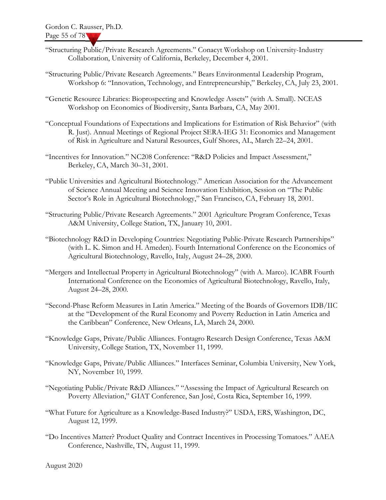- "Structuring Public/Private Research Agreements." Conacyt Workshop on University-Industry Collaboration, University of California, Berkeley, December 4, 2001.
- "Structuring Public/Private Research Agreements." Bears Environmental Leadership Program, Workshop 6: "Innovation, Technology, and Entrepreneurship," Berkeley, CA, July 23, 2001.
- "Genetic Resource Libraries: Bioprospecting and Knowledge Assets" (with A. Small). NCEAS Workshop on Economics of Biodiversity, Santa Barbara, CA, May 2001.
- "Conceptual Foundations of Expectations and Implications for Estimation of Risk Behavior" (with R. Just). Annual Meetings of Regional Project SERA-IEG 31: Economics and Management of Risk in Agriculture and Natural Resources, Gulf Shores, AL, March 22–24, 2001.
- "Incentives for Innovation." NC208 Conference: "R&D Policies and Impact Assessment," Berkeley, CA, March 30–31, 2001.
- "Public Universities and Agricultural Biotechnology." American Association for the Advancement of Science Annual Meeting and Science Innovation Exhibition, Session on "The Public Sector's Role in Agricultural Biotechnology," San Francisco, CA, February 18, 2001.
- "Structuring Public/Private Research Agreements." 2001 Agriculture Program Conference, Texas A&M University, College Station, TX, January 10, 2001.
- "Biotechnology R&D in Developing Countries: Negotiating Public-Private Research Partnerships" (with L. K. Simon and H. Ameden). Fourth International Conference on the Economics of Agricultural Biotechnology, Ravello, Italy, August 24–28, 2000.
- "Mergers and Intellectual Property in Agricultural Biotechnology" (with A. Marco). ICABR Fourth International Conference on the Economics of Agricultural Biotechnology, Ravello, Italy, August 24–28, 2000.
- "Second-Phase Reform Measures in Latin America." Meeting of the Boards of Governors IDB/IIC at the "Development of the Rural Economy and Poverty Reduction in Latin America and the Caribbean" Conference, New Orleans, LA, March 24, 2000.
- "Knowledge Gaps, Private/Public Alliances. Fontagro Research Design Conference, Texas A&M University, College Station, TX, November 11, 1999.
- "Knowledge Gaps, Private/Public Alliances." Interfaces Seminar, Columbia University, New York, NY, November 10, 1999.
- "Negotiating Public/Private R&D Alliances." "Assessing the Impact of Agricultural Research on Poverty Alleviation," GIAT Conference, San José, Costa Rica, September 16, 1999.
- "What Future for Agriculture as a Knowledge-Based Industry?" USDA, ERS, Washington, DC, August 12, 1999.
- "Do Incentives Matter? Product Quality and Contract Incentives in Processing Tomatoes." AAEA Conference, Nashville, TN, August 11, 1999.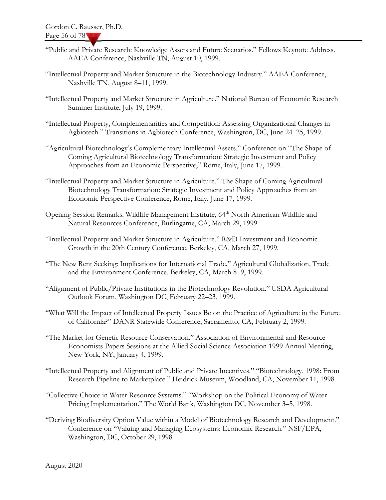- "Public and Private Research: Knowledge Assets and Future Scenarios." Fellows Keynote Address. AAEA Conference, Nashville TN, August 10, 1999.
- "Intellectual Property and Market Structure in the Biotechnology Industry." AAEA Conference, Nashville TN, August 8–11, 1999.
- "Intellectual Property and Market Structure in Agriculture." National Bureau of Economic Research Summer Institute, July 19, 1999.
- "Intellectual Property, Complementarities and Competition: Assessing Organizational Changes in Agbiotech." Transitions in Agbiotech Conference, Washington, DC, June 24–25, 1999.
- "Agricultural Biotechnology's Complementary Intellectual Assets." Conference on "The Shape of Coming Agricultural Biotechnology Transformation: Strategic Investment and Policy Approaches from an Economic Perspective," Rome, Italy, June 17, 1999.
- "Intellectual Property and Market Structure in Agriculture." The Shape of Coming Agricultural Biotechnology Transformation: Strategic Investment and Policy Approaches from an Economic Perspective Conference, Rome, Italy, June 17, 1999.
- Opening Session Remarks. Wildlife Management Institute, 64<sup>th</sup> North American Wildlife and Natural Resources Conference, Burlingame, CA, March 29, 1999.
- "Intellectual Property and Market Structure in Agriculture." R&D Investment and Economic Growth in the 20th Century Conference, Berkeley, CA, March 27, 1999.
- "The New Rent Seeking: Implications for International Trade." Agricultural Globalization, Trade and the Environment Conference. Berkeley, CA, March 8–9, 1999.
- "Alignment of Public/Private Institutions in the Biotechnology Revolution." USDA Agricultural Outlook Forum, Washington DC, February 22–23, 1999.
- "What Will the Impact of Intellectual Property Issues Be on the Practice of Agriculture in the Future of California?" DANR Statewide Conference, Sacramento, CA, February 2, 1999.
- "The Market for Genetic Resource Conservation." Association of Environmental and Resource Economists Papers Sessions at the Allied Social Science Association 1999 Annual Meeting, New York, NY, January 4, 1999.
- "Intellectual Property and Alignment of Public and Private Incentives." "Biotechnology, 1998: From Research Pipeline to Marketplace." Heidrick Museum, Woodland, CA, November 11, 1998.
- "Collective Choice in Water Resource Systems." "Workshop on the Political Economy of Water Pricing Implementation." The World Bank, Washington DC, November 3–5, 1998.
- "Deriving Biodiversity Option Value within a Model of Biotechnology Research and Development." Conference on "Valuing and Managing Ecosystems: Economic Research." NSF/EPA, Washington, DC, October 29, 1998.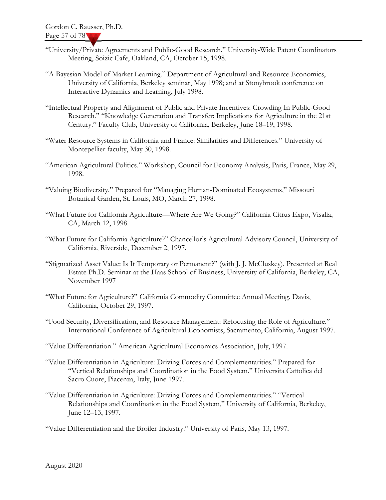- "University/Private Agreements and Public-Good Research." University-Wide Patent Coordinators Meeting, Soizic Cafe, Oakland, CA, October 15, 1998.
- "A Bayesian Model of Market Learning." Department of Agricultural and Resource Economics, University of California, Berkeley seminar, May 1998; and at Stonybrook conference on Interactive Dynamics and Learning, July 1998.
- "Intellectual Property and Alignment of Public and Private Incentives: Crowding In Public-Good Research." "Knowledge Generation and Transfer: Implications for Agriculture in the 21st Century." Faculty Club, University of California, Berkeley, June 18–19, 1998.
- "Water Resource Systems in California and France: Similarities and Differences." University of Montepellier faculty, May 30, 1998.
- "American Agricultural Politics." Workshop, Council for Economy Analysis, Paris, France, May 29, 1998.
- "Valuing Biodiversity." Prepared for "Managing Human-Dominated Ecosystems," Missouri Botanical Garden, St. Louis, MO, March 27, 1998.
- "What Future for California Agriculture—Where Are We Going?" California Citrus Expo, Visalia, CA, March 12, 1998.
- "What Future for California Agriculture?" Chancellor's Agricultural Advisory Council, University of California, Riverside, December 2, 1997.
- "Stigmatized Asset Value: Is It Temporary or Permanent?" (with J. J. McCluskey). Presented at Real Estate Ph.D. Seminar at the Haas School of Business, University of California, Berkeley, CA, November 1997
- "What Future for Agriculture?" California Commodity Committee Annual Meeting. Davis, California, October 29, 1997.
- "Food Security, Diversification, and Resource Management: Refocusing the Role of Agriculture." International Conference of Agricultural Economists, Sacramento, California, August 1997.
- "Value Differentiation." American Agricultural Economics Association, July, 1997.
- "Value Differentiation in Agriculture: Driving Forces and Complementarities." Prepared for "Vertical Relationships and Coordination in the Food System." Universita Cattolica del Sacro Cuore, Piacenza, Italy, June 1997.
- "Value Differentiation in Agriculture: Driving Forces and Complementarities." "Vertical Relationships and Coordination in the Food System," University of California, Berkeley, June 12–13, 1997.
- "Value Differentiation and the Broiler Industry." University of Paris, May 13, 1997.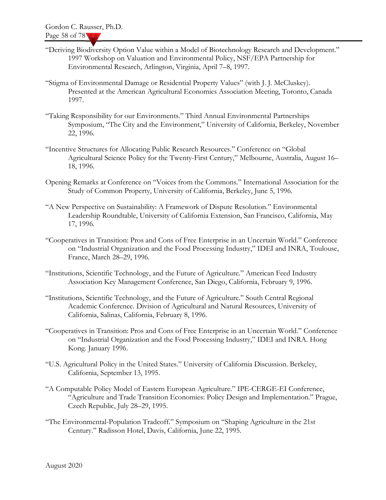- "Deriving Biodiversity Option Value within a Model of Biotechnology Research and Development." 1997 Workshop on Valuation and Environmental Policy, NSF/EPA Partnership for Environmental Research, Arlington, Virginia, April 7–8, 1997.
- "Stigma of Environmental Damage or Residential Property Values" (with J. J. McCluskey). Presented at the American Agricultural Economics Association Meeting, Toronto, Canada 1997.
- "Taking Responsibility for our Environments." Third Annual Environmental Partnerships Symposium, "The City and the Environment," University of California, Berkeley, November 22, 1996.
- "Incentive Structures for Allocating Public Research Resources." Conference on "Global Agricultural Science Policy for the Twenty-First Century," Melbourne, Australia, August 16– 18, 1996.
- Opening Remarks at Conference on "Voices from the Commons." International Association for the Study of Common Property, University of California, Berkeley, June 5, 1996.
- "A New Perspective on Sustainability: A Framework of Dispute Resolution." Environmental Leadership Roundtable, University of California Extension, San Francisco, California, May 17, 1996.
- "Cooperatives in Transition: Pros and Cons of Free Enterprise in an Uncertain World." Conference on "Industrial Organization and the Food Processing Industry," IDEI and INRA, Toulouse, France, March 28–29, 1996.
- "Institutions, Scientific Technology, and the Future of Agriculture." American Feed Industry Association Key Management Conference, San Diego, California, February 9, 1996.
- "Institutions, Scientific Technology, and the Future of Agriculture." South Central Regional Academic Conference. Division of Agricultural and Natural Resources, University of California, Salinas, California, February 8, 1996.
- "Cooperatives in Transition: Pros and Cons of Free Enterprise in an Uncertain World." Conference on "Industrial Organization and the Food Processing Industry," IDEI and INRA. Hong Kong. January 1996.
- "U.S. Agricultural Policy in the United States." University of California Discussion. Berkeley, California, September 13, 1995.
- "A Computable Policy Model of Eastern European Agriculture." IPE-CERGE-EI Conference, "Agriculture and Trade Transition Economies: Policy Design and Implementation." Prague, Czech Republic, July 28–29, 1995.
- "The Environmental-Population Tradeoff." Symposium on "Shaping Agriculture in the 21st Century." Radisson Hotel, Davis, California, June 22, 1995.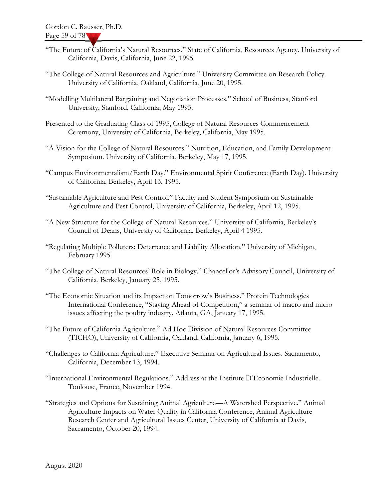- "The Future of California's Natural Resources." State of California, Resources Agency. University of California, Davis, California, June 22, 1995.
- "The College of Natural Resources and Agriculture." University Committee on Research Policy. University of California, Oakland, California, June 20, 1995.
- "Modelling Multilateral Bargaining and Negotiation Processes." School of Business, Stanford University, Stanford, California, May 1995.
- Presented to the Graduating Class of 1995, College of Natural Resources Commencement Ceremony, University of California, Berkeley, California, May 1995.
- "A Vision for the College of Natural Resources." Nutrition, Education, and Family Development Symposium. University of California, Berkeley, May 17, 1995.
- "Campus Environmentalism/Earth Day." Environmental Spirit Conference (Earth Day). University of California, Berkeley, April 13, 1995.
- "Sustainable Agriculture and Pest Control." Faculty and Student Symposium on Sustainable Agriculture and Pest Control, University of California, Berkeley, April 12, 1995.
- "A New Structure for the College of Natural Resources." University of California, Berkeley's Council of Deans, University of California, Berkeley, April 4 1995.
- "Regulating Multiple Polluters: Deterrence and Liability Allocation." University of Michigan, February 1995.
- "The College of Natural Resources' Role in Biology." Chancellor's Advisory Council, University of California, Berkeley, January 25, 1995.
- "The Economic Situation and its Impact on Tomorrow's Business." Protein Technologies International Conference, "Staying Ahead of Competition," a seminar of macro and micro issues affecting the poultry industry. Atlanta, GA, January 17, 1995.
- "The Future of California Agriculture." Ad Hoc Division of Natural Resources Committee (TICHO), University of California, Oakland, California, January 6, 1995.
- "Challenges to California Agriculture." Executive Seminar on Agricultural Issues. Sacramento, California, December 13, 1994.
- "International Environmental Regulations." Address at the Institute D'Economie Industrielle. Toulouse, France, November 1994.
- "Strategies and Options for Sustaining Animal Agriculture—A Watershed Perspective." Animal Agriculture Impacts on Water Quality in California Conference, Animal Agriculture Research Center and Agricultural Issues Center, University of California at Davis, Sacramento, October 20, 1994.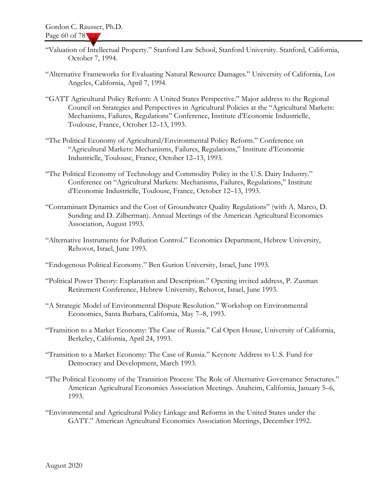- "Valuation of Intellectual Property." Stanford Law School, Stanford University. Stanford, California, October 7, 1994.
- "Alternative Frameworks for Evaluating Natural Resource Damages." University of California, Los Angeles, California, April 7, 1994.
- "GATT Agricultural Policy Reform: A United States Perspective." Major address to the Regional Council on Strategies and Perspectives in Agricultural Policies at the "Agricultural Markets: Mechanisms, Failures, Regulations" Conference, Institute d'Economie Industrielle, Toulouse, France, October 12–13, 1993.
- "The Political Economy of Agricultural/Environmental Policy Reform." Conference on "Agricultural Markets: Mechanisms, Failures, Regulations," Institute d'Economie Industrielle, Toulouse, France, October 12–13, 1993.
- "The Political Economy of Technology and Commodity Policy in the U.S. Dairy Industry." Conference on "Agricultural Markets: Mechanisms, Failures, Regulations," Institute d'Economie Industrielle, Toulouse, France, October 12–13, 1993.
- "Contaminant Dynamics and the Cost of Groundwater Quality Regulations" (with A. Marco, D. Sunding and D. Zilberman). Annual Meetings of the American Agricultural Economics Association, August 1993.
- "Alternative Instruments for Pollution Control." Economics Department, Hebrew University, Rehovot, Israel, June 1993.
- "Endogenous Political Economy." Ben Gurion University, Israel, June 1993.
- "Political Power Theory: Explanation and Description." Opening invited address, P. Zusman Retirement Conference, Hebrew University, Rehovot, Israel, June 1993.
- "A Strategic Model of Environmental Dispute Resolution." Workshop on Environmental Economics, Santa Barbara, California, May 7–8, 1993.
- "Transition to a Market Economy: The Case of Russia." Cal Open House, University of California, Berkeley, California, April 24, 1993.
- "Transition to a Market Economy: The Case of Russia." Keynote Address to U.S. Fund for Democracy and Development, March 1993.
- "The Political Economy of the Transition Process: The Role of Alternative Governance Structures." American Agricultural Economics Association Meetings. Anaheim, California, January 5–6, 1993.
- "Environmental and Agricultural Policy Linkage and Reforms in the United States under the GATT." American Agricultural Economics Association Meetings, December 1992.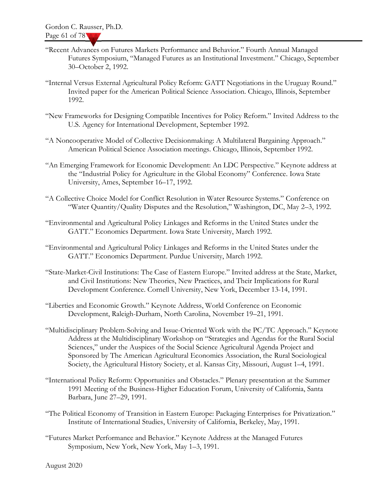- "Recent Advances on Futures Markets Performance and Behavior." Fourth Annual Managed Futures Symposium, "Managed Futures as an Institutional Investment." Chicago, September 30–October 2, 1992.
- "Internal Versus External Agricultural Policy Reform: GATT Negotiations in the Uruguay Round." Invited paper for the American Political Science Association. Chicago, Illinois, September 1992.
- "New Frameworks for Designing Compatible Incentives for Policy Reform." Invited Address to the U.S. Agency for International Development, September 1992.
- "A Noncooperative Model of Collective Decisionmaking: A Multilateral Bargaining Approach." American Political Science Association meetings. Chicago, Illinois, September 1992.
- "An Emerging Framework for Economic Development: An LDC Perspective." Keynote address at the "Industrial Policy for Agriculture in the Global Economy" Conference. Iowa State University, Ames, September 16–17, 1992.
- "A Collective Choice Model for Conflict Resolution in Water Resource Systems." Conference on "Water Quantity/Quality Disputes and the Resolution," Washington, DC, May 2–3, 1992.
- "Environmental and Agricultural Policy Linkages and Reforms in the United States under the GATT." Economics Department. Iowa State University, March 1992.
- "Environmental and Agricultural Policy Linkages and Reforms in the United States under the GATT." Economics Department. Purdue University, March 1992.
- "State-Market-Civil Institutions: The Case of Eastern Europe." Invited address at the State, Market, and Civil Institutions: New Theories, New Practices, and Their Implications for Rural Development Conference. Cornell University, New York, December 13-14, 1991.
- "Liberties and Economic Growth." Keynote Address, World Conference on Economic Development, Raleigh-Durham, North Carolina, November 19–21, 1991.
- "Multidisciplinary Problem-Solving and Issue-Oriented Work with the PC/TC Approach." Keynote Address at the Multidisciplinary Workshop on "Strategies and Agendas for the Rural Social Sciences," under the Auspices of the Social Science Agricultural Agenda Project and Sponsored by The American Agricultural Economics Association, the Rural Sociological Society, the Agricultural History Society, et al. Kansas City, Missouri, August 1–4, 1991.
- "International Policy Reform: Opportunities and Obstacles." Plenary presentation at the Summer 1991 Meeting of the Business-Higher Education Forum, University of California, Santa Barbara, June 27–29, 1991.
- "The Political Economy of Transition in Eastern Europe: Packaging Enterprises for Privatization." Institute of International Studies, University of California, Berkeley, May, 1991.
- "Futures Market Performance and Behavior." Keynote Address at the Managed Futures Symposium, New York, New York, May 1–3, 1991.

August 2020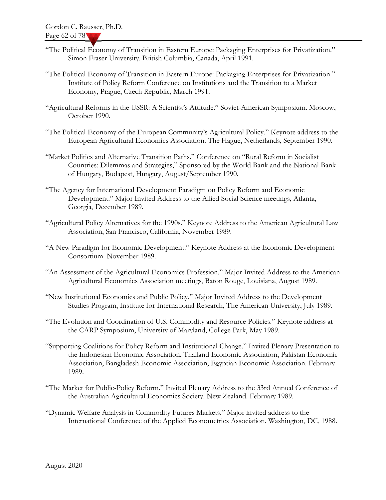- "The Political Economy of Transition in Eastern Europe: Packaging Enterprises for Privatization." Simon Fraser University. British Columbia, Canada, April 1991.
- "The Political Economy of Transition in Eastern Europe: Packaging Enterprises for Privatization." Institute of Policy Reform Conference on Institutions and the Transition to a Market Economy, Prague, Czech Republic, March 1991.
- "Agricultural Reforms in the USSR: A Scientist's Attitude." Soviet-American Symposium. Moscow, October 1990.
- "The Political Economy of the European Community's Agricultural Policy." Keynote address to the European Agricultural Economics Association. The Hague, Netherlands, September 1990.
- "Market Politics and Alternative Transition Paths." Conference on "Rural Reform in Socialist Countries: Dilemmas and Strategies," Sponsored by the World Bank and the National Bank of Hungary, Budapest, Hungary, August/September 1990.
- "The Agency for International Development Paradigm on Policy Reform and Economic Development." Major Invited Address to the Allied Social Science meetings, Atlanta, Georgia, December 1989.
- "Agricultural Policy Alternatives for the 1990s." Keynote Address to the American Agricultural Law Association, San Francisco, California, November 1989.
- "A New Paradigm for Economic Development." Keynote Address at the Economic Development Consortium. November 1989.
- "An Assessment of the Agricultural Economics Profession." Major Invited Address to the American Agricultural Economics Association meetings, Baton Rouge, Louisiana, August 1989.
- "New Institutional Economics and Public Policy." Major Invited Address to the Development Studies Program, Institute for International Research, The American University, July 1989.
- "The Evolution and Coordination of U.S. Commodity and Resource Policies." Keynote address at the CARP Symposium, University of Maryland, College Park, May 1989.
- "Supporting Coalitions for Policy Reform and Institutional Change." Invited Plenary Presentation to the Indonesian Economic Association, Thailand Economic Association, Pakistan Economic Association, Bangladesh Economic Association, Egyptian Economic Association. February 1989.
- "The Market for Public-Policy Reform." Invited Plenary Address to the 33rd Annual Conference of the Australian Agricultural Economics Society. New Zealand. February 1989.
- "Dynamic Welfare Analysis in Commodity Futures Markets." Major invited address to the International Conference of the Applied Econometrics Association. Washington, DC, 1988.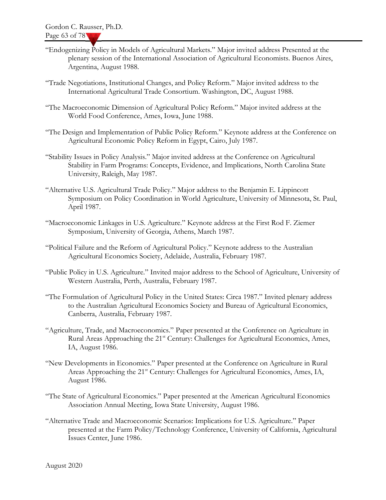- "Endogenizing Policy in Models of Agricultural Markets." Major invited address Presented at the plenary session of the International Association of Agricultural Economists. Buenos Aires, Argentina, August 1988.
- "Trade Negotiations, Institutional Changes, and Policy Reform." Major invited address to the International Agricultural Trade Consortium. Washington, DC, August 1988.
- "The Macroeconomic Dimension of Agricultural Policy Reform." Major invited address at the World Food Conference, Ames, Iowa, June 1988.
- "The Design and Implementation of Public Policy Reform." Keynote address at the Conference on Agricultural Economic Policy Reform in Egypt, Cairo, July 1987.
- "Stability Issues in Policy Analysis." Major invited address at the Conference on Agricultural Stability in Farm Programs: Concepts, Evidence, and Implications, North Carolina State University, Raleigh, May 1987.
- "Alternative U.S. Agricultural Trade Policy." Major address to the Benjamin E. Lippincott Symposium on Policy Coordination in World Agriculture, University of Minnesota, St. Paul, April 1987.
- "Macroeconomic Linkages in U.S. Agriculture." Keynote address at the First Rod F. Ziemer Symposium, University of Georgia, Athens, March 1987.
- "Political Failure and the Reform of Agricultural Policy." Keynote address to the Australian Agricultural Economics Society, Adelaide, Australia, February 1987.
- "Public Policy in U.S. Agriculture." Invited major address to the School of Agriculture, University of Western Australia, Perth, Australia, February 1987.
- "The Formulation of Agricultural Policy in the United States: Circa 1987." Invited plenary address to the Australian Agricultural Economics Society and Bureau of Agricultural Economics, Canberra, Australia, February 1987.
- "Agriculture, Trade, and Macroeconomics." Paper presented at the Conference on Agriculture in Rural Areas Approaching the 21<sup>st</sup> Century: Challenges for Agricultural Economics, Ames, IA, August 1986.
- "New Developments in Economics." Paper presented at the Conference on Agriculture in Rural Areas Approaching the 21<sup>st</sup> Century: Challenges for Agricultural Economics, Ames, IA, August 1986.
- "The State of Agricultural Economics." Paper presented at the American Agricultural Economics Association Annual Meeting, Iowa State University, August 1986.
- "Alternative Trade and Macroeconomic Scenarios: Implications for U.S. Agriculture." Paper presented at the Farm Policy/Technology Conference, University of California, Agricultural Issues Center, June 1986.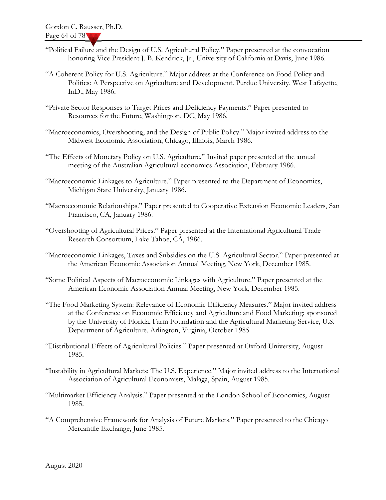- "Political Failure and the Design of U.S. Agricultural Policy." Paper presented at the convocation honoring Vice President J. B. Kendrick, Jr., University of California at Davis, June 1986.
- "A Coherent Policy for U.S. Agriculture." Major address at the Conference on Food Policy and Politics: A Perspective on Agriculture and Development. Purdue University, West Lafayette, InD., May 1986.
- "Private Sector Responses to Target Prices and Deficiency Payments." Paper presented to Resources for the Future, Washington, DC, May 1986.
- "Macroeconomics, Overshooting, and the Design of Public Policy." Major invited address to the Midwest Economic Association, Chicago, Illinois, March 1986.
- "The Effects of Monetary Policy on U.S. Agriculture." Invited paper presented at the annual meeting of the Australian Agricultural economics Association, February 1986.
- "Macroeconomic Linkages to Agriculture." Paper presented to the Department of Economics, Michigan State University, January 1986.
- "Macroeconomic Relationships." Paper presented to Cooperative Extension Economic Leaders, San Francisco, CA, January 1986.
- "Overshooting of Agricultural Prices." Paper presented at the International Agricultural Trade Research Consortium, Lake Tahoe, CA, 1986.
- "Macroeconomic Linkages, Taxes and Subsidies on the U.S. Agricultural Sector." Paper presented at the American Economic Association Annual Meeting, New York, December 1985.
- "Some Political Aspects of Macroeconomic Linkages with Agriculture." Paper presented at the American Economic Association Annual Meeting, New York, December 1985.
- "The Food Marketing System: Relevance of Economic Efficiency Measures." Major invited address at the Conference on Economic Efficiency and Agriculture and Food Marketing; sponsored by the University of Florida, Farm Foundation and the Agricultural Marketing Service, U.S. Department of Agriculture. Arlington, Virginia, October 1985.
- "Distributional Effects of Agricultural Policies." Paper presented at Oxford University, August 1985.
- "Instability in Agricultural Markets: The U.S. Experience." Major invited address to the International Association of Agricultural Economists, Malaga, Spain, August 1985.
- "Multimarket Efficiency Analysis." Paper presented at the London School of Economics, August 1985.
- "A Comprehensive Framework for Analysis of Future Markets." Paper presented to the Chicago Mercantile Exchange, June 1985.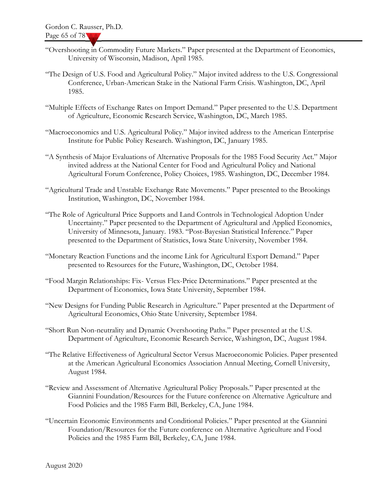- "Overshooting in Commodity Future Markets." Paper presented at the Department of Economics, University of Wisconsin, Madison, April 1985.
- "The Design of U.S. Food and Agricultural Policy." Major invited address to the U.S. Congressional Conference, Urban-American Stake in the National Farm Crisis. Washington, DC, April 1985.
- "Multiple Effects of Exchange Rates on Import Demand." Paper presented to the U.S. Department of Agriculture, Economic Research Service, Washington, DC, March 1985.
- "Macroeconomics and U.S. Agricultural Policy." Major invited address to the American Enterprise Institute for Public Policy Research. Washington, DC, January 1985.
- "A Synthesis of Major Evaluations of Alternative Proposals for the 1985 Food Security Act." Major invited address at the National Center for Food and Agricultural Policy and National Agricultural Forum Conference, Policy Choices, 1985. Washington, DC, December 1984.
- "Agricultural Trade and Unstable Exchange Rate Movements." Paper presented to the Brookings Institution, Washington, DC, November 1984.
- "The Role of Agricultural Price Supports and Land Controls in Technological Adoption Under Uncertainty." Paper presented to the Department of Agricultural and Applied Economics, University of Minnesota, January. 1983. "Post-Bayesian Statistical Inference." Paper presented to the Department of Statistics, Iowa State University, November 1984.
- "Monetary Reaction Functions and the income Link for Agricultural Export Demand." Paper presented to Resources for the Future, Washington, DC, October 1984.
- "Food Margin Relationships: Fix- Versus Flex-Price Determinations." Paper presented at the Department of Economics, Iowa State University, September 1984.
- "New Designs for Funding Public Research in Agriculture." Paper presented at the Department of Agricultural Economics, Ohio State University, September 1984.
- "Short Run Non-neutrality and Dynamic Overshooting Paths." Paper presented at the U.S. Department of Agriculture, Economic Research Service, Washington, DC, August 1984.
- "The Relative Effectiveness of Agricultural Sector Versus Macroeconomic Policies. Paper presented at the American Agricultural Economics Association Annual Meeting, Cornell University, August 1984.
- "Review and Assessment of Alternative Agricultural Policy Proposals." Paper presented at the Giannini Foundation/Resources for the Future conference on Alternative Agriculture and Food Policies and the 1985 Farm Bill, Berkeley, CA, June 1984.
- "Uncertain Economic Environments and Conditional Policies." Paper presented at the Giannini Foundation/Resources for the Future conference on Alternative Agriculture and Food Policies and the 1985 Farm Bill, Berkeley, CA, June 1984.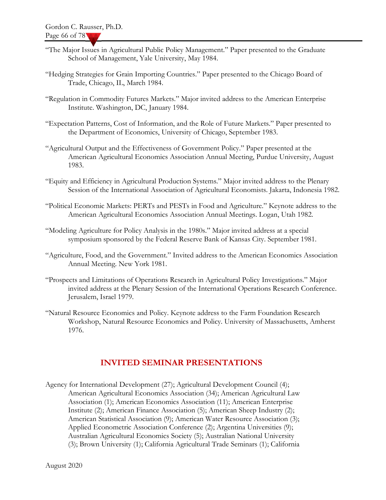- "The Major Issues in Agricultural Public Policy Management." Paper presented to the Graduate School of Management, Yale University, May 1984.
- "Hedging Strategies for Grain Importing Countries." Paper presented to the Chicago Board of Trade, Chicago, IL, March 1984.
- "Regulation in Commodity Futures Markets." Major invited address to the American Enterprise Institute. Washington, DC, January 1984.
- "Expectation Patterns, Cost of Information, and the Role of Future Markets." Paper presented to the Department of Economics, University of Chicago, September 1983.
- "Agricultural Output and the Effectiveness of Government Policy." Paper presented at the American Agricultural Economics Association Annual Meeting, Purdue University, August 1983.
- "Equity and Efficiency in Agricultural Production Systems." Major invited address to the Plenary Session of the International Association of Agricultural Economists. Jakarta, Indonesia 1982.
- "Political Economic Markets: PERTs and PESTs in Food and Agriculture." Keynote address to the American Agricultural Economics Association Annual Meetings. Logan, Utah 1982.
- "Modeling Agriculture for Policy Analysis in the 1980s." Major invited address at a special symposium sponsored by the Federal Reserve Bank of Kansas City. September 1981.
- "Agriculture, Food, and the Government." Invited address to the American Economics Association Annual Meeting. New York 1981.
- "Prospects and Limitations of Operations Research in Agricultural Policy Investigations." Major invited address at the Plenary Session of the International Operations Research Conference. Jerusalem, Israel 1979.
- "Natural Resource Economics and Policy. Keynote address to the Farm Foundation Research Workshop, Natural Resource Economics and Policy. University of Massachusetts, Amherst 1976.

### INVITED SEMINAR PRESENTATIONS

Agency for International Development (27); Agricultural Development Council (4); American Agricultural Economics Association (34); American Agricultural Law Association (1); American Economics Association (11); American Enterprise Institute (2); American Finance Association (5); American Sheep Industry (2); American Statistical Association (9); American Water Resource Association (3); Applied Econometric Association Conference (2); Argentina Universities (9); Australian Agricultural Economics Society (5); Australian National University (3); Brown University (1); California Agricultural Trade Seminars (1); California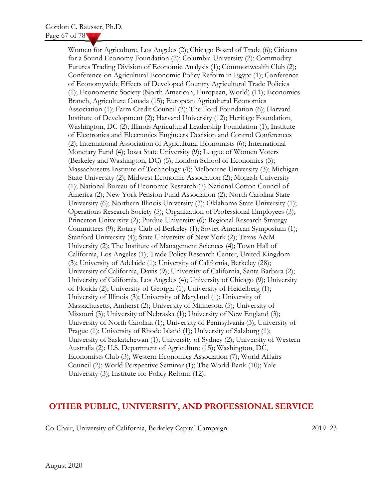Women for Agriculture, Los Angeles (2); Chicago Board of Trade (6); Citizens for a Sound Economy Foundation (2); Columbia University (2); Commodity Futures Trading Division of Economic Analysis (1); Commonwealth Club (2); Conference on Agricultural Economic Policy Reform in Egypt (1); Conference of Economywide Effects of Developed Country Agricultural Trade Policies (1); Econometric Society (North American, European, World) (11); Economics Branch, Agriculture Canada (15); European Agricultural Economics Association (1); Farm Credit Council (2); The Ford Foundation (6); Harvard Institute of Development (2); Harvard University (12); Heritage Foundation, Washington, DC (2); Illinois Agricultural Leadership Foundation (1); Institute of Electronics and Electronics Engineers Decision and Control Conferences (2); International Association of Agricultural Economists (6); International Monetary Fund (4); Iowa State University (9); League of Women Voters (Berkeley and Washington, DC) (5); London School of Economics (3); Massachusetts Institute of Technology (4); Melbourne University (3); Michigan State University (2); Midwest Economic Association (2); Monash University (1); National Bureau of Economic Research (7) National Cotton Council of America (2); New York Pension Fund Association (2); North Carolina State University (6); Northern Illinois University (3); Oklahoma State University (1); Operations Research Society (5); Organization of Professional Employees (3); Princeton University (2); Purdue University (6); Regional Research Strategy Committees (9); Rotary Club of Berkeley (1); Soviet-American Symposium (1); Stanford University (4); State University of New York (2); Texas A&M University (2); The Institute of Management Sciences (4); Town Hall of California, Los Angeles (1); Trade Policy Research Center, United Kingdom (3); University of Adelaide (1); University of California, Berkeley (28); University of California, Davis (9); University of California, Santa Barbara (2); University of California, Los Angeles (4); University of Chicago (9); University of Florida (2); University of Georgia (1); University of Heidelberg (1); University of Illinois (3); University of Maryland (1); University of Massachusetts, Amherst (2); University of Minnesota (5); University of Missouri (3); University of Nebraska (1); University of New England (3); University of North Carolina (1); University of Pennsylvania (3); University of Prague (1): University of Rhode Island (1); University of Salzburg (1); University of Saskatchewan (1); University of Sydney (2); University of Western Australia (2); U.S. Department of Agriculture (15); Washington, DC, Economists Club (3); Western Economics Association (7); World Affairs Council (2); World Perspective Seminar (1); The World Bank (10); Yale University (3); Institute for Policy Reform (12).

### OTHER PUBLIC, UNIVERSITY, AND PROFESSIONAL SERVICE

Co-Chair, University of California, Berkeley Capital Campaign 2019–23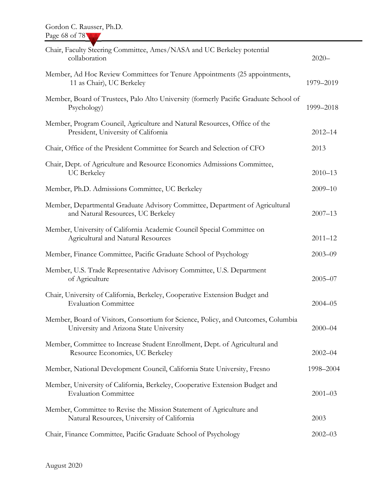| Chair, Faculty Steering Committee, Ames/NASA and UC Berkeley potential<br>collaboration                                      | $2020 -$    |
|------------------------------------------------------------------------------------------------------------------------------|-------------|
| Member, Ad Hoc Review Committees for Tenure Appointments (25 appointments,<br>11 as Chair), UC Berkeley                      | 1979-2019   |
| Member, Board of Trustees, Palo Alto University (formerly Pacific Graduate School of<br>Psychology)                          | 1999-2018   |
| Member, Program Council, Agriculture and Natural Resources, Office of the<br>President, University of California             | $2012 - 14$ |
| Chair, Office of the President Committee for Search and Selection of CFO                                                     | 2013        |
| Chair, Dept. of Agriculture and Resource Economics Admissions Committee,<br><b>UC</b> Berkeley                               | $2010 - 13$ |
| Member, Ph.D. Admissions Committee, UC Berkeley                                                                              | $2009 - 10$ |
| Member, Departmental Graduate Advisory Committee, Department of Agricultural<br>and Natural Resources, UC Berkeley           | $2007 - 13$ |
| Member, University of California Academic Council Special Committee on<br>Agricultural and Natural Resources                 | $2011 - 12$ |
| Member, Finance Committee, Pacific Graduate School of Psychology                                                             | $2003 - 09$ |
| Member, U.S. Trade Representative Advisory Committee, U.S. Department<br>of Agriculture                                      | $2005 - 07$ |
| Chair, University of California, Berkeley, Cooperative Extension Budget and<br><b>Evaluation Committee</b>                   | $2004 - 05$ |
| Member, Board of Visitors, Consortium for Science, Policy, and Outcomes, Columbia<br>University and Arizona State University | $2000 - 04$ |
| Member, Committee to Increase Student Enrollment, Dept. of Agricultural and<br>Resource Economics, UC Berkeley               | $2002 - 04$ |
| Member, National Development Council, California State University, Fresno                                                    | 1998-2004   |
| Member, University of California, Berkeley, Cooperative Extension Budget and<br><b>Evaluation Committee</b>                  | $2001 - 03$ |
| Member, Committee to Revise the Mission Statement of Agriculture and<br>Natural Resources, University of California          | 2003        |
| Chair, Finance Committee, Pacific Graduate School of Psychology                                                              | $2002 - 03$ |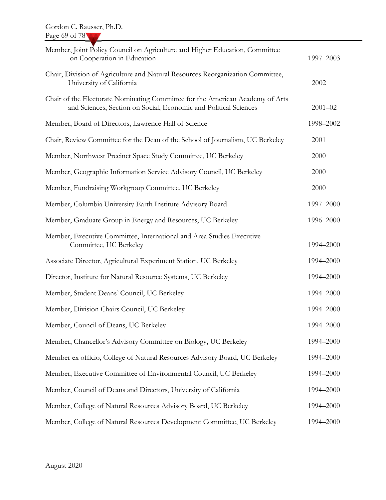| Member, Joint Policy Council on Agriculture and Higher Education, Committee<br>on Cooperation in Education                                        | 1997-2003   |
|---------------------------------------------------------------------------------------------------------------------------------------------------|-------------|
| Chair, Division of Agriculture and Natural Resources Reorganization Committee,<br>University of California                                        | 2002        |
| Chair of the Electorate Nominating Committee for the American Academy of Arts<br>and Sciences, Section on Social, Economic and Political Sciences | $2001 - 02$ |
| Member, Board of Directors, Lawrence Hall of Science                                                                                              | 1998-2002   |
| Chair, Review Committee for the Dean of the School of Journalism, UC Berkeley                                                                     | 2001        |
| Member, Northwest Precinct Space Study Committee, UC Berkeley                                                                                     | 2000        |
| Member, Geographic Information Service Advisory Council, UC Berkeley                                                                              | 2000        |
| Member, Fundraising Workgroup Committee, UC Berkeley                                                                                              | 2000        |
| Member, Columbia University Earth Institute Advisory Board                                                                                        | 1997-2000   |
| Member, Graduate Group in Energy and Resources, UC Berkeley                                                                                       | 1996-2000   |
| Member, Executive Committee, International and Area Studies Executive<br>Committee, UC Berkeley                                                   | 1994-2000   |
| Associate Director, Agricultural Experiment Station, UC Berkeley                                                                                  | 1994-2000   |
| Director, Institute for Natural Resource Systems, UC Berkeley                                                                                     | 1994-2000   |
| Member, Student Deans' Council, UC Berkeley                                                                                                       | 1994-2000   |
| Member, Division Chairs Council, UC Berkeley                                                                                                      | 1994-2000   |
| Member, Council of Deans, UC Berkeley                                                                                                             | 1994-2000   |
| Member, Chancellor's Advisory Committee on Biology, UC Berkeley                                                                                   | 1994-2000   |
| Member ex officio, College of Natural Resources Advisory Board, UC Berkeley                                                                       | 1994-2000   |
| Member, Executive Committee of Environmental Council, UC Berkeley                                                                                 | 1994-2000   |
| Member, Council of Deans and Directors, University of California                                                                                  | 1994-2000   |
| Member, College of Natural Resources Advisory Board, UC Berkeley                                                                                  | 1994-2000   |
| Member, College of Natural Resources Development Committee, UC Berkeley                                                                           | 1994-2000   |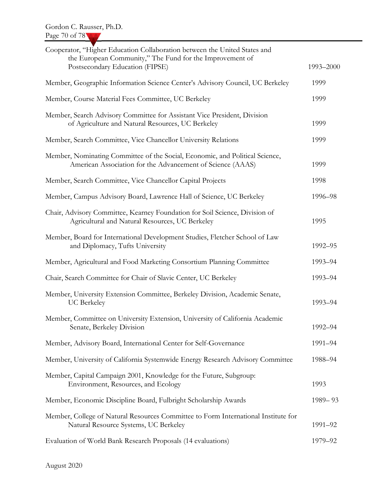| Cooperator, "Higher Education Collaboration between the United States and<br>the European Community," The Fund for the Improvement of<br>Postsecondary Education (FIPSE) | 1993-2000 |
|--------------------------------------------------------------------------------------------------------------------------------------------------------------------------|-----------|
| Member, Geographic Information Science Center's Advisory Council, UC Berkeley                                                                                            | 1999      |
| Member, Course Material Fees Committee, UC Berkeley                                                                                                                      | 1999      |
| Member, Search Advisory Committee for Assistant Vice President, Division<br>of Agriculture and Natural Resources, UC Berkeley                                            | 1999      |
| Member, Search Committee, Vice Chancellor University Relations                                                                                                           | 1999      |
| Member, Nominating Committee of the Social, Economic, and Political Science,<br>American Association for the Advancement of Science (AAAS)                               | 1999      |
| Member, Search Committee, Vice Chancellor Capital Projects                                                                                                               | 1998      |
| Member, Campus Advisory Board, Lawrence Hall of Science, UC Berkeley                                                                                                     | 1996-98   |
| Chair, Advisory Committee, Kearney Foundation for Soil Science, Division of<br>Agricultural and Natural Resources, UC Berkeley                                           | 1995      |
| Member, Board for International Development Studies, Fletcher School of Law<br>and Diplomacy, Tufts University                                                           | 1992-95   |
| Member, Agricultural and Food Marketing Consortium Planning Committee                                                                                                    | 1993-94   |
| Chair, Search Committee for Chair of Slavic Center, UC Berkeley                                                                                                          | 1993-94   |
| Member, University Extension Committee, Berkeley Division, Academic Senate,<br><b>UC</b> Berkeley                                                                        | 1993-94   |
| Member, Committee on University Extension, University of California Academic<br>Senate, Berkeley Division                                                                | 1992-94   |
| Member, Advisory Board, International Center for Self-Governance                                                                                                         | 1991-94   |
| Member, University of California Systemwide Energy Research Advisory Committee                                                                                           | 1988-94   |
| Member, Capital Campaign 2001, Knowledge for the Future, Subgroup:<br>Environment, Resources, and Ecology                                                                | 1993      |
| Member, Economic Discipline Board, Fulbright Scholarship Awards                                                                                                          | 1989-93   |
| Member, College of Natural Resources Committee to Form International Institute for<br>Natural Resource Systems, UC Berkeley                                              | 1991-92   |
| Evaluation of World Bank Research Proposals (14 evaluations)                                                                                                             | 1979-92   |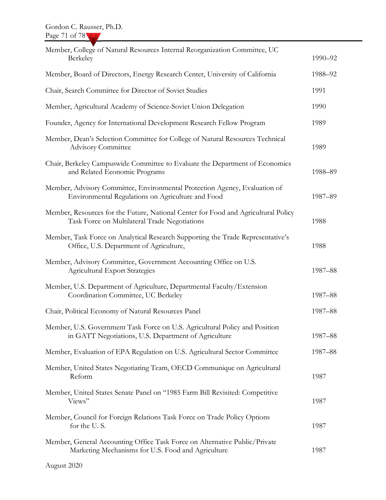| Member, College of Natural Resources Internal Reorganization Committee, UC                                                          |         |
|-------------------------------------------------------------------------------------------------------------------------------------|---------|
| Berkeley                                                                                                                            | 1990-92 |
| Member, Board of Directors, Energy Research Center, University of California                                                        | 1988-92 |
| Chair, Search Committee for Director of Soviet Studies                                                                              | 1991    |
| Member, Agricultural Academy of Science-Soviet Union Delegation                                                                     | 1990    |
| Founder, Agency for International Development Research Fellow Program                                                               | 1989    |
| Member, Dean's Selection Committee for College of Natural Resources Technical<br><b>Advisory Committee</b>                          | 1989    |
| Chair, Berkeley Campuswide Committee to Evaluate the Department of Economics<br>and Related Economic Programs                       | 1988-89 |
| Member, Advisory Committee, Environmental Protection Agency, Evaluation of<br>Environmental Regulations on Agriculture and Food     | 1987-89 |
| Member, Resources for the Future, National Center for Food and Agricultural Policy<br>Task Force on Multilateral Trade Negotiations | 1988    |
| Member, Task Force on Analytical Research Supporting the Trade Representative's<br>Office, U.S. Department of Agriculture,          | 1988    |
| Member, Advisory Committee, Government Accounting Office on U.S.<br><b>Agricultural Export Strategies</b>                           | 1987-88 |
| Member, U.S. Department of Agriculture, Departmental Faculty/Extension<br>Coordination Committee, UC Berkeley                       | 1987-88 |
| Chair, Political Economy of Natural Resources Panel                                                                                 | 1987-88 |
| Member, U.S. Government Task Force on U.S. Agricultural Policy and Position<br>in GATT Negotiations, U.S. Department of Agriculture | 1987-88 |
| Member, Evaluation of EPA Regulation on U.S. Agricultural Sector Committee                                                          | 1987-88 |
| Member, United States Negotiating Team, OECD Communique on Agricultural<br>Reform                                                   | 1987    |
| Member, United States Senate Panel on "1985 Farm Bill Revisited: Competitive<br>Views"                                              | 1987    |
| Member, Council for Foreign Relations Task Force on Trade Policy Options<br>for the U.S.                                            | 1987    |
| Member, General Accounting Office Task Force on Alternative Public/Private<br>Marketing Mechanisms for U.S. Food and Agriculture    | 1987    |
| August 2020                                                                                                                         |         |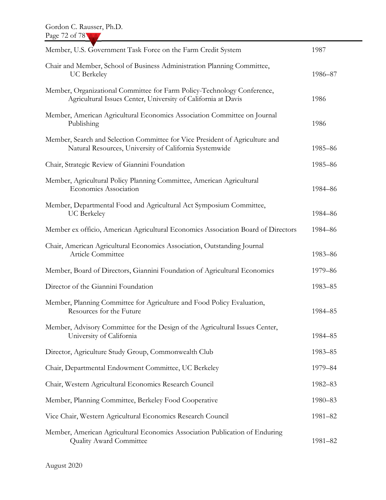| Member, U.S. Government Task Force on the Farm Credit System                                                                             | 1987    |
|------------------------------------------------------------------------------------------------------------------------------------------|---------|
| Chair and Member, School of Business Administration Planning Committee,<br><b>UC</b> Berkeley                                            | 1986-87 |
| Member, Organizational Committee for Farm Policy-Technology Conference,<br>Agricultural Issues Center, University of California at Davis | 1986    |
| Member, American Agricultural Economics Association Committee on Journal<br>Publishing                                                   | 1986    |
| Member, Search and Selection Committee for Vice President of Agriculture and<br>Natural Resources, University of California Systemwide   | 1985-86 |
| Chair, Strategic Review of Giannini Foundation                                                                                           | 1985-86 |
| Member, Agricultural Policy Planning Committee, American Agricultural<br><b>Economics Association</b>                                    | 1984-86 |
| Member, Departmental Food and Agricultural Act Symposium Committee,<br><b>UC</b> Berkeley                                                | 1984-86 |
| Member ex officio, American Agricultural Economics Association Board of Directors                                                        | 1984-86 |
| Chair, American Agricultural Economics Association, Outstanding Journal<br>Article Committee                                             | 1983-86 |
| Member, Board of Directors, Giannini Foundation of Agricultural Economics                                                                | 1979-86 |
| Director of the Giannini Foundation                                                                                                      | 1983-85 |
| Member, Planning Committee for Agriculture and Food Policy Evaluation,<br>Resources for the Future                                       | 1984-85 |
| Member, Advisory Committee for the Design of the Agricultural Issues Center,<br>University of California                                 | 1984-85 |
| Director, Agriculture Study Group, Commonwealth Club                                                                                     | 1983-85 |
| Chair, Departmental Endowment Committee, UC Berkeley                                                                                     | 1979-84 |
| Chair, Western Agricultural Economics Research Council                                                                                   | 1982-83 |
| Member, Planning Committee, Berkeley Food Cooperative                                                                                    | 1980-83 |
| Vice Chair, Western Agricultural Economics Research Council                                                                              | 1981-82 |
| Member, American Agricultural Economics Association Publication of Enduring<br><b>Quality Award Committee</b>                            | 1981-82 |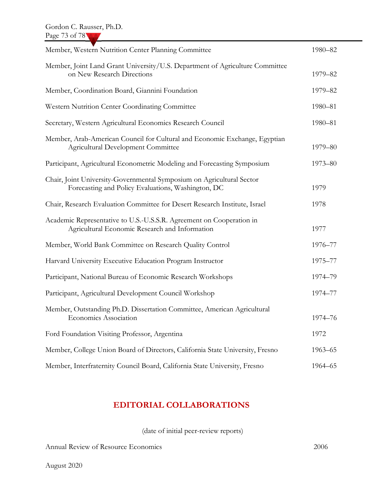| Member, Western Nutrition Center Planning Committee                                                                         | 1980-82 |
|-----------------------------------------------------------------------------------------------------------------------------|---------|
| Member, Joint Land Grant University/U.S. Department of Agriculture Committee<br>on New Research Directions                  | 1979-82 |
| Member, Coordination Board, Giannini Foundation                                                                             | 1979-82 |
| Western Nutrition Center Coordinating Committee                                                                             | 1980-81 |
| Secretary, Western Agricultural Economics Research Council                                                                  | 1980-81 |
| Member, Arab-American Council for Cultural and Economic Exchange, Egyptian<br><b>Agricultural Development Committee</b>     | 1979-80 |
| Participant, Agricultural Econometric Modeling and Forecasting Symposium                                                    | 1973-80 |
| Chair, Joint University-Governmental Symposium on Agricultural Sector<br>Forecasting and Policy Evaluations, Washington, DC | 1979    |
| Chair, Research Evaluation Committee for Desert Research Institute, Israel                                                  | 1978    |
| Academic Representative to U.S.-U.S.S.R. Agreement on Cooperation in<br>Agricultural Economic Research and Information      | 1977    |
| Member, World Bank Committee on Research Quality Control                                                                    | 1976-77 |
| Harvard University Executive Education Program Instructor                                                                   | 1975-77 |
| Participant, National Bureau of Economic Research Workshops                                                                 | 1974-79 |
| Participant, Agricultural Development Council Workshop                                                                      | 1974-77 |
| Member, Outstanding Ph.D. Dissertation Committee, American Agricultural<br>Economics Association                            | 1974-76 |
| Ford Foundation Visiting Professor, Argentina                                                                               | 1972    |
| Member, College Union Board of Directors, California State University, Fresno                                               | 1963-65 |
| Member, Interfraternity Council Board, California State University, Fresno                                                  | 1964-65 |

## EDITORIAL COLLABORATIONS

(date of initial peer-review reports)

Annual Review of Resource Economics 2006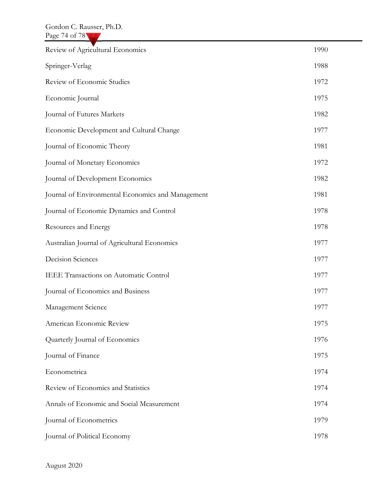| Review of Agricultural Economics                  | 1990 |
|---------------------------------------------------|------|
| Springer-Verlag                                   | 1988 |
| Review of Economic Studies                        | 1972 |
| Economic Journal                                  | 1975 |
| Journal of Futures Markets                        | 1982 |
| Economic Development and Cultural Change          | 1977 |
| Journal of Economic Theory                        | 1981 |
| Journal of Monetary Economics                     | 1972 |
| Journal of Development Economics                  | 1982 |
| Journal of Environmental Economics and Management | 1981 |
| Journal of Economic Dynamics and Control          | 1978 |
| Resources and Energy                              | 1978 |
| Australian Journal of Agricultural Economics      | 1977 |
| <b>Decision Sciences</b>                          | 1977 |
| IEEE Transactions on Automatic Control            | 1977 |
| Journal of Economics and Business                 | 1977 |
| Management Science                                | 1977 |
| American Economic Review                          | 1975 |
| Quarterly Journal of Economics                    | 1976 |
| Journal of Finance                                | 1975 |
| Econometrica                                      | 1974 |
| Review of Economics and Statistics                | 1974 |
| Annals of Economic and Social Measurement         | 1974 |
| Journal of Econometrics                           | 1979 |
| Journal of Political Economy                      | 1978 |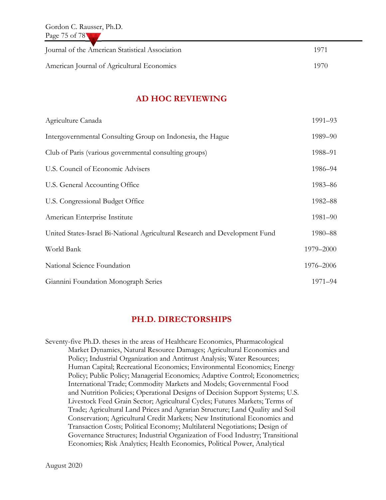| Journal of the American Statistical Association | 1971  |
|-------------------------------------------------|-------|
| American Journal of Agricultural Economics      | -1970 |

#### AD HOC REVIEWING

| Agriculture Canada                                                          | 1991-93   |
|-----------------------------------------------------------------------------|-----------|
| Intergovernmental Consulting Group on Indonesia, the Hague                  | 1989-90   |
| Club of Paris (various governmental consulting groups)                      | 1988-91   |
| U.S. Council of Economic Advisers                                           | 1986-94   |
| U.S. General Accounting Office                                              | 1983-86   |
| U.S. Congressional Budget Office                                            | 1982-88   |
| American Enterprise Institute                                               | 1981-90   |
| United States-Israel Bi-National Agricultural Research and Development Fund | 1980-88   |
| World Bank                                                                  | 1979-2000 |
| National Science Foundation                                                 | 1976-2006 |
| Giannini Foundation Monograph Series                                        | 1971-94   |

#### PH.D. DIRECTORSHIPS

Seventy-five Ph.D. theses in the areas of Healthcare Economics, Pharmacological Market Dynamics, Natural Resource Damages; Agricultural Economics and Policy; Industrial Organization and Antitrust Analysis; Water Resources; Human Capital; Recreational Economics; Environmental Economics; Energy Policy; Public Policy; Managerial Economics; Adaptive Control; Econometrics; International Trade; Commodity Markets and Models; Governmental Food and Nutrition Policies; Operational Designs of Decision Support Systems; U.S. Livestock Feed Grain Sector; Agricultural Cycles; Futures Markets; Terms of Trade; Agricultural Land Prices and Agrarian Structure; Land Quality and Soil Conservation; Agricultural Credit Markets; New Institutional Economics and Transaction Costs; Political Economy; Multilateral Negotiations; Design of Governance Structures; Industrial Organization of Food Industry; Transitional Economies; Risk Analytics; Health Economics, Political Power, Analytical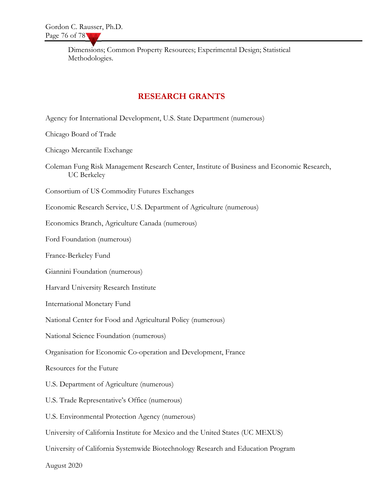Dimensions; Common Property Resources; Experimental Design; Statistical Methodologies.

### RESEARCH GRANTS

Agency for International Development, U.S. State Department (numerous)

Chicago Board of Trade

Chicago Mercantile Exchange

Coleman Fung Risk Management Research Center, Institute of Business and Economic Research, UC Berkeley

Consortium of US Commodity Futures Exchanges

Economic Research Service, U.S. Department of Agriculture (numerous)

Economics Branch, Agriculture Canada (numerous)

Ford Foundation (numerous)

France-Berkeley Fund

Giannini Foundation (numerous)

Harvard University Research Institute

International Monetary Fund

National Center for Food and Agricultural Policy (numerous)

National Science Foundation (numerous)

Organisation for Economic Co-operation and Development, France

Resources for the Future

U.S. Department of Agriculture (numerous)

U.S. Trade Representative's Office (numerous)

U.S. Environmental Protection Agency (numerous)

University of California Institute for Mexico and the United States (UC MEXUS)

University of California Systemwide Biotechnology Research and Education Program

August 2020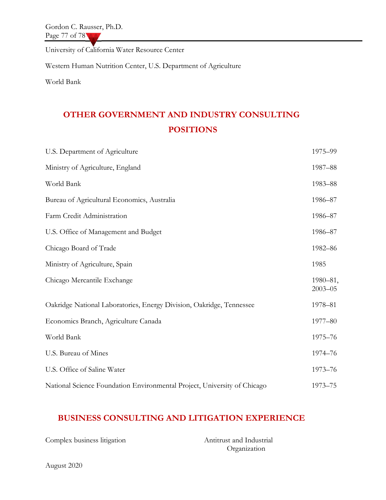Gordon C. Rausser, Ph.D. Page 77 of 78

University of California Water Resource Center

Western Human Nutrition Center, U.S. Department of Agriculture

World Bank

# OTHER GOVERNMENT AND INDUSTRY CONSULTING POSITIONS

| U.S. Department of Agriculture                                           | 1975-99                 |
|--------------------------------------------------------------------------|-------------------------|
| Ministry of Agriculture, England                                         | 1987-88                 |
| World Bank                                                               | 1983-88                 |
| Bureau of Agricultural Economics, Australia                              | 1986-87                 |
| Farm Credit Administration                                               | 1986-87                 |
| U.S. Office of Management and Budget                                     | 1986-87                 |
| Chicago Board of Trade                                                   | 1982-86                 |
| Ministry of Agriculture, Spain                                           | 1985                    |
| Chicago Mercantile Exchange                                              | 1980-81,<br>$2003 - 05$ |
| Oakridge National Laboratories, Energy Division, Oakridge, Tennessee     | 1978-81                 |
| Economics Branch, Agriculture Canada                                     | 1977-80                 |
| World Bank                                                               | 1975-76                 |
| U.S. Bureau of Mines                                                     | 1974-76                 |
| U.S. Office of Saline Water                                              | 1973-76                 |
| National Science Foundation Environmental Project, University of Chicago | 1973-75                 |

## BUSINESS CONSULTING AND LITIGATION EXPERIENCE

| Complex business litigation | Antitrust and Industrial |
|-----------------------------|--------------------------|
|                             | Organization             |

August 2020